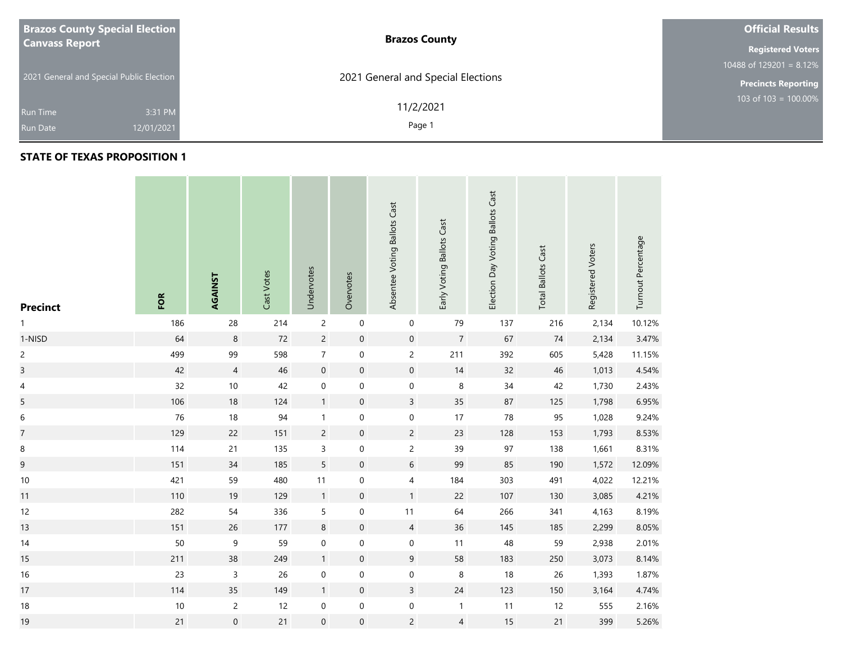| <b>Brazos County Special Election</b>    |            | <b>Brazos County</b>               | <b>Official Results</b>    |
|------------------------------------------|------------|------------------------------------|----------------------------|
| <b>Canvass Report</b>                    |            |                                    | <b>Registered Voters</b>   |
| 2021 General and Special Public Election |            |                                    | 10488 of $129201 = 8.12\%$ |
|                                          |            | 2021 General and Special Elections | <b>Precincts Reporting</b> |
|                                          |            | 11/2/2021                          | 103 of 103 = $100.00\%$    |
| <b>Run Time</b>                          | 3:31 PM    |                                    |                            |
| <b>Run Date</b>                          | 12/01/2021 | Page 1                             |                            |

### **STATE OF TEXAS PROPOSITION 1**

**College** 

the control of the con-

| <b>Precinct</b>          | FOR    | AGAINST             | Cast Votes | Undervotes       | Overvotes           | Absentee Voting Ballots Cast | Early Voting Ballots Cast | Election Day Voting Ballots Cast | <b>Total Ballots Cast</b> | Registered Voters | Turnout Percentage |
|--------------------------|--------|---------------------|------------|------------------|---------------------|------------------------------|---------------------------|----------------------------------|---------------------------|-------------------|--------------------|
| 1                        | 186    | 28                  | 214        | $\overline{c}$   | $\mathbf 0$         | $\boldsymbol{0}$             | 79                        | 137                              | 216                       | 2,134             | 10.12%             |
| 1-NISD                   | 64     | $\,$ 8 $\,$         | 72         | $\overline{c}$   | $\pmb{0}$           | $\mathbf 0$                  | $\overline{7}$            | 67                               | 74                        | 2,134             | 3.47%              |
| $\overline{c}$           | 499    | 99                  | 598        | $\boldsymbol{7}$ | $\boldsymbol{0}$    | $\overline{c}$               | 211                       | 392                              | 605                       | 5,428             | 11.15%             |
| $\overline{\mathbf{3}}$  | 42     | $\overline{4}$      | 46         | $\mathbf 0$      | $\pmb{0}$           | $\mathsf{O}\xspace$          | 14                        | 32                               | 46                        | 1,013             | 4.54%              |
| $\overline{\mathcal{A}}$ | 32     | $10\,$              | 42         | $\boldsymbol{0}$ | 0                   | $\boldsymbol{0}$             | $\,8\,$                   | $34$                             | 42                        | 1,730             | 2.43%              |
| 5                        | 106    | 18                  | 124        | $\mathbf{1}$     | $\mathsf{O}\xspace$ | $\overline{3}$               | 35                        | 87                               | 125                       | 1,798             | 6.95%              |
| 6                        | 76     | 18                  | 94         | $\mathbf{1}$     | $\pmb{0}$           | $\pmb{0}$                    | 17                        | 78                               | 95                        | 1,028             | 9.24%              |
| $\overline{\mathcal{I}}$ | 129    | 22                  | 151        | $\overline{c}$   | $\mathsf{O}\xspace$ | $\overline{2}$               | 23                        | 128                              | 153                       | 1,793             | 8.53%              |
| $\,8\,$                  | 114    | 21                  | 135        | $\mathsf{3}$     | $\boldsymbol{0}$    | $\overline{2}$               | 39                        | $97\,$                           | 138                       | 1,661             | 8.31%              |
| $\boldsymbol{9}$         | 151    | 34                  | 185        | 5                | $\pmb{0}$           | $6\,$                        | 99                        | 85                               | 190                       | 1,572             | 12.09%             |
| $10\,$                   | 421    | 59                  | 480        | 11               | 0                   | $\overline{4}$               | 184                       | 303                              | 491                       | 4,022             | 12.21%             |
| 11                       | 110    | $19$                | 129        | $\mathbf{1}$     | $\mathbf 0$         | 1                            | 22                        | 107                              | 130                       | 3,085             | 4.21%              |
| 12                       | 282    | 54                  | 336        | 5                | 0                   | 11                           | 64                        | 266                              | 341                       | 4,163             | 8.19%              |
| 13                       | 151    | 26                  | 177        | $\,8\,$          | $\pmb{0}$           | $\overline{4}$               | 36                        | 145                              | 185                       | 2,299             | 8.05%              |
| 14                       | 50     | $\boldsymbol{9}$    | 59         | $\pmb{0}$        | $\pmb{0}$           | $\mathsf{O}\xspace$          | 11                        | 48                               | 59                        | 2,938             | 2.01%              |
| 15                       | 211    | 38                  | 249        | $\mathbf{1}$     | $\pmb{0}$           | $\boldsymbol{9}$             | 58                        | 183                              | 250                       | 3,073             | 8.14%              |
| 16                       | 23     | $\mathsf{3}$        | 26         | $\boldsymbol{0}$ | 0                   | $\pmb{0}$                    | $\,8\,$                   | 18                               | 26                        | 1,393             | 1.87%              |
| 17                       | 114    | 35                  | 149        | $\mathbf{1}$     | $\mathsf{O}\xspace$ | $\overline{\mathbf{3}}$      | $24\,$                    | 123                              | 150                       | 3,164             | 4.74%              |
| 18                       | $10\,$ | $\overline{c}$      | 12         | $\boldsymbol{0}$ | $\pmb{0}$           | $\mathbf 0$                  | $\overline{1}$            | 11                               | 12                        | 555               | 2.16%              |
| 19                       | 21     | $\mathsf{O}\xspace$ | 21         | $\mathbf 0$      | $\mathsf{O}\xspace$ | $\overline{c}$               | 4                         | 15                               | 21                        | 399               | 5.26%              |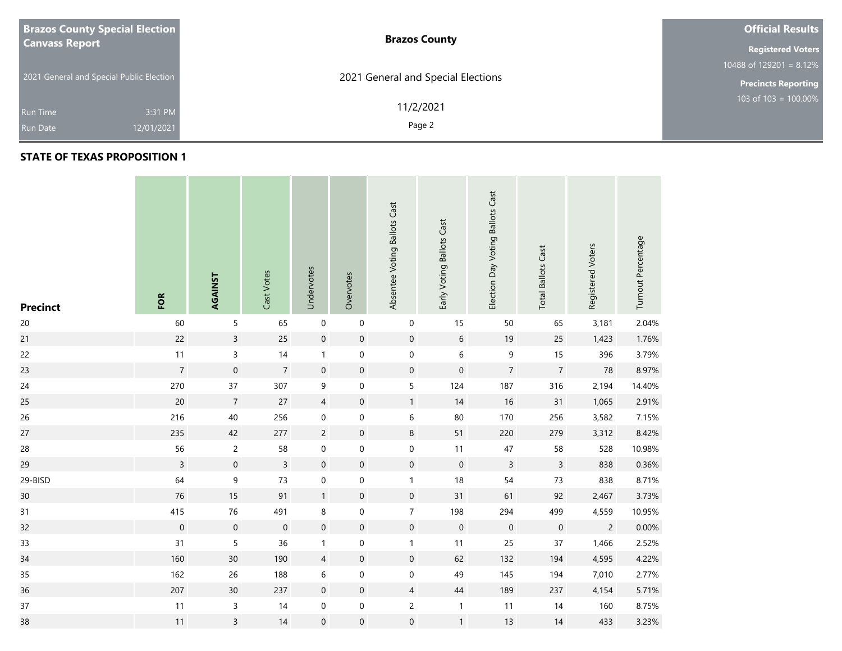| <b>Brazos County Special Election</b>    | <b>Brazos County</b>               | <b>Official Results</b>    |
|------------------------------------------|------------------------------------|----------------------------|
| <b>Canvass Report</b>                    |                                    | <b>Registered Voters</b>   |
|                                          |                                    | 10488 of 129201 = $8.12\%$ |
| 2021 General and Special Public Election | 2021 General and Special Elections | <b>Precincts Reporting</b> |
|                                          | 11/2/2021                          | 103 of $103 = 100.00\%$    |
| 3:31 PM<br><b>Run Time</b>               |                                    |                            |
| 12/01/2021<br><b>Run Date</b>            | Page 2                             |                            |

| <b>Precinct</b> | FOR              | AGAINST             | Cast Votes       | Undervotes       | Overvotes           | Absentee Voting Ballots Cast | Early Voting Ballots Cast | Election Day Voting Ballots Cast | <b>Total Ballots Cast</b> | Registered Voters | Turnout Percentage |
|-----------------|------------------|---------------------|------------------|------------------|---------------------|------------------------------|---------------------------|----------------------------------|---------------------------|-------------------|--------------------|
| $20\,$          | 60               | 5                   | 65               | $\mathbf 0$      | $\pmb{0}$           | $\boldsymbol{0}$             | 15                        | 50                               | 65                        | 3,181             | 2.04%              |
| 21              | 22               | $\mathsf{3}$        | 25               | $\mathbf 0$      | $\boldsymbol{0}$    | $\boldsymbol{0}$             | $\,$ 6 $\,$               | 19                               | 25                        | 1,423             | 1.76%              |
| 22              | $11$             | $\overline{3}$      | 14               | $\mathbf{1}$     | $\mathbf 0$         | $\mathbf 0$                  | $\,6\,$                   | 9                                | 15                        | 396               | 3.79%              |
| 23              | $\overline{7}$   | $\mathsf{O}\xspace$ | $\overline{7}$   | $\mathbf 0$      | $\boldsymbol{0}$    | $\mathbf 0$                  | $\mathbf 0$               | $\overline{7}$                   | $\overline{7}$            | 78                | 8.97%              |
| 24              | 270              | 37                  | 307              | 9                | $\boldsymbol{0}$    | 5                            | 124                       | 187                              | 316                       | 2,194             | 14.40%             |
| 25              | 20               | $\overline{7}$      | 27               | $\overline{4}$   | $\mathsf{O}\xspace$ | $\mathbf{1}$                 | 14                        | 16                               | 31                        | 1,065             | 2.91%              |
| 26              | 216              | 40                  | 256              | $\mathbf 0$      | $\mathbf 0$         | $\,$ 6 $\,$                  | $80\,$                    | 170                              | 256                       | 3,582             | 7.15%              |
| 27              | 235              | 42                  | 277              | $\overline{c}$   | $\boldsymbol{0}$    | $\,8\,$                      | 51                        | 220                              | 279                       | 3,312             | 8.42%              |
| 28              | 56               | $\overline{c}$      | 58               | $\pmb{0}$        | $\mathbf 0$         | $\pmb{0}$                    | 11                        | 47                               | 58                        | 528               | 10.98%             |
| 29              | $\overline{3}$   | $\mathbf 0$         | $\overline{3}$   | $\mathbf 0$      | $\boldsymbol{0}$    | $\boldsymbol{0}$             | $\pmb{0}$                 | $\overline{3}$                   | $\overline{3}$            | 838               | 0.36%              |
| 29-BISD         | 64               | 9                   | 73               | $\boldsymbol{0}$ | $\boldsymbol{0}$    | $\mathbf{1}$                 | $18\,$                    | 54                               | 73                        | 838               | 8.71%              |
| 30 <sub>o</sub> | $76\,$           | 15                  | 91               | $\mathbf{1}$     | $\boldsymbol{0}$    | $\mathbf 0$                  | 31                        | 61                               | 92                        | 2,467             | 3.73%              |
| 31              | 415              | 76                  | 491              | 8                | $\pmb{0}$           | $\boldsymbol{7}$             | 198                       | 294                              | 499                       | 4,559             | 10.95%             |
| 32              | $\boldsymbol{0}$ | $\mathbf 0$         | $\boldsymbol{0}$ | $\mathbf 0$      | $\boldsymbol{0}$    | $\mathbf 0$                  | $\mathbf 0$               | $\mathbf 0$                      | $\boldsymbol{0}$          | $\overline{c}$    | 0.00%              |
| 33              | 31               | $\sqrt{5}$          | 36               | $\mathbf{1}$     | $\boldsymbol{0}$    | $\mathbf{1}$                 | 11                        | 25                               | 37                        | 1,466             | 2.52%              |
| 34              | 160              | 30                  | 190              | $\overline{4}$   | $\boldsymbol{0}$    | $\boldsymbol{0}$             | 62                        | 132                              | 194                       | 4,595             | 4.22%              |
| 35              | 162              | 26                  | 188              | $\,$ 6 $\,$      | $\boldsymbol{0}$    | $\mathbf 0$                  | 49                        | 145                              | 194                       | 7,010             | 2.77%              |
| 36              | 207              | $30\,$              | 237              | $\mathbf 0$      | $\mathbf 0$         | $\overline{4}$               | 44                        | 189                              | 237                       | 4,154             | 5.71%              |
| 37              | 11               | 3                   | 14               | $\pmb{0}$        | $\pmb{0}$           | $\overline{c}$               | $\mathbf{1}$              | 11                               | 14                        | 160               | 8.75%              |
| 38              | 11               | $\overline{3}$      | 14               | $\mathbf 0$      | $\boldsymbol{0}$    | $\mathbf 0$                  | $\mathbf{1}$              | 13                               | 14                        | 433               | 3.23%              |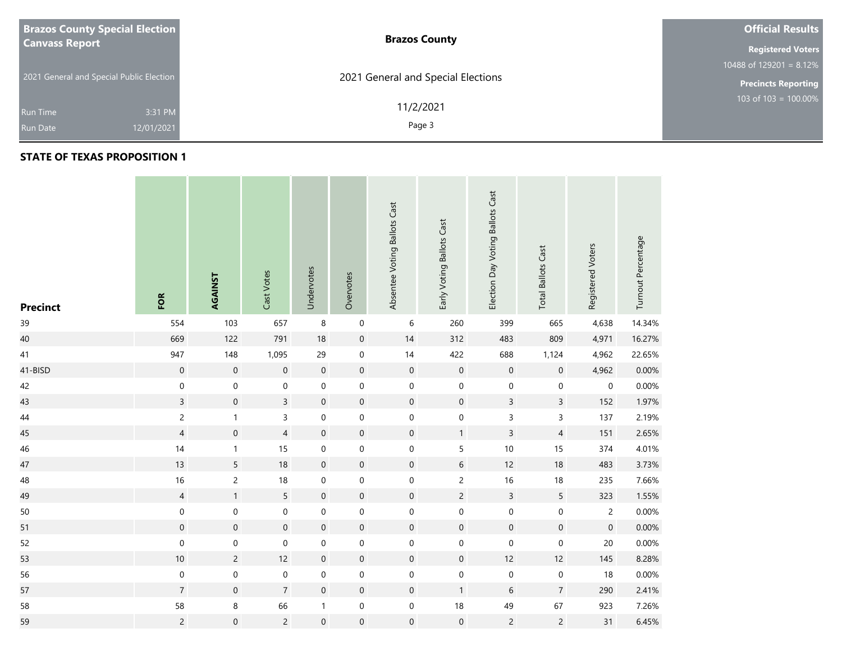| <b>Brazos County Special Election</b>                                     | <b>Brazos County</b>                         | <b>Official Results</b>    |
|---------------------------------------------------------------------------|----------------------------------------------|----------------------------|
| <b>Canvass Report</b>                                                     |                                              | <b>Registered Voters</b>   |
|                                                                           |                                              | 10488 of $129201 = 8.12\%$ |
|                                                                           |                                              | <b>Precincts Reporting</b> |
| 3:31 PM<br><b>Run Time</b>                                                | 11/2/2021                                    | 103 of $103 = 100.00\%$    |
| 2021 General and Special Public Election<br>12/01/2021<br><b>Run Date</b> | 2021 General and Special Elections<br>Page 3 |                            |

| <b>Precinct</b> | FOR              | AGAINST          | Cast Votes          | Undervotes       | Overvotes           | Absentee Voting Ballots Cast | Early Voting Ballots Cast | Election Day Voting Ballots Cast | <b>Total Ballots Cast</b> | Registered Voters | Turnout Percentage |
|-----------------|------------------|------------------|---------------------|------------------|---------------------|------------------------------|---------------------------|----------------------------------|---------------------------|-------------------|--------------------|
| 39              | 554              | 103              | 657                 | $\,8\,$          | $\pmb{0}$           | 6                            | 260                       | 399                              | 665                       | 4,638             | 14.34%             |
| 40              | 669              | 122              | 791                 | $18\,$           | $\pmb{0}$           | $14$                         | 312                       | 483                              | 809                       | 4,971             | 16.27%             |
| 41              | 947              | 148              | 1,095               | 29               | $\boldsymbol{0}$    | $14$                         | 422                       | 688                              | 1,124                     | 4,962             | 22.65%             |
| 41-BISD         | $\mathbf 0$      | $\mathbf 0$      | $\mathbf 0$         | $\mathbf 0$      | $\pmb{0}$           | $\boldsymbol{0}$             | $\mathbf 0$               | $\mathbf 0$                      | $\mathsf{O}\xspace$       | 4,962             | 0.00%              |
| 42              | $\pmb{0}$        | 0                | $\mathbf 0$         | $\pmb{0}$        | $\boldsymbol{0}$    | 0                            | $\mathbf 0$               | $\mathbf 0$                      | $\pmb{0}$                 | 0                 | 0.00%              |
| 43              | $\overline{3}$   | $\mathbf 0$      | $\overline{3}$      | $\boldsymbol{0}$ | $\pmb{0}$           | $\mathbf 0$                  | $\mathbf 0$               | $\mathsf{3}$                     | $\mathsf{3}$              | 152               | 1.97%              |
| 44              | $\overline{c}$   | $\mathbf{1}$     | 3                   | $\mathbf 0$      | $\boldsymbol{0}$    | $\boldsymbol{0}$             | $\mathbf 0$               | $\mathsf{3}$                     | $\mathsf{3}$              | 137               | 2.19%              |
| 45              | $\overline{4}$   | $\boldsymbol{0}$ | $\overline{4}$      | $\boldsymbol{0}$ | $\pmb{0}$           | $\boldsymbol{0}$             | $\mathbf{1}$              | $\overline{3}$                   | $\overline{4}$            | 151               | 2.65%              |
| 46              | 14               | $\mathbf{1}$     | 15                  | $\mathbf 0$      | $\pmb{0}$           | $\boldsymbol{0}$             | 5                         | $10$                             | 15                        | 374               | 4.01%              |
| 47              | 13               | 5                | $18\,$              | $\mathbf 0$      | $\mathsf{O}\xspace$ | $\mathbf 0$                  | $6\,$                     | 12                               | 18                        | 483               | 3.73%              |
| 48              | 16               | $\overline{c}$   | $18\,$              | $\boldsymbol{0}$ | $\boldsymbol{0}$    | $\boldsymbol{0}$             | $\overline{c}$            | 16                               | 18                        | 235               | 7.66%              |
| 49              | $\overline{4}$   | $\mathbf{1}$     | 5                   | $\mathbf 0$      | $\mathsf{O}\xspace$ | $\mathsf{O}\xspace$          | $\overline{c}$            | $\overline{3}$                   | $5\overline{)}$           | 323               | 1.55%              |
| $50\,$          | $\pmb{0}$        | $\boldsymbol{0}$ | $\mathsf{O}\xspace$ | $\mathbf 0$      | $\boldsymbol{0}$    | $\boldsymbol{0}$             | $\mathsf{O}\xspace$       | $\mathbf 0$                      | $\boldsymbol{0}$          | $\overline{c}$    | 0.00%              |
| 51              | $\boldsymbol{0}$ | $\mathbf 0$      | $\mathbf 0$         | $\mathbf 0$      | $\pmb{0}$           | $\mathsf{O}\xspace$          | $\mathbf 0$               | $\mathsf{O}\xspace$              | $\mathsf{O}\xspace$       | $\mathbf 0$       | 0.00%              |
| 52              | $\pmb{0}$        | 0                | $\mathbf 0$         | $\pmb{0}$        | $\boldsymbol{0}$    | $\boldsymbol{0}$             | $\mathbf 0$               | $\mathbf 0$                      | $\mathbf 0$               | $20\,$            | 0.00%              |
| 53              | $10\,$           | $\overline{c}$   | 12                  | $\boldsymbol{0}$ | $\boldsymbol{0}$    | $\boldsymbol{0}$             | $\mathbf 0$               | 12                               | 12                        | 145               | 8.28%              |
| 56              | $\pmb{0}$        | $\boldsymbol{0}$ | $\boldsymbol{0}$    | $\boldsymbol{0}$ | $\pmb{0}$           | $\boldsymbol{0}$             | $\mathbf 0$               | $\pmb{0}$                        | $\pmb{0}$                 | 18                | 0.00%              |
| 57              | $\overline{7}$   | $\mathbf 0$      | $\overline{7}$      | $\mathbf 0$      | 0                   | $\mathsf{O}\xspace$          | $\mathbf{1}$              | 6                                | $\overline{7}$            | 290               | 2.41%              |
| 58              | 58               | 8                | 66                  | $\mathbf{1}$     | $\mathbf 0$         | $\boldsymbol{0}$             | $18\,$                    | 49                               | 67                        | 923               | 7.26%              |
| 59              | $\overline{c}$   | $\mathbf 0$      | $\overline{2}$      | $\mathbf 0$      | $\mathsf{O}\xspace$ | $\boldsymbol{0}$             | $\mathbf 0$               | $\overline{c}$                   | $\overline{c}$            | 31                | 6.45%              |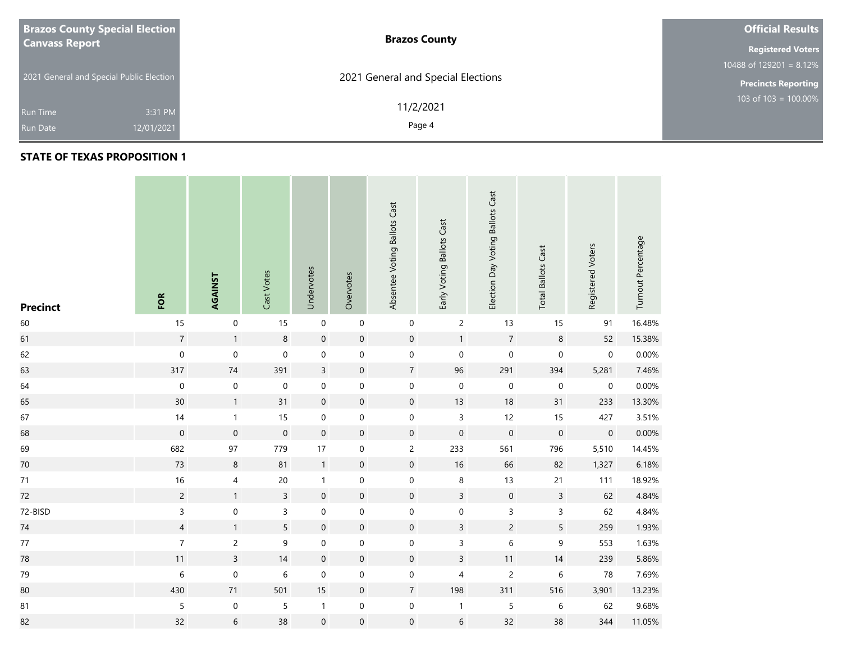| <b>Brazos County Special Election</b>    | <b>Brazos County</b>               | <b>Official Results</b>    |
|------------------------------------------|------------------------------------|----------------------------|
| <b>Canvass Report</b>                    |                                    | <b>Registered Voters</b>   |
|                                          |                                    | 10488 of $129201 = 8.12\%$ |
| 2021 General and Special Public Election | 2021 General and Special Elections | <b>Precincts Reporting</b> |
| 3:31 PM<br><b>Run Time</b>               | 11/2/2021                          | 103 of $103 = 100.00\%$    |
| 12/01/2021<br><b>Run Date</b>            | Page 4                             |                            |

| <b>Precinct</b> | FOR              | AGAINST          | Cast Votes       | Undervotes       | Overvotes           | Absentee Voting Ballots Cast | Early Voting Ballots Cast | Election Day Voting Ballots Cast | <b>Total Ballots Cast</b> | Registered Voters | Turnout Percentage |
|-----------------|------------------|------------------|------------------|------------------|---------------------|------------------------------|---------------------------|----------------------------------|---------------------------|-------------------|--------------------|
| 60              | $15$             | $\mathbf 0$      | 15               | $\mathbf 0$      | $\mathbf 0$         | $\pmb{0}$                    | $\overline{c}$            | 13                               | 15                        | 91                | 16.48%             |
| 61              | $\overline{7}$   | $\mathbf{1}$     | $\bf 8$          | $\mathbf 0$      | $\pmb{0}$           | $\mathsf{O}\xspace$          | $\mathbf{1}$              | $\overline{7}$                   | $\,8\,$                   | 52                | 15.38%             |
| 62              | $\mathbf 0$      | $\boldsymbol{0}$ | $\mathbf 0$      | $\pmb{0}$        | $\boldsymbol{0}$    | $\boldsymbol{0}$             | $\mathbf 0$               | $\mathbf 0$                      | $\mathbf 0$               | $\mathbf 0$       | 0.00%              |
| 63              | 317              | $74\,$           | 391              | $\overline{3}$   | $\boldsymbol{0}$    | $\sqrt{7}$                   | 96                        | 291                              | 394                       | 5,281             | 7.46%              |
| 64              | $\boldsymbol{0}$ | $\pmb{0}$        | $\boldsymbol{0}$ | $\pmb{0}$        | $\boldsymbol{0}$    | 0                            | $\,0\,$                   | $\boldsymbol{0}$                 | $\boldsymbol{0}$          | $\mathbf 0$       | 0.00%              |
| 65              | 30 <sup>°</sup>  | $\mathbf{1}$     | 31               | $\mathbf 0$      | $\pmb{0}$           | $\mathsf{O}\xspace$          | 13                        | $18$                             | 31                        | 233               | 13.30%             |
| 67              | $14$             | $\mathbf{1}$     | 15               | $\pmb{0}$        | $\mathbf 0$         | $\boldsymbol{0}$             | $\mathsf 3$               | 12                               | 15                        | 427               | 3.51%              |
| 68              | $\boldsymbol{0}$ | $\,0\,$          | $\mathbf 0$      | $\mathbf 0$      | $\boldsymbol{0}$    | $\boldsymbol{0}$             | $\mathbf 0$               | $\mathbf 0$                      | $\mathbf 0$               | $\mathbf 0$       | 0.00%              |
| 69              | 682              | 97               | 779              | 17               | $\pmb{0}$           | $\overline{c}$               | 233                       | 561                              | 796                       | 5,510             | 14.45%             |
| $70\,$          | 73               | $\,8\,$          | 81               | $\overline{1}$   | $\boldsymbol{0}$    | $\mathsf{O}\xspace$          | 16                        | 66                               | 82                        | 1,327             | 6.18%              |
| 71              | $16\,$           | 4                | $20\,$           | $\mathbf{1}$     | $\pmb{0}$           | $\boldsymbol{0}$             | $\,8\,$                   | 13                               | 21                        | 111               | 18.92%             |
| 72              | $\overline{c}$   | $\mathbf{1}$     | $\overline{3}$   | $\mathbf 0$      | $\mathsf{O}\xspace$ | $\mathbf 0$                  | $\overline{3}$            | $\mathbf 0$                      | $\overline{3}$            | 62                | 4.84%              |
| 72-BISD         | 3                | $\mathbf 0$      | $\mathsf{3}$     | $\mathbf 0$      | 0                   | $\boldsymbol{0}$             | $\mathbf 0$               | $\mathsf 3$                      | $\mathsf 3$               | 62                | 4.84%              |
| $74\,$          | $\overline{4}$   | $\mathbf{1}$     | 5                | $\mathbf 0$      | $\pmb{0}$           | $\mathsf{O}\xspace$          | $\overline{3}$            | $\overline{c}$                   | 5                         | 259               | 1.93%              |
| $77\,$          | $\boldsymbol{7}$ | $\overline{c}$   | 9                | $\pmb{0}$        | $\boldsymbol{0}$    | $\boldsymbol{0}$             | $\mathsf 3$               | $\,$ 6 $\,$                      | $\boldsymbol{9}$          | 553               | 1.63%              |
| ${\bf 78}$      | 11               | $\mathbf{3}$     | 14               | $\boldsymbol{0}$ | $\boldsymbol{0}$    | $\boldsymbol{0}$             | $\mathsf{3}$              | 11                               | 14                        | 239               | 5.86%              |
| 79              | 6                | $\boldsymbol{0}$ | $\,$ 6 $\,$      | $\boldsymbol{0}$ | $\boldsymbol{0}$    | $\mathsf{O}\xspace$          | 4                         | $\sqrt{2}$                       | 6                         | 78                | 7.69%              |
| 80              | 430              | 71               | 501              | 15               | $\mathbf 0$         | $\overline{7}$               | 198                       | 311                              | 516                       | 3,901             | 13.23%             |
| 81              | 5                | $\pmb{0}$        | 5                | $\mathbf{1}$     | $\mathbf 0$         | $\boldsymbol{0}$             | $\mathbf{1}$              | $\sqrt{5}$                       | $\,$ 6 $\,$               | 62                | 9.68%              |
| 82              | 32               | $\sqrt{6}$       | 38               | $\mathbf 0$      | $\mathbf 0$         | $\boldsymbol{0}$             | $6\,$                     | 32                               | 38                        | 344               | 11.05%             |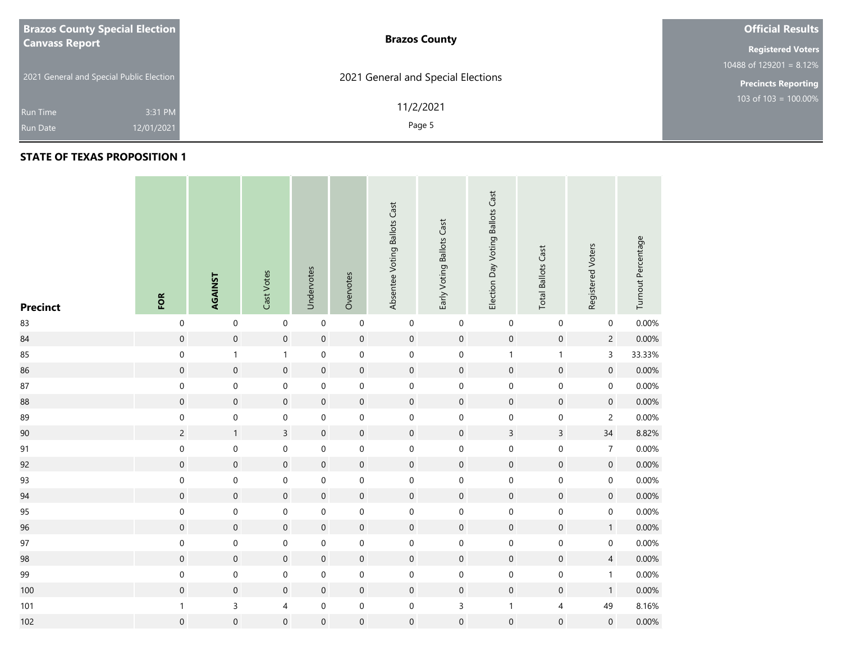| <b>Brazos County Special Election</b>    | <b>Brazos County</b>               | <b>Official Results</b>    |
|------------------------------------------|------------------------------------|----------------------------|
| <b>Canvass Report</b>                    |                                    | <b>Registered Voters</b>   |
|                                          |                                    | 10488 of $129201 = 8.12\%$ |
| 2021 General and Special Public Election | 2021 General and Special Elections | <b>Precincts Reporting</b> |
| 3:31 PM<br><b>Run Time</b>               | 11/2/2021<br>Page 5                | 103 of $103 = 100.00\%$    |
| 12/01/2021<br><b>Run Date</b>            |                                    |                            |

| <b>Precinct</b> | FOR                 | AGAINST             | Cast Votes          | Undervotes          | Overvotes           | Absentee Voting Ballots Cast | Early Voting Ballots Cast | Election Day Voting Ballots Cast | <b>Total Ballots Cast</b> | Registered Voters   | Turnout Percentage |
|-----------------|---------------------|---------------------|---------------------|---------------------|---------------------|------------------------------|---------------------------|----------------------------------|---------------------------|---------------------|--------------------|
| 83              | $\mathbf 0$         | $\mathbf 0$         | $\mathbf 0$         | $\mathbf 0$         | $\mathsf{O}\xspace$ | $\boldsymbol{0}$             | $\mathbf 0$               | $\mathbf 0$                      | $\boldsymbol{0}$          | $\mathsf{O}\xspace$ | 0.00%              |
| 84              | $\mathbf 0$         | $\mathsf{O}\xspace$ | $\mathsf{O}\xspace$ | $\mathbf 0$         | $\mathsf{O}\xspace$ | $\mathsf{O}\xspace$          | $\boldsymbol{0}$          | $\mathbf 0$                      | $\mathsf{O}\xspace$       | $\overline{c}$      | 0.00%              |
| 85              | $\mathbf 0$         | $\mathbf{1}$        | $\mathbf{1}$        | $\pmb{0}$           | $\mathbf 0$         | $\boldsymbol{0}$             | $\mathbf 0$               | $\mathbf{1}$                     | $\mathbf{1}$              | 3                   | 33.33%             |
| 86              | $\mathbf 0$         | $\mathsf{O}\xspace$ | $\mathbf 0$         | $\mathbf 0$         | $\mathbf 0$         | $\pmb{0}$                    | $\mathbf 0$               | $\mathbf 0$                      | $\mathbf 0$               | $\mathbf 0$         | 0.00%              |
| $87\,$          | $\boldsymbol{0}$    | $\mathbf 0$         | $\boldsymbol{0}$    | $\mathbf 0$         | 0                   | $\boldsymbol{0}$             | $\mathsf{O}\xspace$       | $\mathsf{O}\xspace$              | $\mathbf 0$               | $\mathsf{O}\xspace$ | 0.00%              |
| 88              | $\mathsf{O}\xspace$ | $\mathsf{O}\xspace$ | $\boldsymbol{0}$    | $\mathbf 0$         | $\boldsymbol{0}$    | $\mathsf{O}\xspace$          | $\boldsymbol{0}$          | $\boldsymbol{0}$                 | $\mathsf{O}\xspace$       | $\mathsf{O}\xspace$ | 0.00%              |
| 89              | $\boldsymbol{0}$    | $\mathbf 0$         | $\mathsf{O}\xspace$ | $\pmb{0}$           | $\mathsf{O}\xspace$ | $\boldsymbol{0}$             | $\mathsf{O}\xspace$       | $\mathsf{O}\xspace$              | $\mathbf 0$               | $\overline{c}$      | 0.00%              |
| 90              | $\overline{c}$      | $\mathbf{1}$        | $\mathsf{3}$        | $\mathbf 0$         | $\mathsf{O}\xspace$ | $\mathbf 0$                  | $\mathbf 0$               | $\mathsf{3}$                     | $\overline{3}$            | 34                  | 8.82%              |
| 91              | $\mathsf{O}\xspace$ | $\mathbf 0$         | $\mathbf 0$         | $\mathbf 0$         | $\mathbf 0$         | $\mathbf 0$                  | $\mathbf 0$               | $\mathsf{O}\xspace$              | $\mathbf 0$               | $\overline{7}$      | 0.00%              |
| 92              | $\mathbf 0$         | $\mathsf{O}\xspace$ | $\boldsymbol{0}$    | $\mathsf{O}\xspace$ | $\boldsymbol{0}$    | $\mathsf{O}\xspace$          | $\boldsymbol{0}$          | $\mathsf{O}\xspace$              | $\mathbf 0$               | $\mathbf 0$         | 0.00%              |
| 93              | $\mathbf 0$         | $\pmb{0}$           | $\pmb{0}$           | $\mathbf 0$         | $\mathbf 0$         | $\mathbf 0$                  | $\mathsf{O}\xspace$       | $\mathsf{O}\xspace$              | $\pmb{0}$                 | 0                   | 0.00%              |
| 94              | $\mathbf 0$         | $\mathsf{O}\xspace$ | $\mathbf 0$         | $\mathbf 0$         | $\mathbf 0$         | $\mathbf 0$                  | $\mathbf 0$               | $\mathbf 0$                      | $\mathbf 0$               | $\mathsf{O}\xspace$ | 0.00%              |
| 95              | $\mathsf{O}\xspace$ | $\mathbf 0$         | $\boldsymbol{0}$    | $\mathbf 0$         | $\pmb{0}$           | $\mathbf 0$                  | $\mathsf{O}\xspace$       | $\mathsf{O}\xspace$              | $\boldsymbol{0}$          | $\mathsf{O}\xspace$ | 0.00%              |
| 96              | $\boldsymbol{0}$    | $\mathsf{O}\xspace$ | $\boldsymbol{0}$    | $\boldsymbol{0}$    | $\pmb{0}$           | $\mathsf{O}\xspace$          | $\boldsymbol{0}$          | $\mathbf 0$                      | $\mathbf 0$               | $\mathbf{1}$        | 0.00%              |
| 97              | $\mathbf 0$         | $\mathbf 0$         | $\pmb{0}$           | $\pmb{0}$           | $\mathbf 0$         | $\boldsymbol{0}$             | $\mathbf 0$               | $\mathbf 0$                      | $\mathbf 0$               | $\mathbf 0$         | 0.00%              |
| 98              | $\mathsf{O}\xspace$ | $\mathsf{O}\xspace$ | $\mathbf 0$         | $\mathbf 0$         | $\mathsf{O}\xspace$ | $\mathbf 0$                  | $\mathbf 0$               | $\boldsymbol{0}$                 | $\mathsf{O}\xspace$       | $\overline{4}$      | 0.00%              |
| 99              | $\boldsymbol{0}$    | $\mathbf 0$         | $\mathsf{O}\xspace$ | $\mathbf 0$         | $\mathbf 0$         | $\mathbf 0$                  | $\mathsf{O}\xspace$       | $\mathsf{O}\xspace$              | $\mathsf{O}\xspace$       | $\mathbf{1}$        | 0.00%              |
| 100             | $\mathsf{O}\xspace$ | $\mathsf{O}\xspace$ | $\boldsymbol{0}$    | $\mathbf 0$         | $\pmb{0}$           | $\mathsf{O}\xspace$          | $\mathbf 0$               | $\boldsymbol{0}$                 | $\mathsf{O}\xspace$       | $\mathbf{1}$        | 0.00%              |
| 101             | $\mathbf{1}$        | 3                   | 4                   | $\pmb{0}$           | $\mathbf 0$         | $\boldsymbol{0}$             | $\mathsf 3$               | $\mathbf{1}$                     | 4                         | 49                  | 8.16%              |
| 102             | $\mathbf 0$         | $\mathsf{O}\xspace$ | $\mathbf 0$         | $\mathbf 0$         | $\mathbf 0$         | $\boldsymbol{0}$             | $\mathbf 0$               | $\mathsf{O}\xspace$              | $\mathbf 0$               | $\mathsf{O}\xspace$ | 0.00%              |

n Tin

**Contract Contract**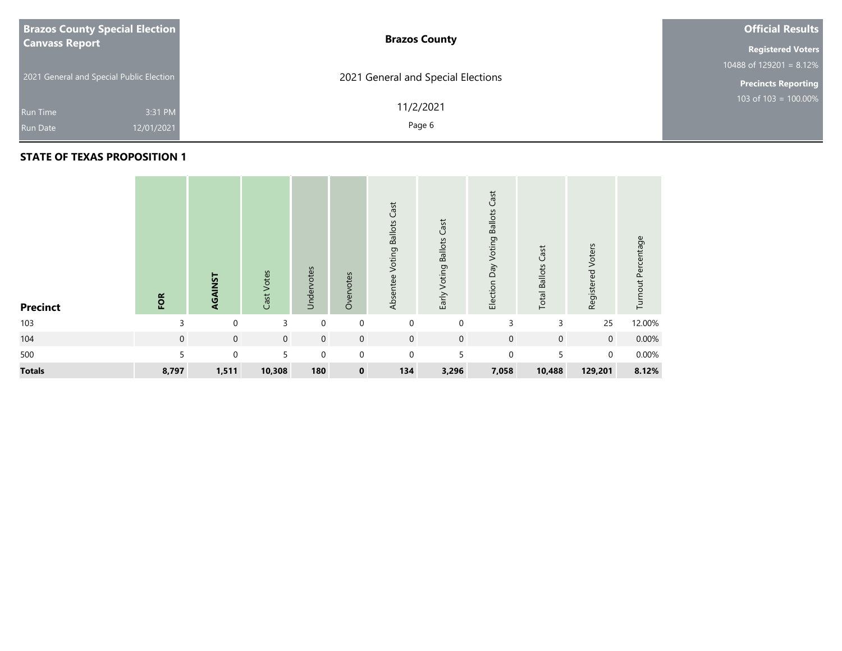| <b>Brazos County Special Election</b>    | <b>Brazos County</b>               | <b>Official Results</b>    |
|------------------------------------------|------------------------------------|----------------------------|
| <b>Canvass Report</b>                    |                                    | <b>Registered Voters</b>   |
|                                          |                                    | $10488$ of 129201 = 8.12%  |
| 2021 General and Special Public Election | 2021 General and Special Elections | <b>Precincts Reporting</b> |
| 3:31 PM<br>Run Time                      | 11/2/2021                          | $103$ of $103 = 100.00\%$  |
| 12/01/2021<br><b>Run Date</b>            | Page 6                             |                            |

| <b>Precinct</b> | FOR            | AGAINST     | Cast Votes  | Undervotes  | Overvotes      | Cast<br>Voting Ballots<br>Absentee | Voting Ballots Cast<br>Early | Cast<br><b>Ballots</b><br>Election Day Voting | Cast<br><b>Total Ballots</b> | Registered Voters | Turnout Percentage |
|-----------------|----------------|-------------|-------------|-------------|----------------|------------------------------------|------------------------------|-----------------------------------------------|------------------------------|-------------------|--------------------|
| 103             | 3              | $\Omega$    | 3           | $\Omega$    | $\mathbf 0$    | $\mathbf 0$                        | $\mathbf 0$                  | 3                                             | 3                            | 25                | 12.00%             |
| 104             | $\overline{0}$ | $\mathbf 0$ | $\mathbf 0$ | $\mathbf 0$ | $\overline{0}$ | $\overline{0}$                     | $\mathbf 0$                  | $\mathbf 0$                                   | $\mathbf 0$                  | $\overline{0}$    | 0.00%              |
| 500             | 5              | $\Omega$    | 5           | $\Omega$    | $\mathbf 0$    | $\mathbf 0$                        | 5                            | $\mathbf 0$                                   | 5                            | $\mathbf 0$       | 0.00%              |
| <b>Totals</b>   | 8,797          | 1,511       | 10,308      | 180         | $\mathbf 0$    | 134                                | 3,296                        | 7,058                                         | 10,488                       | 129,201           | 8.12%              |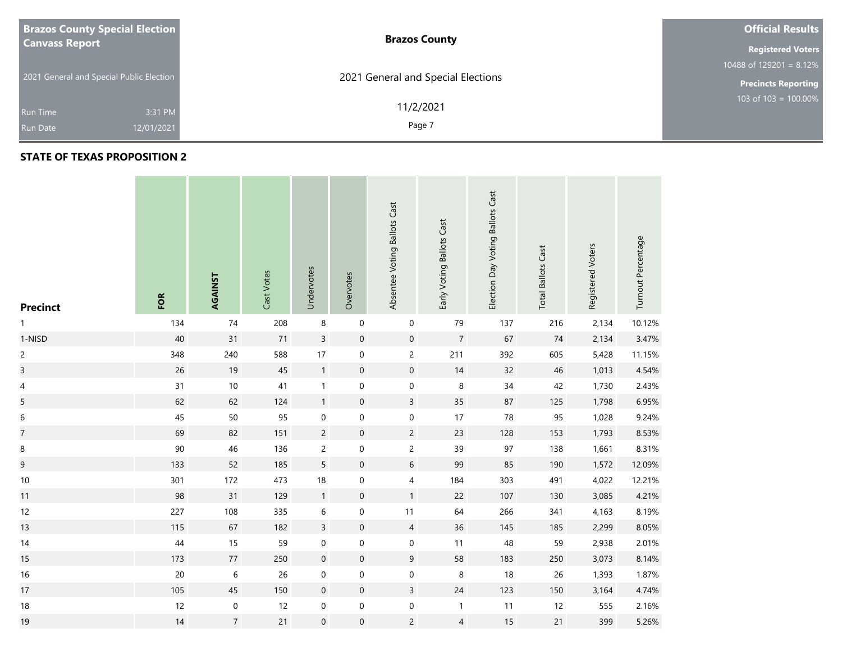| <b>Brazos County Special Election</b>    | <b>Brazos County</b>               | <b>Official Results</b>    |  |  |  |
|------------------------------------------|------------------------------------|----------------------------|--|--|--|
| <b>Canvass Report</b>                    |                                    |                            |  |  |  |
|                                          |                                    | 10488 of 129201 = $8.12\%$ |  |  |  |
| 2021 General and Special Public Election | 2021 General and Special Elections | <b>Precincts Reporting</b> |  |  |  |
| 3:31 PM<br><b>Run Time</b>               | 11/2/2021                          | $103$ of 103 = 100.00%     |  |  |  |
| 12/01/2021<br><b>Run Date</b>            | Page 7                             |                            |  |  |  |

### **STATE OF TEXAS PROPOSITION 2**

**Contract** 

| <b>Precinct</b>         | FOR    | AGAINST        | Cast Votes | Undervotes          | Overvotes           | Absentee Voting Ballots Cast | Early Voting Ballots Cast | Election Day Voting Ballots Cast | <b>Total Ballots Cast</b> | Registered Voters | Turnout Percentage |
|-------------------------|--------|----------------|------------|---------------------|---------------------|------------------------------|---------------------------|----------------------------------|---------------------------|-------------------|--------------------|
|                         | 134    | 74             | 208        | $\,8\,$             | $\mathbf 0$         | $\pmb{0}$                    | 79                        | 137                              | 216                       | 2,134             | 10.12%             |
| 1-NISD                  | $40\,$ | 31             | $71$       | $\mathsf{3}$        | $\mathsf{O}\xspace$ | $\pmb{0}$                    | $\overline{7}$            | 67                               | 74                        | 2,134             | 3.47%              |
| $\overline{c}$          | 348    | 240            | 588        | $17\,$              | $\boldsymbol{0}$    | $\overline{c}$               | 211                       | 392                              | 605                       | 5,428             | 11.15%             |
| $\overline{\mathbf{3}}$ | 26     | 19             | 45         | $\mathbf{1}$        | $\mathsf{O}\xspace$ | $\mathbf 0$                  | 14                        | 32                               | 46                        | 1,013             | 4.54%              |
| $\overline{4}$          | 31     | $10\,$         | 41         | $\mathbf{1}$        | 0                   | 0                            | 8                         | $34\,$                           | 42                        | 1,730             | 2.43%              |
| 5                       | 62     | 62             | 124        | $\mathbf{1}$        | $\boldsymbol{0}$    | $\overline{3}$               | 35                        | 87                               | 125                       | 1,798             | 6.95%              |
| $\boldsymbol{6}$        | $45\,$ | 50             | 95         | $\mathbf 0$         | $\mathbf 0$         | $\pmb{0}$                    | 17                        | 78                               | 95                        | 1,028             | 9.24%              |
| $\overline{7}$          | 69     | 82             | 151        | $\overline{c}$      | $\boldsymbol{0}$    | $\overline{c}$               | 23                        | 128                              | 153                       | 1,793             | 8.53%              |
| $\,8\,$                 | 90     | 46             | 136        | $\overline{c}$      | $\mathbf 0$         | $\overline{c}$               | 39                        | 97                               | 138                       | 1,661             | 8.31%              |
| $\overline{9}$          | 133    | 52             | 185        | 5                   | $\mathsf{O}\xspace$ | $\sqrt{6}$                   | 99                        | 85                               | 190                       | 1,572             | 12.09%             |
| $10\,$                  | 301    | 172            | 473        | $18\,$              | $\boldsymbol{0}$    | $\overline{4}$               | 184                       | 303                              | 491                       | 4,022             | 12.21%             |
| 11                      | 98     | 31             | 129        | $\mathbf{1}$        | $\pmb{0}$           | 1                            | 22                        | 107                              | 130                       | 3,085             | 4.21%              |
| 12                      | 227    | 108            | 335        | 6                   | 0                   | 11                           | 64                        | 266                              | 341                       | 4,163             | 8.19%              |
| 13                      | 115    | 67             | 182        | $\overline{3}$      | $\mathbf 0$         | $\overline{4}$               | 36                        | 145                              | 185                       | 2,299             | 8.05%              |
| 14                      | $44\,$ | 15             | 59         | $\mathbf 0$         | $\boldsymbol{0}$    | $\pmb{0}$                    | 11                        | 48                               | 59                        | 2,938             | 2.01%              |
| 15                      | 173    | $77\,$         | 250        | $\mathbf 0$         | $\boldsymbol{0}$    | $9\,$                        | 58                        | 183                              | 250                       | 3,073             | 8.14%              |
| $16$                    | $20\,$ | $\,$ 6 $\,$    | 26         | $\mathbf 0$         | $\boldsymbol{0}$    | $\boldsymbol{0}$             | 8                         | 18                               | 26                        | 1,393             | 1.87%              |
| 17                      | 105    | 45             | 150        | $\boldsymbol{0}$    | $\mathsf{O}\xspace$ | $\overline{3}$               | $24$                      | 123                              | 150                       | 3,164             | 4.74%              |
| $18\,$                  | 12     | $\pmb{0}$      | 12         | $\pmb{0}$           | 0                   | $\boldsymbol{0}$             | $\mathbf{1}$              | 11                               | 12                        | 555               | 2.16%              |
| 19                      | $14$   | $\overline{7}$ | 21         | $\mathsf{O}\xspace$ | $\mathsf{O}\xspace$ | $\overline{c}$               | $\overline{4}$            | 15                               | 21                        | 399               | 5.26%              |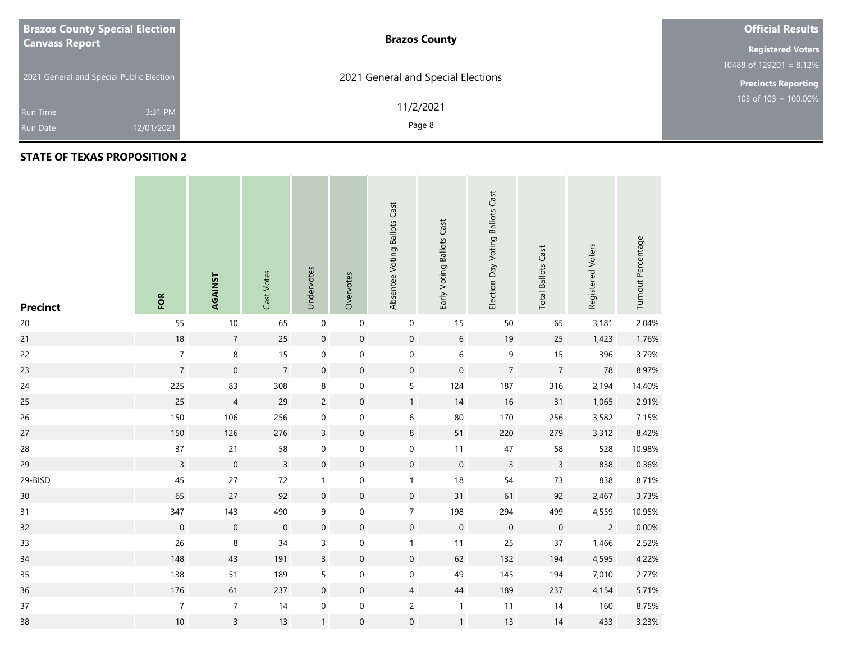| <b>Brazos County Special Election</b>    | <b>Brazos County</b>               | <b>Official Results</b>    |
|------------------------------------------|------------------------------------|----------------------------|
| <b>Canvass Report</b>                    | <b>Registered Voters</b>           |                            |
|                                          |                                    | 10488 of $129201 = 8.12\%$ |
| 2021 General and Special Public Election | 2021 General and Special Elections | <b>Precincts Reporting</b> |
|                                          | 11/2/2021                          | 103 of $103 = 100.00\%$    |
| 3:31 PM<br><b>Run Time</b>               |                                    |                            |
| 12/01/2021<br><b>Run Date</b>            | Page 8                             |                            |

| <b>Precinct</b> | FOR              | AGAINST             | Cast Votes     | Undervotes          | Overvotes           | Absentee Voting Ballots Cast | Early Voting Ballots Cast | Election Day Voting Ballots Cast | <b>Total Ballots Cast</b> | Registered Voters | Turnout Percentage |
|-----------------|------------------|---------------------|----------------|---------------------|---------------------|------------------------------|---------------------------|----------------------------------|---------------------------|-------------------|--------------------|
| $20\,$          | 55               | $10\,$              | 65             | $\pmb{0}$           | $\pmb{0}$           | 0                            | 15                        | 50                               | 65                        | 3,181             | 2.04%              |
| 21              | $18\,$           | $\sqrt{7}$          | 25             | $\mathbf 0$         | $\boldsymbol{0}$    | $\boldsymbol{0}$             | $\sqrt{6}$                | 19                               | 25                        | 1,423             | 1.76%              |
| 22              | $\overline{7}$   | $\,8\,$             | 15             | $\boldsymbol{0}$    | $\mathbf 0$         | $\boldsymbol{0}$             | $\,$ 6 $\,$               | $\mathsf 9$                      | 15                        | 396               | 3.79%              |
| 23              | $\overline{7}$   | $\mathbf 0$         | $\overline{7}$ | $\mathbf 0$         | $\pmb{0}$           | $\pmb{0}$                    | $\mathbf 0$               | $\sqrt{7}$                       | $\overline{7}$            | 78                | 8.97%              |
| 24              | 225              | 83                  | 308            | $\,8\,$             | $\pmb{0}$           | 5                            | 124                       | 187                              | 316                       | 2,194             | 14.40%             |
| 25              | 25               | $\overline{4}$      | 29             | $\overline{c}$      | $\mathsf{O}\xspace$ | 1                            | 14                        | $16\,$                           | 31                        | 1,065             | 2.91%              |
| 26              | 150              | 106                 | 256            | $\boldsymbol{0}$    | $\pmb{0}$           | 6                            | $80\,$                    | 170                              | 256                       | 3,582             | 7.15%              |
| 27              | 150              | 126                 | 276            | $\mathsf{3}$        | $\pmb{0}$           | $\,$ 8 $\,$                  | 51                        | 220                              | 279                       | 3,312             | 8.42%              |
| 28              | $37\,$           | 21                  | 58             | 0                   | $\pmb{0}$           | 0                            | 11                        | $47\,$                           | 58                        | 528               | 10.98%             |
| 29              | $\overline{3}$   | $\mathsf{O}\xspace$ | $\overline{3}$ | $\mathsf{O}\xspace$ | $\pmb{0}$           | $\mathsf{O}\xspace$          | $\mathbf 0$               | $\overline{3}$                   | $\mathsf{3}$              | 838               | 0.36%              |
| 29-BISD         | 45               | 27                  | 72             | $\mathbf{1}$        | $\boldsymbol{0}$    | $\mathbf{1}$                 | $18$                      | 54                               | $73$                      | 838               | 8.71%              |
| 30              | 65               | 27                  | 92             | $\mathbf 0$         | $\pmb{0}$           | $\mathsf{O}\xspace$          | 31                        | 61                               | 92                        | 2,467             | 3.73%              |
| 31              | 347              | 143                 | 490            | 9                   | $\mathbf 0$         | $\overline{7}$               | 198                       | 294                              | 499                       | 4,559             | 10.95%             |
| 32              | $\boldsymbol{0}$ | $\mathbf 0$         | $\mathbf 0$    | $\mathbf 0$         | $\boldsymbol{0}$    | $\mathbf 0$                  | $\mathbf 0$               | $\boldsymbol{0}$                 | $\boldsymbol{0}$          | $\overline{c}$    | 0.00%              |
| 33              | 26               | $\,8\,$             | 34             | $\mathsf{3}$        | $\pmb{0}$           | $\mathbf{1}$                 | 11                        | 25                               | $37\,$                    | 1,466             | 2.52%              |
| 34              | 148              | 43                  | 191            | $\mathsf{3}$        | $\pmb{0}$           | $\mathsf{O}\xspace$          | 62                        | 132                              | 194                       | 4,595             | 4.22%              |
| 35              | 138              | 51                  | 189            | $\sqrt{5}$          | $\boldsymbol{0}$    | $\boldsymbol{0}$             | 49                        | 145                              | 194                       | 7,010             | 2.77%              |
| 36              | 176              | 61                  | 237            | $\boldsymbol{0}$    | $\pmb{0}$           | $\overline{4}$               | $44\,$                    | 189                              | 237                       | 4,154             | 5.71%              |
| $37\,$          | $\overline{7}$   | $\overline{7}$      | 14             | $\boldsymbol{0}$    | $\pmb{0}$           | $\overline{c}$               | $\mathbf{1}$              | 11                               | 14                        | 160               | 8.75%              |
| 38              | $10\,$           | $\overline{3}$      | 13             | $\mathbf{1}$        | $\boldsymbol{0}$    | $\boldsymbol{0}$             | $\mathbf{1}$              | 13                               | 14                        | 433               | 3.23%              |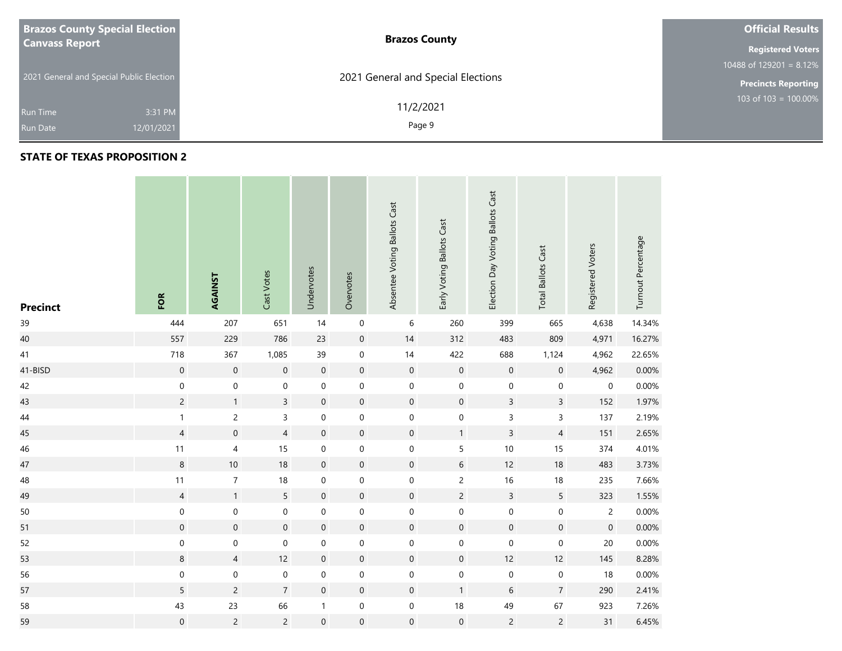| <b>Brazos County Special Election</b>    | <b>Brazos County</b>               | <b>Official Results</b>    |
|------------------------------------------|------------------------------------|----------------------------|
| <b>Canvass Report</b>                    |                                    | <b>Registered Voters</b>   |
|                                          |                                    | 10488 of $129201 = 8.12\%$ |
| 2021 General and Special Public Election | 2021 General and Special Elections | <b>Precincts Reporting</b> |
| 3:31 PM<br><b>Run Time</b>               | 11/2/2021                          | 103 of 103 = $100.00\%$    |
| 12/01/2021<br><b>Run Date</b>            | Page 9                             |                            |
|                                          |                                    |                            |

| <b>Precinct</b> | FOR              | AGAINST          | Cast Votes       | Undervotes          | Overvotes           | Absentee Voting Ballots Cast | Early Voting Ballots Cast | Election Day Voting Ballots Cast | <b>Total Ballots Cast</b> | Registered Voters | Turnout Percentage |
|-----------------|------------------|------------------|------------------|---------------------|---------------------|------------------------------|---------------------------|----------------------------------|---------------------------|-------------------|--------------------|
| 39              | 444              | 207              | 651              | 14                  | $\mathsf{O}\xspace$ | $\,6\,$                      | 260                       | 399                              | 665                       | 4,638             | 14.34%             |
| 40              | 557              | 229              | 786              | 23                  | $\pmb{0}$           | $14$                         | 312                       | 483                              | 809                       | 4,971             | 16.27%             |
| 41              | 718              | 367              | 1,085            | 39                  | $\boldsymbol{0}$    | $14$                         | 422                       | 688                              | 1,124                     | 4,962             | 22.65%             |
| 41-BISD         | $\mathbf 0$      | $\mathbf 0$      | $\boldsymbol{0}$ | $\mathbf 0$         | $\boldsymbol{0}$    | $\boldsymbol{0}$             | $\mathbf 0$               | $\mathbf 0$                      | $\mathsf{O}\xspace$       | 4,962             | 0.00%              |
| 42              | $\pmb{0}$        | $\boldsymbol{0}$ | $\boldsymbol{0}$ | $\boldsymbol{0}$    | $\mathbf 0$         | $\boldsymbol{0}$             | $\mathbf 0$               | $\pmb{0}$                        | $\pmb{0}$                 | 0                 | 0.00%              |
| 43              | $\overline{c}$   | $\mathbf{1}$     | $\overline{3}$   | $\mathbf 0$         | $\boldsymbol{0}$    | $\mathbf 0$                  | $\mathbf 0$               | $\mathsf{3}$                     | $\mathsf{3}$              | 152               | 1.97%              |
| $44\,$          | $\mathbf{1}$     | $\overline{c}$   | $\overline{3}$   | $\boldsymbol{0}$    | $\mathbf 0$         | $\boldsymbol{0}$             | $\mathsf{O}\xspace$       | $\mathsf 3$                      | 3                         | 137               | 2.19%              |
| 45              | $\overline{4}$   | $\mathbf 0$      | $\overline{4}$   | $\mathbf 0$         | $\boldsymbol{0}$    | $\boldsymbol{0}$             | $\mathbf{1}$              | $\overline{3}$                   | $\overline{4}$            | 151               | 2.65%              |
| 46              | 11               | $\sqrt{4}$       | $15\,$           | $\boldsymbol{0}$    | $\mathbf 0$         | $\boldsymbol{0}$             | 5                         | $10$                             | 15                        | 374               | 4.01%              |
| 47              | $\,8\,$          | $10$             | $18\,$           | $\mathbf 0$         | $\boldsymbol{0}$    | $\mathsf{O}\xspace$          | $6\,$                     | 12                               | 18                        | 483               | 3.73%              |
| 48              | 11               | $\boldsymbol{7}$ | $18\,$           | $\boldsymbol{0}$    | $\mathbf 0$         | $\boldsymbol{0}$             | $\overline{c}$            | 16                               | 18                        | 235               | 7.66%              |
| 49              | $\overline{4}$   | $\mathbf{1}$     | 5                | $\mathbf 0$         | $\mathbf 0$         | $\boldsymbol{0}$             | $\overline{2}$            | $\mathsf{3}$                     | $5\overline{)}$           | 323               | 1.55%              |
| 50              | $\pmb{0}$        | $\mathbf 0$      | $\pmb{0}$        | $\mathbf 0$         | $\mathbf 0$         | $\boldsymbol{0}$             | $\mathsf{O}\xspace$       | $\mathbf 0$                      | $\boldsymbol{0}$          | $\overline{c}$    | 0.00%              |
| 51              | $\boldsymbol{0}$ | $\mathbf 0$      | $\mathbf 0$      | $\mathbf 0$         | $\boldsymbol{0}$    | $\boldsymbol{0}$             | $\mathbf 0$               | $\mathbf 0$                      | $\mathsf{O}\xspace$       | $\mathbf 0$       | 0.00%              |
| 52              | $\pmb{0}$        | $\boldsymbol{0}$ | $\pmb{0}$        | $\boldsymbol{0}$    | $\mathbf 0$         | $\boldsymbol{0}$             | $\mathbf 0$               | $\mathbf 0$                      | $\pmb{0}$                 | $20\,$            | 0.00%              |
| 53              | $\,8\,$          | $\overline{4}$   | 12               | $\mathbf 0$         | $\boldsymbol{0}$    | $\boldsymbol{0}$             | $\mathbf 0$               | 12                               | 12                        | 145               | 8.28%              |
| 56              | $\pmb{0}$        | $\mathbf 0$      | $\pmb{0}$        | $\boldsymbol{0}$    | $\pmb{0}$           | $\boldsymbol{0}$             | $\,0\,$                   | $\pmb{0}$                        | $\pmb{0}$                 | 18                | 0.00%              |
| 57              | 5                | $\overline{2}$   | $\overline{7}$   | $\mathbf 0$         | $\boldsymbol{0}$    | $\mathsf{O}\xspace$          | $\mathbf{1}$              | 6                                | $\overline{7}$            | 290               | 2.41%              |
| 58              | 43               | 23               | 66               | $\mathbf{1}$        | $\mathbf 0$         | $\boldsymbol{0}$             | $18\,$                    | 49                               | 67                        | 923               | 7.26%              |
| 59              | $\mathbf 0$      | $\overline{c}$   | $\overline{2}$   | $\mathsf{O}\xspace$ | $\mathsf{O}\xspace$ | $\boldsymbol{0}$             | $\mbox{O}$                | $\overline{c}$                   | $\overline{c}$            | 31                | 6.45%              |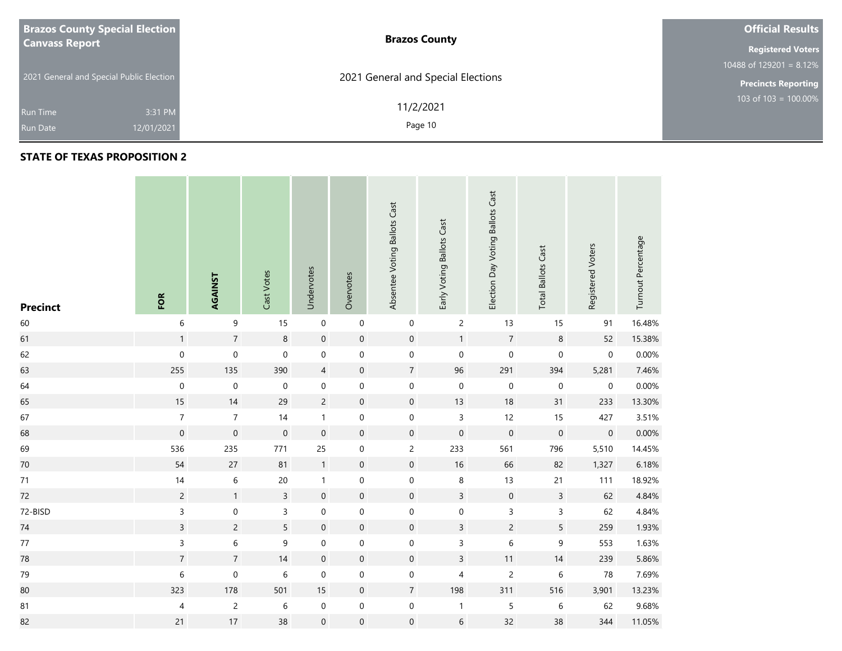| <b>Brazos County Special Election</b>    |            | <b>Brazos County</b>               | <b>Official Results</b>    |
|------------------------------------------|------------|------------------------------------|----------------------------|
| <b>Canvass Report</b>                    |            |                                    | <b>Registered Voters</b>   |
|                                          |            |                                    | 10488 of $129201 = 8.12\%$ |
| 2021 General and Special Public Election |            | 2021 General and Special Elections | <b>Precincts Reporting</b> |
|                                          |            | 11/2/2021                          | 103 of $103 = 100.00\%$    |
| <b>Run Time</b>                          | 3:31 PM    |                                    |                            |
| <b>Run Date</b>                          | 12/01/2021 | Page 10                            |                            |

### **STATE OF TEXAS PROPOSITION 2**

**College** 

| <b>Precinct</b> | FOR                      | AGAINST          | Cast Votes       | Undervotes          | Overvotes        | Absentee Voting Ballots Cast | Early Voting Ballots Cast | Election Day Voting Ballots Cast | <b>Total Ballots Cast</b> | Registered Voters | Turnout Percentage |
|-----------------|--------------------------|------------------|------------------|---------------------|------------------|------------------------------|---------------------------|----------------------------------|---------------------------|-------------------|--------------------|
| 60              | $\,$ 6 $\,$              | $\boldsymbol{9}$ | 15               | $\pmb{0}$           | $\mathbf 0$      | $\mathbf 0$                  | $\overline{c}$            | 13                               | 15                        | 91                | 16.48%             |
| 61              | $\mathbf{1}$             | $\sqrt{7}$       | $\bf 8$          | $\mathbf 0$         | $\boldsymbol{0}$ | $\mathbf 0$                  | $\mathbf{1}$              | $\overline{7}$                   | $\,8\,$                   | 52                | 15.38%             |
| 62              | $\mathsf{O}\xspace$      | $\pmb{0}$        | $\mathbf 0$      | $\pmb{0}$           | $\boldsymbol{0}$ | $\mathbf 0$                  | $\mathbf 0$               | $\mathbf 0$                      | $\pmb{0}$                 | $\mathbf 0$       | 0.00%              |
| 63              | 255                      | 135              | 390              | $\overline{4}$      | $\boldsymbol{0}$ | $\overline{7}$               | 96                        | 291                              | 394                       | 5,281             | 7.46%              |
| 64              | $\mathbf 0$              | $\mathbf 0$      | $\boldsymbol{0}$ | $\mathbf 0$         | $\pmb{0}$        | $\boldsymbol{0}$             | $\boldsymbol{0}$          | $\pmb{0}$                        | $\pmb{0}$                 | $\pmb{0}$         | 0.00%              |
| 65              | $15\,$                   | 14               | 29               | $\overline{c}$      | $\mathbf 0$      | $\mathsf{O}\xspace$          | 13                        | 18                               | 31                        | 233               | 13.30%             |
| 67              | $\overline{7}$           | $\overline{7}$   | 14               | $\mathbf{1}$        | $\mathbf 0$      | $\mathbf 0$                  | $\mathsf{3}$              | 12                               | 15                        | 427               | 3.51%              |
| 68              | $\boldsymbol{0}$         | $\mathbf 0$      | $\boldsymbol{0}$ | $\mathbf 0$         | $\boldsymbol{0}$ | $\mathsf{O}\xspace$          | $\boldsymbol{0}$          | $\mathbf 0$                      | $\mathbf 0$               | $\mathbf 0$       | 0.00%              |
| 69              | 536                      | 235              | 771              | 25                  | $\boldsymbol{0}$ | $\overline{c}$               | 233                       | 561                              | 796                       | 5,510             | 14.45%             |
| 70              | 54                       | 27               | 81               | $\overline{1}$      | $\pmb{0}$        | $\mathsf{O}\xspace$          | $16\,$                    | 66                               | 82                        | 1,327             | 6.18%              |
| $71\,$          | 14                       | $\,$ 6 $\,$      | $20\,$           | $\mathbf{1}$        | $\boldsymbol{0}$ | $\mathbf 0$                  | $\bf 8$                   | 13                               | 21                        | 111               | 18.92%             |
| 72              | $\overline{c}$           | $\mathbf{1}$     | $\overline{3}$   | $\mathbf 0$         | $\pmb{0}$        | $\mathsf{O}\xspace$          | $\overline{3}$            | $\mathbf 0$                      | $\overline{3}$            | 62                | 4.84%              |
| 72-BISD         | $\mathsf{3}$             | 0                | 3                | $\mathbf 0$         | 0                | $\boldsymbol{0}$             | 0                         | 3                                | 3                         | 62                | 4.84%              |
| $74\,$          | $\overline{3}$           | $\overline{c}$   | 5                | $\mathbf 0$         | $\pmb{0}$        | $\mathbf 0$                  | $\overline{3}$            | $\overline{c}$                   | 5                         | 259               | 1.93%              |
| 77              | $\mathsf{3}$             | 6                | 9                | $\boldsymbol{0}$    | $\boldsymbol{0}$ | $\mathbf 0$                  | $\mathsf{3}$              | $\,$ 6 $\,$                      | 9                         | 553               | 1.63%              |
| 78              | $\overline{7}$           | $\overline{7}$   | 14               | $\mathbf 0$         | $\boldsymbol{0}$ | $\mathbf 0$                  | $\mathsf{3}$              | 11                               | 14                        | 239               | 5.86%              |
| 79              | $\,$ 6 $\,$              | $\mathbf 0$      | $\,$ 6 $\,$      | $\mathbf 0$         | $\boldsymbol{0}$ | $\boldsymbol{0}$             | $\overline{4}$            | $\overline{c}$                   | 6                         | 78                | 7.69%              |
| 80              | 323                      | 178              | 501              | 15                  | $\pmb{0}$        | $\overline{7}$               | 198                       | 311                              | 516                       | 3,901             | 13.23%             |
| 81              | $\overline{\mathcal{L}}$ | $\overline{c}$   | $\,$ 6 $\,$      | $\pmb{0}$           | $\pmb{0}$        | $\boldsymbol{0}$             | $\mathbf{1}$              | 5                                | $\,$ 6 $\,$               | 62                | 9.68%              |
| 82              | 21                       | 17               | 38               | $\mathsf{O}\xspace$ | $\mathbf 0$      | $\mathsf{O}\xspace$          | $\,$ 6 $\,$               | 32                               | 38                        | 344               | 11.05%             |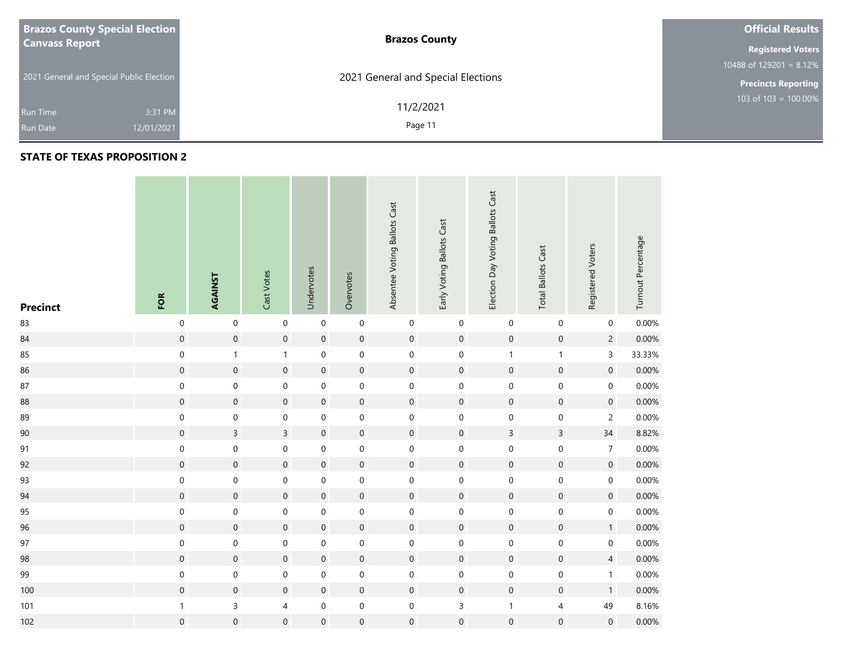| <b>Brazos County Special Election</b>    | <b>Brazos County</b>               | <b>Official Results</b>    |
|------------------------------------------|------------------------------------|----------------------------|
| <b>Canvass Report</b>                    |                                    | <b>Registered Voters</b>   |
|                                          |                                    | 10488 of 129201 = $8.12\%$ |
| 2021 General and Special Public Election | 2021 General and Special Elections | <b>Precincts Reporting</b> |
| 3:31 PM<br><b>Run Time</b>               | 11/2/2021                          | 103 of $103 = 100.00\%$    |
| 12/01/2021<br><b>Run Date</b>            | Page 11                            |                            |

| <b>Precinct</b> | FOR                 | AGAINST          | Cast Votes              | Undervotes       | Overvotes           | Absentee Voting Ballots Cast | Early Voting Ballots Cast | Election Day Voting Ballots Cast | <b>Total Ballots Cast</b> | Registered Voters   | Turnout Percentage |
|-----------------|---------------------|------------------|-------------------------|------------------|---------------------|------------------------------|---------------------------|----------------------------------|---------------------------|---------------------|--------------------|
| 83              | 0                   | $\boldsymbol{0}$ | $\pmb{0}$               | $\pmb{0}$        | 0                   | $\boldsymbol{0}$             | $\mathsf{O}\xspace$       | $\boldsymbol{0}$                 | $\pmb{0}$                 | $\mathsf{O}\xspace$ | 0.00%              |
| 84              | $\mathbf 0$         | $\mathbf 0$      | $\boldsymbol{0}$        | $\mathbf 0$      | $\boldsymbol{0}$    | $\mathbf 0$                  | $\mathbf 0$               | $\mathbf 0$                      | $\boldsymbol{0}$          | $\overline{c}$      | 0.00%              |
| 85              | $\pmb{0}$           | $\mathbf{1}$     | $\mathbf{1}$            | $\pmb{0}$        | $\mathbf 0$         | $\mathbf 0$                  | $\mathsf{O}\xspace$       | $\mathbf{1}$                     | $\mathbf{1}$              | $\mathsf{3}$        | 33.33%             |
| 86              | $\boldsymbol{0}$    | $\mathbf 0$      | $\boldsymbol{0}$        | $\mathbf 0$      | $\boldsymbol{0}$    | $\mathbf 0$                  | $\mathbf 0$               | $\mathbf 0$                      | $\boldsymbol{0}$          | $\mathsf{O}\xspace$ | 0.00%              |
| 87              | $\mathsf{O}\xspace$ | $\mathbf 0$      | $\boldsymbol{0}$        | $\boldsymbol{0}$ | $\mathbf 0$         | $\pmb{0}$                    | $\mathsf{O}\xspace$       | $\mathsf{O}\xspace$              | $\boldsymbol{0}$          | $\mathsf{O}\xspace$ | 0.00%              |
| 88              | $\mathsf{O}\xspace$ | $\mathbf 0$      | $\mathbf 0$             | $\mathbf 0$      | $\mathsf{O}\xspace$ | $\mathsf{O}\xspace$          | $\mathbf 0$               | $\mathbf 0$                      | $\boldsymbol{0}$          | $\mathsf{O}\xspace$ | 0.00%              |
| 89              | $\pmb{0}$           | $\boldsymbol{0}$ | $\mathbf 0$             | $\mathbf 0$      | $\boldsymbol{0}$    | $\boldsymbol{0}$             | $\mathsf{O}\xspace$       | $\mathbf 0$                      | $\mathsf{O}\xspace$       | $\overline{c}$      | 0.00%              |
| 90              | $\mathsf{O}\xspace$ | $\overline{3}$   | $\overline{3}$          | $\mathbf 0$      | $\mathbf 0$         | $\mathsf{O}\xspace$          | $\boldsymbol{0}$          | $\overline{3}$                   | $\overline{3}$            | 34                  | 8.82%              |
| 91              | $\mathbf 0$         | $\boldsymbol{0}$ | $\boldsymbol{0}$        | $\pmb{0}$        | $\boldsymbol{0}$    | $\boldsymbol{0}$             | $\mathbf 0$               | $\mathsf{O}\xspace$              | $\mathbf 0$               | $\overline{7}$      | 0.00%              |
| 92              | $\mathbf 0$         | $\mathbf 0$      | $\mathbf 0$             | $\mathbf 0$      | $\mathbf 0$         | $\mathbf 0$                  | $\mathbf 0$               | $\mathsf{O}\xspace$              | $\mathsf{O}\xspace$       | $\mathsf{O}\xspace$ | 0.00%              |
| 93              | $\mathbf 0$         | $\boldsymbol{0}$ | $\boldsymbol{0}$        | $\mathbf 0$      | $\boldsymbol{0}$    | $\boldsymbol{0}$             | $\mathsf{O}\xspace$       | $\mathbf 0$                      | $\mathbf 0$               | $\mathbf 0$         | 0.00%              |
| 94              | $\mathsf{O}\xspace$ | $\mathbf 0$      | $\boldsymbol{0}$        | $\mathbf 0$      | $\mathsf{O}\xspace$ | $\mathsf{O}\xspace$          | $\mathbf 0$               | $\mathbf 0$                      | $\boldsymbol{0}$          | $\mathsf{O}\xspace$ | 0.00%              |
| 95              | $\mathbf 0$         | $\mathbf 0$      | $\boldsymbol{0}$        | $\mathbf 0$      | $\mathbf 0$         | $\pmb{0}$                    | $\mathbf 0$               | $\mathsf{O}\xspace$              | $\mathsf{O}\xspace$       | $\mathsf{O}\xspace$ | 0.00%              |
| 96              | $\boldsymbol{0}$    | $\mathbf 0$      | $\boldsymbol{0}$        | $\mathbf 0$      | $\boldsymbol{0}$    | $\mathbf 0$                  | $\boldsymbol{0}$          | $\mathbf 0$                      | $\boldsymbol{0}$          | $\mathbf{1}$        | 0.00%              |
| 97              | $\pmb{0}$           | $\boldsymbol{0}$ | $\boldsymbol{0}$        | $\mathbf 0$      | $\boldsymbol{0}$    | $\mathbf 0$                  | $\mathsf{O}\xspace$       | $\mathbf 0$                      | $\mathbf 0$               | $\mathsf{O}\xspace$ | 0.00%              |
| 98              | $\boldsymbol{0}$    | $\mathbf 0$      | $\boldsymbol{0}$        | $\mathbf 0$      | $\boldsymbol{0}$    | $\mathbf 0$                  | $\mathbf 0$               | $\mathbf 0$                      | $\boldsymbol{0}$          | $\overline{4}$      | 0.00%              |
| 99              | $\pmb{0}$           | $\boldsymbol{0}$ | $\mathbf 0$             | $\mathbf 0$      | $\pmb{0}$           | $\pmb{0}$                    | $\mathsf{O}\xspace$       | $\mathbf 0$                      | $\mathbf 0$               | $\mathbf{1}$        | 0.00%              |
| 100             | $\mathsf{O}\xspace$ | $\mathbf 0$      | $\boldsymbol{0}$        | $\mathbf 0$      | $\mathsf{O}\xspace$ | $\mathsf{O}\xspace$          | $\mathbf 0$               | $\mathbf 0$                      | $\boldsymbol{0}$          | $\mathbf{1}$        | 0.00%              |
| 101             | $\mathbf{1}$        | $\mathsf{3}$     | $\overline{\mathbf{4}}$ | $\boldsymbol{0}$ | $\pmb{0}$           | $\mathbf 0$                  | $\mathsf{3}$              | $\mathbf{1}$                     | $\overline{4}$            | 49                  | 8.16%              |
| 102             | $\mathbf 0$         | $\boldsymbol{0}$ | $\boldsymbol{0}$        | $\boldsymbol{0}$ | $\mathsf{O}\xspace$ | $\mathsf{O}\xspace$          | $\mathbf 0$               | $\mathbf 0$                      | $\boldsymbol{0}$          | $\mathbf 0$         | 0.00%              |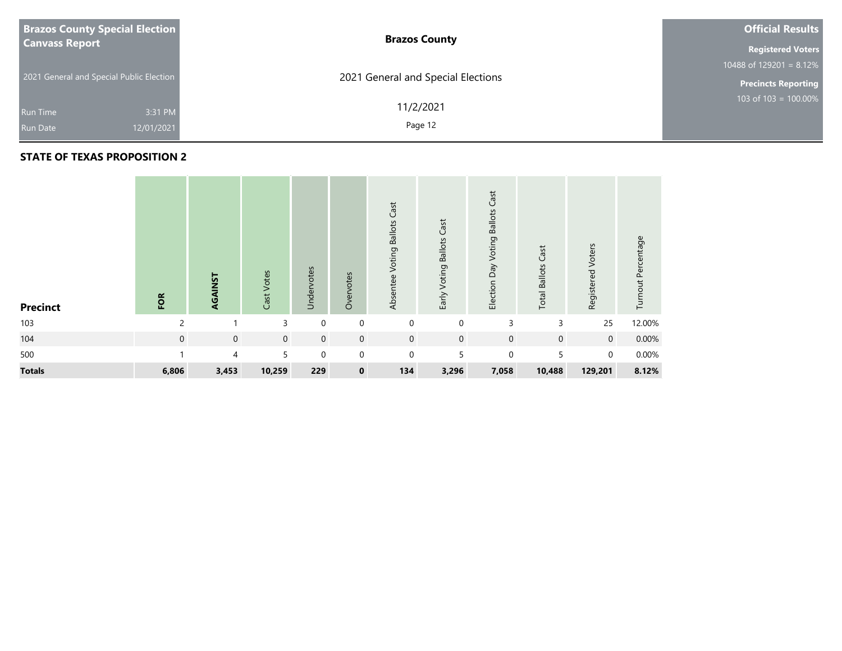| <b>Brazos County Special Election</b>    | <b>Brazos County</b>               | <b>Official Results</b>               |
|------------------------------------------|------------------------------------|---------------------------------------|
| <b>Canvass Report</b>                    |                                    | <b>Registered Voters</b>              |
|                                          |                                    | 10488 of $129\overline{201} = 8.12\%$ |
| 2021 General and Special Public Election | 2021 General and Special Elections | <b>Precincts Reporting</b>            |
|                                          | 11/2/2021                          | 103 of $103 = 100.00\%$               |
| 3:31 PM<br>Run Time                      |                                    |                                       |
| 12/01/2021<br><b>Run Date</b>            | Page 12                            |                                       |

| <b>Precinct</b> | FOR            | AGAINST        | Cast Votes  | Undervotes  | Overvotes      | Cast<br>Voting Ballots<br>Absentee | Voting Ballots Cast<br>Early | Cast<br>Election Day Voting Ballots | Cast<br><b>Total Ballots</b> | Registered Voters | Turnout Percentage |
|-----------------|----------------|----------------|-------------|-------------|----------------|------------------------------------|------------------------------|-------------------------------------|------------------------------|-------------------|--------------------|
| 103             | $\mathfrak{p}$ |                | 3           | $\mathbf 0$ | $\mathbf 0$    | $\mathbf 0$                        | $\mathbf 0$                  | 3                                   | 3                            | 25                | 12.00%             |
| 104             | $\overline{0}$ | $\mathbf 0$    | $\mathbf 0$ | $\mathbf 0$ | $\overline{0}$ | $\mathbf 0$                        | $\mathbf 0$                  | $\mathbf 0$                         | $\mathbf 0$                  | $\overline{0}$    | 0.00%              |
| 500             |                | $\overline{4}$ | 5           | $\mathbf 0$ | $\overline{0}$ | $\mathbf 0$                        | 5                            | $\mathbf 0$                         | 5                            | $\overline{0}$    | 0.00%              |
| <b>Totals</b>   | 6,806          | 3,453          | 10,259      | 229         | $\mathbf 0$    | 134                                | 3,296                        | 7,058                               | 10,488                       | 129,201           | 8.12%              |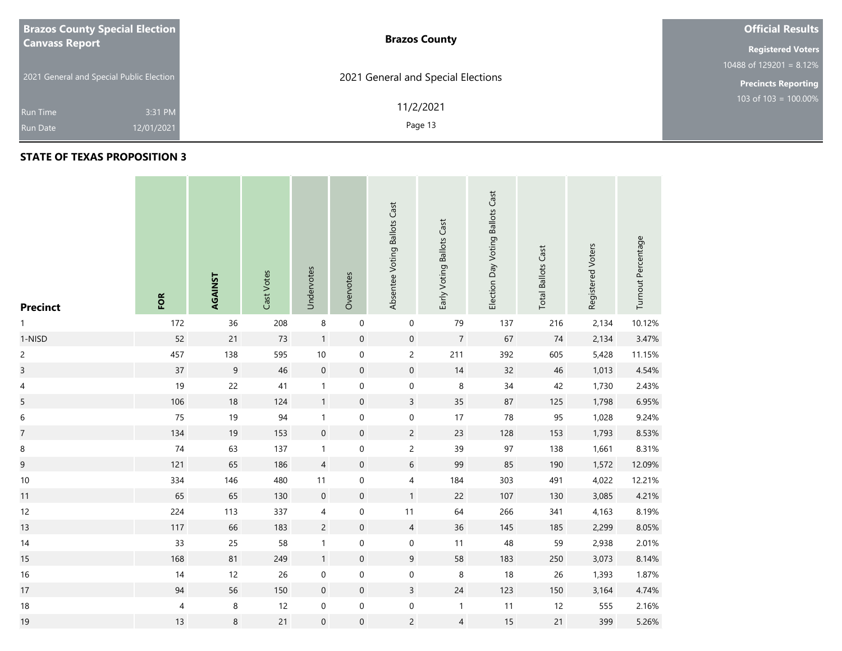| <b>Brazos County Special Election</b>    | <b>Brazos County</b>               | <b>Official Results</b>    |
|------------------------------------------|------------------------------------|----------------------------|
| <b>Canvass Report</b>                    |                                    | <b>Registered Voters</b>   |
|                                          |                                    | 10488 of 129201 = $8.12\%$ |
| 2021 General and Special Public Election | 2021 General and Special Elections | <b>Precincts Reporting</b> |
| 3:31 PM<br><b>Run Time</b>               | 11/2/2021                          | 103 of $103 = 100.00\%$    |
| 12/01/2021<br><b>Run Date</b>            | Page 13                            |                            |

| <b>Precinct</b>          | FOR                      | AGAINST | Cast Votes | Undervotes       | Overvotes        | Absentee Voting Ballots Cast | Early Voting Ballots Cast | Election Day Voting Ballots Cast | <b>Total Ballots Cast</b> | Registered Voters | Turnout Percentage |
|--------------------------|--------------------------|---------|------------|------------------|------------------|------------------------------|---------------------------|----------------------------------|---------------------------|-------------------|--------------------|
| 1                        | 172                      | 36      | 208        | $\,8\,$          | $\boldsymbol{0}$ | $\pmb{0}$                    | 79                        | 137                              | 216                       | 2,134             | 10.12%             |
| 1-NISD                   | 52                       | 21      | 73         | $\mathbf{1}$     | $\mathbf 0$      | $\mathbf 0$                  | $\boldsymbol{7}$          | 67                               | 74                        | 2,134             | 3.47%              |
| $\overline{c}$           | 457                      | 138     | 595        | $10\,$           | $\boldsymbol{0}$ | $\mathsf{2}\,$               | 211                       | 392                              | 605                       | 5,428             | 11.15%             |
| $\overline{3}$           | $37\,$                   | 9       | 46         | $\mathbf 0$      | $\pmb{0}$        | $\mathbf 0$                  | 14                        | 32                               | 46                        | 1,013             | 4.54%              |
| $\overline{\mathcal{A}}$ | 19                       | 22      | $41\,$     | $\mathbf{1}$     | $\mathbf 0$      | $\mathbf 0$                  | $\,8\,$                   | 34                               | 42                        | 1,730             | 2.43%              |
| 5                        | 106                      | $18\,$  | 124        | $\mathbf{1}$     | $\pmb{0}$        | $\mathsf{3}$                 | $35\,$                    | 87                               | 125                       | 1,798             | 6.95%              |
| 6                        | 75                       | 19      | 94         | $\mathbf{1}$     | $\pmb{0}$        | $\mathbf 0$                  | 17                        | ${\bf 78}$                       | 95                        | 1,028             | 9.24%              |
| $\overline{7}$           | 134                      | 19      | 153        | $\mathbf 0$      | $\pmb{0}$        | $\overline{c}$               | 23                        | 128                              | 153                       | 1,793             | 8.53%              |
| 8                        | $74$                     | 63      | 137        | $\mathbf{1}$     | 0                | $\overline{c}$               | 39                        | 97                               | 138                       | 1,661             | 8.31%              |
| 9                        | 121                      | 65      | 186        | $\sqrt{4}$       | $\boldsymbol{0}$ | $6\,$                        | 99                        | 85                               | 190                       | 1,572             | 12.09%             |
| $10\,$                   | 334                      | 146     | 480        | $11$             | 0                | $\overline{\mathcal{A}}$     | 184                       | 303                              | 491                       | 4,022             | 12.21%             |
| 11                       | 65                       | 65      | 130        | $\mathbf 0$      | $\boldsymbol{0}$ | $\mathbf{1}$                 | 22                        | 107                              | 130                       | 3,085             | 4.21%              |
| 12                       | 224                      | 113     | 337        | $\sqrt{4}$       | $\boldsymbol{0}$ | 11                           | 64                        | 266                              | 341                       | 4,163             | 8.19%              |
| 13                       | 117                      | 66      | 183        | $\overline{c}$   | $\boldsymbol{0}$ | $\overline{4}$               | 36                        | 145                              | 185                       | 2,299             | 8.05%              |
| 14                       | 33                       | 25      | 58         | $\mathbf{1}$     | $\pmb{0}$        | $\pmb{0}$                    | 11                        | 48                               | 59                        | 2,938             | 2.01%              |
| 15                       | 168                      | 81      | 249        | $\mathbf{1}$     | $\boldsymbol{0}$ | $9\phantom{.0}$              | 58                        | 183                              | 250                       | 3,073             | 8.14%              |
| $16\,$                   | 14                       | 12      | 26         | $\boldsymbol{0}$ | $\pmb{0}$        | $\pmb{0}$                    | $\,8\,$                   | $18\,$                           | 26                        | 1,393             | 1.87%              |
| 17                       | 94                       | 56      | 150        | $\mathbf 0$      | $\pmb{0}$        | $\mathsf{3}$                 | $24\,$                    | 123                              | 150                       | 3,164             | 4.74%              |
| $18\,$                   | $\overline{\mathcal{A}}$ | $\,8\,$ | 12         | $\pmb{0}$        | $\pmb{0}$        | $\pmb{0}$                    | $\mathbf{1}$              | $11$                             | 12                        | 555               | 2.16%              |
| 19                       | 13                       | 8       | 21         | $\mathbf 0$      | $\boldsymbol{0}$ | $\overline{c}$               | $\overline{4}$            | 15                               | 21                        | 399               | 5.26%              |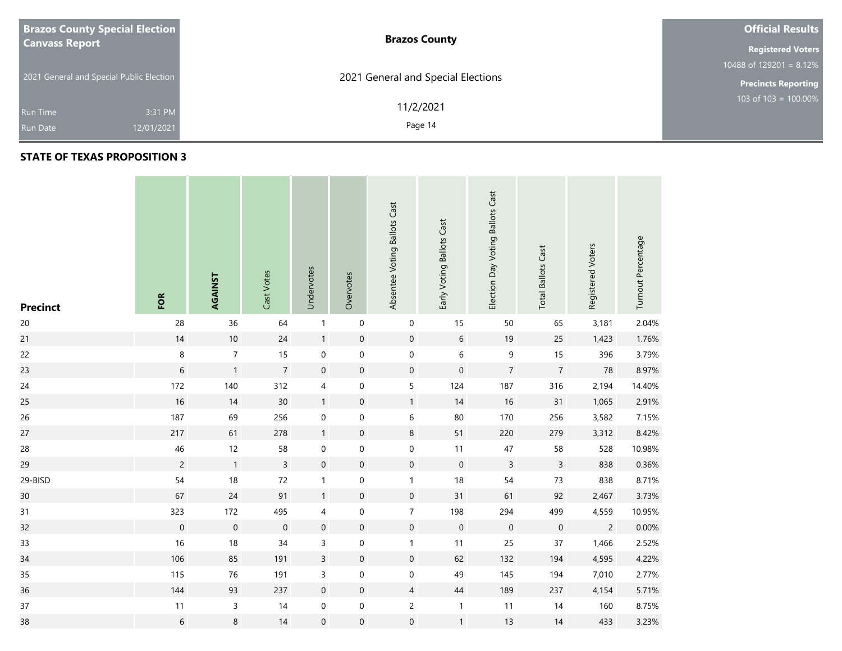| <b>Brazos County Special Election</b>    | <b>Brazos County</b>               | <b>Official Results</b>    |
|------------------------------------------|------------------------------------|----------------------------|
| <b>Canvass Report</b>                    |                                    | <b>Registered Voters</b>   |
|                                          |                                    | 10488 of $129201 = 8.12\%$ |
| 2021 General and Special Public Election | 2021 General and Special Elections | <b>Precincts Reporting</b> |
|                                          | 11/2/2021                          | 103 of $103 = 100.00\%$    |
| 3:31 PM<br><b>Run Time</b>               |                                    |                            |
| 12/01/2021<br><b>Run Date</b>            | Page 14                            |                            |

| <b>Precinct</b> | FOR              | AGAINST          | Cast Votes     | Undervotes          | Overvotes           | Absentee Voting Ballots Cast | Early Voting Ballots Cast | Election Day Voting Ballots Cast | <b>Total Ballots Cast</b> | Registered Voters | Turnout Percentage |
|-----------------|------------------|------------------|----------------|---------------------|---------------------|------------------------------|---------------------------|----------------------------------|---------------------------|-------------------|--------------------|
| $20\,$          | 28               | 36               | 64             | $\mathbf{1}$        | $\pmb{0}$           | 0                            | 15                        | 50                               | 65                        | 3,181             | 2.04%              |
| 21              | $14$             | $10\,$           | $24$           | $\mathbf{1}$        | $\boldsymbol{0}$    | $\boldsymbol{0}$             | $\sqrt{6}$                | 19                               | 25                        | 1,423             | 1.76%              |
| 22              | $\bf 8$          | $\boldsymbol{7}$ | 15             | $\boldsymbol{0}$    | $\mathbf 0$         | $\mathsf{O}\xspace$          | $\,$ 6 $\,$               | $\mathsf 9$                      | 15                        | 396               | 3.79%              |
| 23              | 6                | $\mathbf{1}$     | $\overline{7}$ | $\mathbf 0$         | $\pmb{0}$           | $\pmb{0}$                    | $\mathbf 0$               | $\overline{7}$                   | $\overline{7}$            | 78                | 8.97%              |
| 24              | 172              | 140              | 312            | 4                   | $\pmb{0}$           | 5                            | 124                       | 187                              | 316                       | 2,194             | 14.40%             |
| 25              | 16               | 14               | 30             | $\mathbf{1}$        | $\mathsf{O}\xspace$ | 1                            | 14                        | $16\,$                           | 31                        | 1,065             | 2.91%              |
| 26              | 187              | 69               | 256            | $\boldsymbol{0}$    | $\pmb{0}$           | 6                            | $80\,$                    | 170                              | 256                       | 3,582             | 7.15%              |
| 27              | 217              | 61               | 278            | $\mathbf{1}$        | $\pmb{0}$           | $\,$ 8 $\,$                  | 51                        | 220                              | 279                       | 3,312             | 8.42%              |
| 28              | $46\,$           | 12               | 58             | 0                   | $\pmb{0}$           | 0                            | 11                        | $47\,$                           | 58                        | 528               | 10.98%             |
| 29              | $\overline{c}$   | $\mathbf{1}$     | $\overline{3}$ | $\mathsf{O}\xspace$ | $\pmb{0}$           | $\mathsf{O}\xspace$          | $\mathbf 0$               | $\mathsf{3}$                     | $\mathsf{3}$              | 838               | 0.36%              |
| 29-BISD         | 54               | $18\,$           | $72\,$         | $\mathbf{1}$        | $\boldsymbol{0}$    | $\mathbf{1}$                 | $18$                      | 54                               | $73$                      | 838               | 8.71%              |
| 30              | 67               | $24$             | 91             | $\mathbf{1}$        | $\pmb{0}$           | $\mathbf 0$                  | 31                        | 61                               | 92                        | 2,467             | 3.73%              |
| 31              | 323              | 172              | 495            | 4                   | $\mathbf 0$         | $\overline{7}$               | 198                       | 294                              | 499                       | 4,559             | 10.95%             |
| 32              | $\boldsymbol{0}$ | $\mathbf 0$      | $\mathbf 0$    | $\mathbf 0$         | $\boldsymbol{0}$    | $\mathbf 0$                  | $\mathbf 0$               | $\boldsymbol{0}$                 | $\boldsymbol{0}$          | $\overline{c}$    | 0.00%              |
| 33              | $16\,$           | $18\,$           | $34$           | $\mathsf{3}$        | $\pmb{0}$           | $\mathbf{1}$                 | 11                        | 25                               | $37\,$                    | 1,466             | 2.52%              |
| 34              | 106              | 85               | 191            | $\mathsf{3}$        | $\pmb{0}$           | $\mathsf{O}\xspace$          | 62                        | 132                              | 194                       | 4,595             | 4.22%              |
| 35              | 115              | 76               | 191            | $\mathsf 3$         | $\boldsymbol{0}$    | $\mathsf{O}\xspace$          | 49                        | 145                              | 194                       | 7,010             | 2.77%              |
| 36              | 144              | 93               | 237            | $\boldsymbol{0}$    | $\pmb{0}$           | $\overline{4}$               | $44\,$                    | 189                              | 237                       | 4,154             | 5.71%              |
| $37\,$          | 11               | $\mathsf{3}$     | 14             | $\boldsymbol{0}$    | $\pmb{0}$           | $\overline{c}$               | $\mathbf{1}$              | 11                               | 14                        | 160               | 8.75%              |
| 38              | 6                | $\,8\,$          | 14             | $\mathbf 0$         | $\boldsymbol{0}$    | $\boldsymbol{0}$             | $\mathbf{1}$              | 13                               | 14                        | 433               | 3.23%              |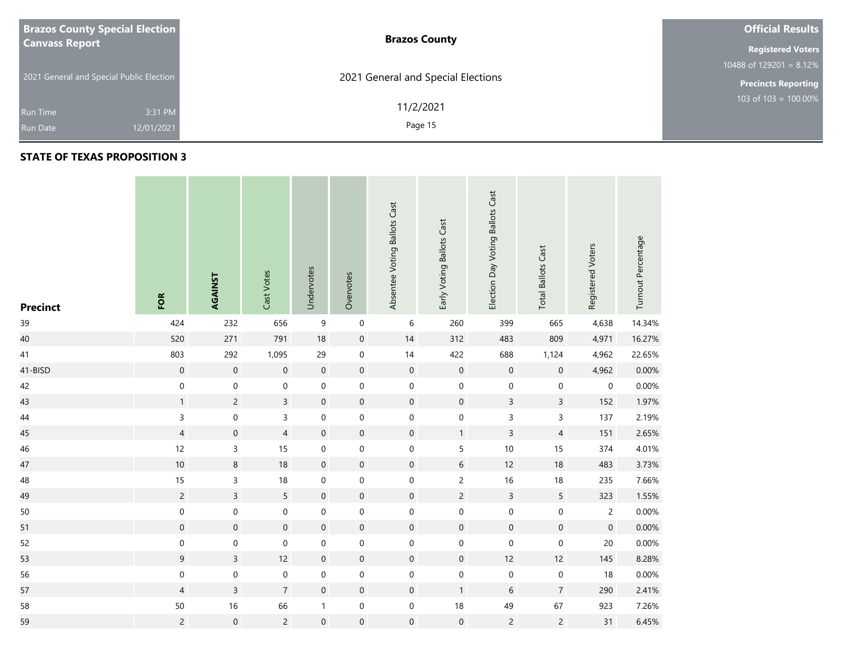| <b>Brazos County Special Election</b>    | <b>Brazos County</b>               | <b>Official Results</b>    |
|------------------------------------------|------------------------------------|----------------------------|
| <b>Canvass Report</b>                    |                                    | <b>Registered Voters</b>   |
|                                          |                                    | 10488 of 129201 = $8.12\%$ |
| 2021 General and Special Public Election | 2021 General and Special Elections | <b>Precincts Reporting</b> |
| 3:31 PM<br><b>Run Time</b>               | 11/2/2021                          | 103 of $103 = 100.00\%$    |
| 12/01/2021<br><b>Run Date</b>            | Page 15                            |                            |

## **STATE OF TEXAS PROPOSITION 3**

**Contract** 

| <b>Precinct</b> | FOR              | AGAINST             | Cast Votes          | Undervotes       | Overvotes           | Absentee Voting Ballots Cast | Early Voting Ballots Cast | Election Day Voting Ballots Cast | <b>Total Ballots Cast</b> | Registered Voters   | Turnout Percentage |
|-----------------|------------------|---------------------|---------------------|------------------|---------------------|------------------------------|---------------------------|----------------------------------|---------------------------|---------------------|--------------------|
| 39              | 424              | 232                 | 656                 | $\boldsymbol{9}$ | $\boldsymbol{0}$    | 6                            | 260                       | 399                              | 665                       | 4,638               | 14.34%             |
| 40              | 520              | 271                 | 791                 | $18$             | $\pmb{0}$           | $14$                         | 312                       | 483                              | 809                       | 4,971               | 16.27%             |
| 41              | 803              | 292                 | 1,095               | 29               | $\boldsymbol{0}$    | $14$                         | 422                       | 688                              | 1,124                     | 4,962               | 22.65%             |
| 41-BISD         | $\mathbf 0$      | $\mathbf 0$         | $\mathbf 0$         | $\mathbf 0$      | $\mathsf{O}\xspace$ | $\mathbf 0$                  | $\mathbf 0$               | $\mathsf{O}\xspace$              | $\mathbf 0$               | 4,962               | 0.00%              |
| 42              | $\mathbf 0$      | $\mathbf 0$         | $\mathbf 0$         | $\boldsymbol{0}$ | $\mathbf 0$         | $\mathsf{O}$                 | 0                         | $\mathbf 0$                      | $\boldsymbol{0}$          | 0                   | 0.00%              |
| 43              | $\mathbf{1}$     | $\overline{c}$      | $\overline{3}$      | $\mathbf 0$      | $\mathsf{O}\xspace$ | $\mathsf{O}\xspace$          | $\mathsf{O}\xspace$       | $\overline{3}$                   | $\overline{3}$            | 152                 | 1.97%              |
| $44\,$          | $\mathsf{3}$     | $\mathsf{O}\xspace$ | $\overline{3}$      | $\mathbf 0$      | $\mathbf 0$         | $\mathbf 0$                  | $\mathsf{O}\xspace$       | $\mathsf{3}$                     | $\overline{3}$            | 137                 | 2.19%              |
| 45              | $\overline{4}$   | $\boldsymbol{0}$    | $\overline{4}$      | $\boldsymbol{0}$ | $\boldsymbol{0}$    | $\mathbf 0$                  | $\mathbf{1}$              | $\overline{3}$                   | $\overline{4}$            | 151                 | 2.65%              |
| 46              | 12               | $\mathsf{3}$        | 15                  | $\boldsymbol{0}$ | $\mathbf 0$         | $\mathsf{O}$                 | 5                         | $10\,$                           | 15                        | 374                 | 4.01%              |
| 47              | $10\,$           | $\bf 8$             | $18\,$              | $\mathbf 0$      | $\boldsymbol{0}$    | $\mathbf 0$                  | $6\,$                     | 12                               | 18                        | 483                 | 3.73%              |
| 48              | 15               | $\mathsf{3}$        | 18                  | $\mathbf 0$      | $\boldsymbol{0}$    | $\boldsymbol{0}$             | $\overline{c}$            | 16                               | $18\,$                    | 235                 | 7.66%              |
| 49              | $\overline{c}$   | $\overline{3}$      | 5                   | $\mathbf 0$      | $\pmb{0}$           | $\mathsf{O}\xspace$          | $\overline{c}$            | $\overline{3}$                   | 5                         | 323                 | 1.55%              |
| 50              | $\boldsymbol{0}$ | $\mathbf 0$         | $\mathbf 0$         | $\pmb{0}$        | $\boldsymbol{0}$    | 0                            | 0                         | $\mathbf 0$                      | $\mathbf 0$               | $\overline{2}$      | 0.00%              |
| 51              | $\mathbf 0$      | $\mathbf 0$         | $\mathsf{O}\xspace$ | $\mathbf 0$      | $\mathsf{O}\xspace$ | $\mathbf 0$                  | $\mathsf{O}\xspace$       | $\mathsf{O}\xspace$              | $\boldsymbol{0}$          | $\mathsf{O}\xspace$ | 0.00%              |
| 52              | $\boldsymbol{0}$ | $\mathbf 0$         | $\mathbf 0$         | $\pmb{0}$        | $\boldsymbol{0}$    | $\boldsymbol{0}$             | $\boldsymbol{0}$          | $\mathbf 0$                      | $\mathbf 0$               | $20\,$              | 0.00%              |
| 53              | $\overline{9}$   | $\overline{3}$      | 12                  | $\boldsymbol{0}$ | $\boldsymbol{0}$    | $\boldsymbol{0}$             | $\mathbf 0$               | 12                               | 12                        | 145                 | 8.28%              |
| 56              | $\mathbf 0$      | $\mathbf 0$         | $\pmb{0}$           | $\pmb{0}$        | $\mathbf 0$         | 0                            | $\mathbf 0$               | $\mathbf 0$                      | $\mathbf 0$               | 18                  | 0.00%              |
| 57              | $\overline{4}$   | $\overline{3}$      | $\overline{7}$      | $\mathbf 0$      | $\mathsf{O}\xspace$ | $\mathsf{O}\xspace$          | $\mathbf{1}$              | $\boldsymbol{6}$                 | $\overline{7}$            | 290                 | 2.41%              |
| 58              | 50               | 16                  | 66                  | $\mathbf{1}$     | $\mathbf 0$         | $\boldsymbol{0}$             | $18\,$                    | 49                               | 67                        | 923                 | 7.26%              |
| 59              | $\overline{c}$   | $\mathbf 0$         | $\overline{2}$      | $\mathbf 0$      | $\mathsf{O}\xspace$ | $\boldsymbol{0}$             | $\boldsymbol{0}$          | $\overline{c}$                   | $\overline{2}$            | 31                  | 6.45%              |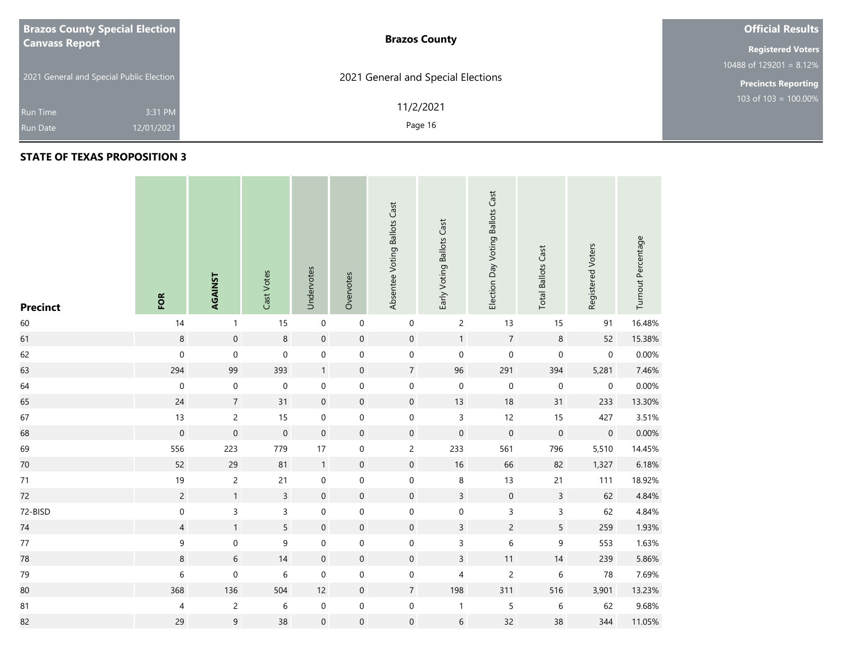| <b>Brazos County Special Election</b>    | <b>Brazos County</b>               | <b>Official Results</b>    |
|------------------------------------------|------------------------------------|----------------------------|
| <b>Canvass Report</b>                    |                                    | <b>Registered Voters</b>   |
|                                          |                                    | 10488 of 129201 = $8.12\%$ |
| 2021 General and Special Public Election | 2021 General and Special Elections | <b>Precincts Reporting</b> |
|                                          | 11/2/2021                          | 103 of $103 = 100.00\%$    |
| 3:31 PM<br><b>Run Time</b>               |                                    |                            |
| 12/01/2021<br><b>Run Date</b>            | Page 16                            |                            |

| <b>Precinct</b> | FOR                      | AGAINST          | Cast Votes     | Undervotes       | Overvotes           | Absentee Voting Ballots Cast | Early Voting Ballots Cast | Election Day Voting Ballots Cast | <b>Total Ballots Cast</b> | Registered Voters | Turnout Percentage |
|-----------------|--------------------------|------------------|----------------|------------------|---------------------|------------------------------|---------------------------|----------------------------------|---------------------------|-------------------|--------------------|
| 60              | 14                       | $\mathbf{1}$     | 15             | $\pmb{0}$        | $\pmb{0}$           | $\mathbf 0$                  | $\overline{c}$            | 13                               | 15                        | 91                | 16.48%             |
| 61              | $\,8\,$                  | $\mathbf 0$      | $\,8\,$        | $\mathbf 0$      | $\boldsymbol{0}$    | $\mathbf 0$                  | $\mathbf{1}$              | $\overline{7}$                   | $\bf 8$                   | 52                | 15.38%             |
| 62              | $\pmb{0}$                | $\boldsymbol{0}$ | $\mathbf 0$    | $\mathbf 0$      | $\pmb{0}$           | $\mathbf 0$                  | $\mathbf 0$               | $\mathbf 0$                      | $\boldsymbol{0}$          | $\pmb{0}$         | 0.00%              |
| 63              | 294                      | 99               | 393            | $\mathbf{1}$     | $\boldsymbol{0}$    | $\boldsymbol{7}$             | 96                        | 291                              | 394                       | 5,281             | 7.46%              |
| 64              | $\mathbf 0$              | $\boldsymbol{0}$ | $\mathbf 0$    | $\mathbf 0$      | $\boldsymbol{0}$    | $\mathbf 0$                  | $\pmb{0}$                 | $\mathbf 0$                      | $\mathbf 0$               | $\pmb{0}$         | 0.00%              |
| 65              | $24$                     | $\overline{7}$   | 31             | $\mathbf 0$      | $\boldsymbol{0}$    | $\boldsymbol{0}$             | 13                        | $18\,$                           | 31                        | 233               | 13.30%             |
| 67              | 13                       | $\overline{c}$   | 15             | $\mathbf 0$      | $\pmb{0}$           | $\mathbf 0$                  | $\mathsf{3}$              | 12                               | 15                        | 427               | 3.51%              |
| 68              | $\mathbf 0$              | $\mathbf 0$      | $\mathbf 0$    | $\mathbf 0$      | $\boldsymbol{0}$    | $\boldsymbol{0}$             | $\mathsf{O}\xspace$       | $\mathbf 0$                      | $\mathbf 0$               | $\,0\,$           | 0.00%              |
| 69              | 556                      | 223              | 779            | 17               | $\boldsymbol{0}$    | $\overline{c}$               | 233                       | 561                              | 796                       | 5,510             | 14.45%             |
| 70              | 52                       | 29               | 81             | $\mathbf{1}$     | $\boldsymbol{0}$    | $\mathbf 0$                  | 16                        | 66                               | 82                        | 1,327             | 6.18%              |
| 71              | 19                       | $\overline{c}$   | 21             | $\mathbf 0$      | $\boldsymbol{0}$    | $\mathbf 0$                  | $\bf 8$                   | 13                               | 21                        | 111               | 18.92%             |
| 72              | $\overline{c}$           | $\mathbf{1}$     | $\overline{3}$ | $\mathbf 0$      | $\boldsymbol{0}$    | $\boldsymbol{0}$             | $\mathsf{3}$              | $\mathbf 0$                      | $\mathsf{3}$              | 62                | 4.84%              |
| 72-BISD         | $\mathbf 0$              | 3                | $\overline{3}$ | $\boldsymbol{0}$ | $\mathsf{O}\xspace$ | $\mathbf 0$                  | $\mathsf{O}\xspace$       | $\overline{3}$                   | 3                         | 62                | 4.84%              |
| 74              | $\overline{4}$           | $\mathbf{1}$     | 5              | $\mathbf 0$      | $\boldsymbol{0}$    | $\mathbf 0$                  | $\overline{3}$            | $\overline{c}$                   | 5                         | 259               | 1.93%              |
| $77\,$          | $\boldsymbol{9}$         | $\boldsymbol{0}$ | 9              | $\boldsymbol{0}$ | $\boldsymbol{0}$    | $\boldsymbol{0}$             | 3                         | 6                                | 9                         | 553               | 1.63%              |
| 78              | $\bf 8$                  | 6                | 14             | $\boldsymbol{0}$ | $\boldsymbol{0}$    | $\mathbf 0$                  | $\mathsf{3}$              | 11                               | $14$                      | 239               | 5.86%              |
| 79              | 6                        | $\boldsymbol{0}$ | $\,$ 6 $\,$    | $\mathbf 0$      | $\pmb{0}$           | $\boldsymbol{0}$             | 4                         | $\overline{c}$                   | $\,$ 6 $\,$               | 78                | 7.69%              |
| 80              | 368                      | 136              | 504            | 12               | $\pmb{0}$           | $\overline{7}$               | 198                       | 311                              | 516                       | 3,901             | 13.23%             |
| ${\bf 81}$      | $\overline{\mathcal{A}}$ | $\overline{c}$   | $\,$ 6 $\,$    | $\pmb{0}$        | $\boldsymbol{0}$    | $\mathbf 0$                  | $\mathbf{1}$              | 5                                | $\,$ 6 $\,$               | 62                | 9.68%              |
| 82              | 29                       | 9                | 38             | $\mathbf 0$      | $\boldsymbol{0}$    | $\pmb{0}$                    | $\,$ 6 $\,$               | 32                               | 38                        | 344               | 11.05%             |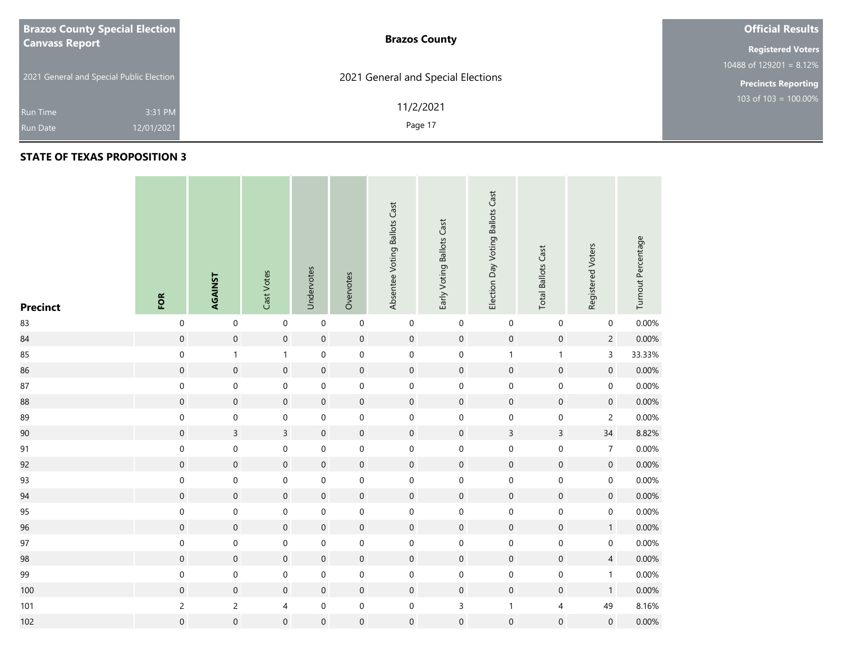| <b>Brazos County Special Election</b>    | <b>Brazos County</b>               | <b>Official Results</b>    |
|------------------------------------------|------------------------------------|----------------------------|
| <b>Canvass Report</b>                    |                                    | <b>Registered Voters</b>   |
|                                          |                                    | 10488 of 129201 = $8.12\%$ |
| 2021 General and Special Public Election | 2021 General and Special Elections | <b>Precincts Reporting</b> |
| 3:31 PM<br><b>Run Time</b>               | 11/2/2021                          | 103 of $103 = 100.00\%$    |
| 12/01/2021<br><b>Run Date</b>            | Page 17                            |                            |

| <b>Precinct</b> | FOR              | AGAINST             | Cast Votes               | Undervotes          | Overvotes           | Absentee Voting Ballots Cast | Early Voting Ballots Cast | Election Day Voting Ballots Cast | <b>Total Ballots Cast</b> | Registered Voters   | Turnout Percentage |
|-----------------|------------------|---------------------|--------------------------|---------------------|---------------------|------------------------------|---------------------------|----------------------------------|---------------------------|---------------------|--------------------|
| 83              | $\mathbf 0$      | $\mathbf 0$         | $\mathbf 0$              | $\mathbf 0$         | $\mathbf 0$         | $\boldsymbol{0}$             | $\pmb{0}$                 | $\boldsymbol{0}$                 | $\mathbf 0$               | $\mathsf{O}\xspace$ | 0.00%              |
| 84              | $\boldsymbol{0}$ | $\boldsymbol{0}$    | $\mathbf 0$              | $\mathbf 0$         | $\boldsymbol{0}$    | $\pmb{0}$                    | $\mathbf 0$               | $\mathbf 0$                      | $\boldsymbol{0}$          | $\overline{c}$      | 0.00%              |
| 85              | $\mathbf 0$      | $\mathbf{1}$        | $\mathbf{1}$             | $\mathbf 0$         | $\mathsf{O}\xspace$ | $\mathsf{O}\xspace$          | $\mathbf 0$               | $\mathbf{1}$                     | $\mathbf{1}$              | $\overline{3}$      | 33.33%             |
| 86              | $\mathbf 0$      | $\mathbf 0$         | $\mathbf 0$              | $\mathbf 0$         | $\mathsf{O}\xspace$ | $\mathbf 0$                  | $\mathbf 0$               | $\mathbf 0$                      | $\boldsymbol{0}$          | $\mathbf 0$         | 0.00%              |
| 87              | $\boldsymbol{0}$ | $\mathbf 0$         | $\mathbf 0$              | $\mathsf{O}\xspace$ | $\mathbf 0$         | $\mathsf{O}\xspace$          | $\mathbf 0$               | $\mathbf 0$                      | $\mathbf 0$               | $\mathsf{O}\xspace$ | 0.00%              |
| 88              | $\boldsymbol{0}$ | $\mathbf 0$         | $\mathbf 0$              | $\mathbf 0$         | $\mathsf{O}\xspace$ | $\mathsf{O}\xspace$          | $\boldsymbol{0}$          | $\mathbf 0$                      | $\mathbf 0$               | $\mathbf 0$         | 0.00%              |
| 89              | $\mathbf 0$      | $\mathsf{O}\xspace$ | $\mathbf 0$              | $\mathbf 0$         | $\mathsf{O}\xspace$ | $\mathsf{O}\xspace$          | $\mathsf{O}\xspace$       | $\mathsf{O}\xspace$              | $\mathbf 0$               | $\overline{c}$      | 0.00%              |
| 90              | $\boldsymbol{0}$ | $\overline{3}$      | $\overline{3}$           | $\mathbf 0$         | $\mathsf{O}\xspace$ | $\mathsf{O}\xspace$          | $\mathbf 0$               | $\overline{3}$                   | $\overline{3}$            | 34                  | 8.82%              |
| 91              | $\mathbf 0$      | $\mathbf 0$         | $\mathsf{O}\xspace$      | $\pmb{0}$           | $\mathbf 0$         | $\mathsf{O}\xspace$          | $\mathbf 0$               | $\mathbf 0$                      | $\boldsymbol{0}$          | $\overline{7}$      | 0.00%              |
| 92              | $\mathbf 0$      | $\mathbf 0$         | $\mathbf 0$              | $\mathsf{O}\xspace$ | $\mathsf{O}\xspace$ | $\mathsf{O}\xspace$          | $\mathbf 0$               | $\mathbf 0$                      | $\mathbf 0$               | $\mathbf 0$         | 0.00%              |
| 93              | $\boldsymbol{0}$ | $\boldsymbol{0}$    | $\mathbf 0$              | $\pmb{0}$           | $\boldsymbol{0}$    | $\boldsymbol{0}$             | $\mathbf 0$               | $\mathsf{O}\xspace$              | $\mathbf 0$               | $\mathsf{O}\xspace$ | 0.00%              |
| 94              | $\mathbf 0$      | $\mathbf 0$         | $\mathbf 0$              | $\boldsymbol{0}$    | $\pmb{0}$           | $\mathsf{O}\xspace$          | $\boldsymbol{0}$          | $\mathbf 0$                      | $\mathsf{O}\xspace$       | $\mathsf{O}\xspace$ | 0.00%              |
| 95              | $\mathbf 0$      | $\boldsymbol{0}$    | $\mathbf 0$              | $\mathbf 0$         | $\mathbf 0$         | $\mathsf{O}\xspace$          | $\mathsf{O}\xspace$       | $\mathbf 0$                      | $\mathbf 0$               | $\mathsf{O}\xspace$ | 0.00%              |
| 96              | $\boldsymbol{0}$ | $\boldsymbol{0}$    | $\mathbf 0$              | $\mathbf 0$         | $\pmb{0}$           | $\pmb{0}$                    | $\mathbf 0$               | $\mathbf 0$                      | $\boldsymbol{0}$          | $\mathbf{1}$        | $0.00\%$           |
| $97\,$          | $\mathbf 0$      | $\boldsymbol{0}$    | $\mathbf 0$              | $\pmb{0}$           | $\pmb{0}$           | $\boldsymbol{0}$             | $\mathbf 0$               | $\mathsf{O}\xspace$              | $\mathbf 0$               | $\mathsf{O}\xspace$ | 0.00%              |
| 98              | $\boldsymbol{0}$ | $\boldsymbol{0}$    | $\mathbf 0$              | $\mathbf 0$         | $\pmb{0}$           | $\mathbf 0$                  | $\boldsymbol{0}$          | $\mathbf 0$                      | $\boldsymbol{0}$          | $\overline{4}$      | 0.00%              |
| 99              | $\mathbf 0$      | $\mathsf{O}\xspace$ | $\mathbf 0$              | $\mathbf 0$         | $\mathbf 0$         | $\boldsymbol{0}$             | $\mathsf{O}\xspace$       | $\mathsf{O}\xspace$              | $\mathbf 0$               | $\mathbf{1}$        | 0.00%              |
| 100             | $\mathbf 0$      | $\mathbf 0$         | $\mathbf 0$              | $\boldsymbol{0}$    | $\mathsf{O}\xspace$ | $\mathsf{O}\xspace$          | $\mathbf 0$               | $\mathbf 0$                      | $\boldsymbol{0}$          | $\mathbf{1}$        | 0.00%              |
| 101             | $\overline{c}$   | $\overline{c}$      | $\overline{\mathcal{L}}$ | $\mathbf 0$         | $\mathbf 0$         | $\boldsymbol{0}$             | $\mathsf 3$               | $\mathbf{1}$                     | $\sqrt{4}$                | 49                  | 8.16%              |
| 102             | $\mathbf 0$      | $\mathbf 0$         | $\boldsymbol{0}$         | $\mathbf 0$         | $\boldsymbol{0}$    | $\boldsymbol{0}$             | $\mathbf 0$               | $\mathsf{O}\xspace$              | $\mathbf 0$               | $\pmb{0}$           | 0.00%              |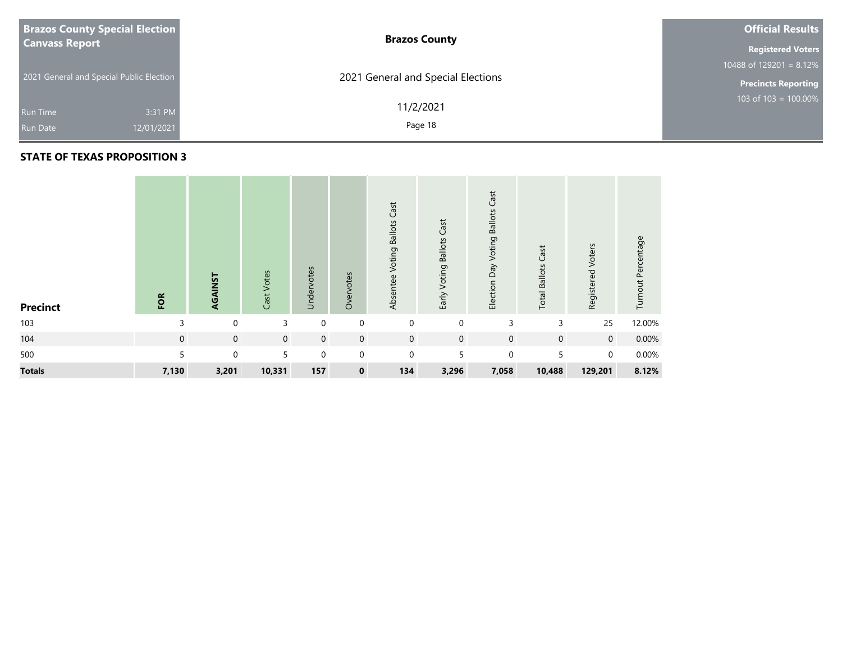| <b>Brazos County Special Election</b>    | <b>Brazos County</b>               | <b>Official Results</b>               |  |  |  |  |
|------------------------------------------|------------------------------------|---------------------------------------|--|--|--|--|
| <b>Canvass Report</b>                    |                                    |                                       |  |  |  |  |
|                                          |                                    | 10488 of $129\overline{201} = 8.12\%$ |  |  |  |  |
| 2021 General and Special Public Election | 2021 General and Special Elections | <b>Precincts Reporting</b>            |  |  |  |  |
|                                          | 11/2/2021                          | 103 of $103 = 100.00\%$               |  |  |  |  |
| 3:31 PM<br>Run Time                      |                                    |                                       |  |  |  |  |
| 12/01/2021<br><b>Run Date</b>            | Page 18                            |                                       |  |  |  |  |

| <b>Precinct</b> | FOR            | AGAINST     | Cast Votes     | Undervotes  | Overvotes      | Cast<br>Voting Ballots<br>Absentee | Cast<br>Early Voting Ballots | Cast<br>Election Day Voting Ballots | Cast<br><b>Total Ballots</b> | Registered Voters | Turnout Percentage |
|-----------------|----------------|-------------|----------------|-------------|----------------|------------------------------------|------------------------------|-------------------------------------|------------------------------|-------------------|--------------------|
| 103             | 3              | $\mathbf 0$ | 3              | $\mathbf 0$ | $\mathbf 0$    | $\mathbf 0$                        | $\mathbf 0$                  | 3                                   | 3                            | 25                | 12.00%             |
| 104             | $\mathbf{0}$   | $\mathbf 0$ | $\overline{0}$ | $\mathbf 0$ | $\overline{0}$ | $\mathbf 0$                        | $\mathbf 0$                  | $\mathbf 0$                         | $\mathbf 0$                  | $\overline{0}$    | 0.00%              |
| 500             | $\overline{5}$ | $\mathbf 0$ | $5^{\circ}$    | $\mathbf 0$ | $\overline{0}$ | $\mathbf 0$                        | 5                            | $\mathbf 0$                         | 5                            | $\overline{0}$    | 0.00%              |
| <b>Totals</b>   | 7,130          | 3,201       | 10,331         | 157         | $\mathbf 0$    | 134                                | 3,296                        | 7,058                               | 10,488                       | 129,201           | 8.12%              |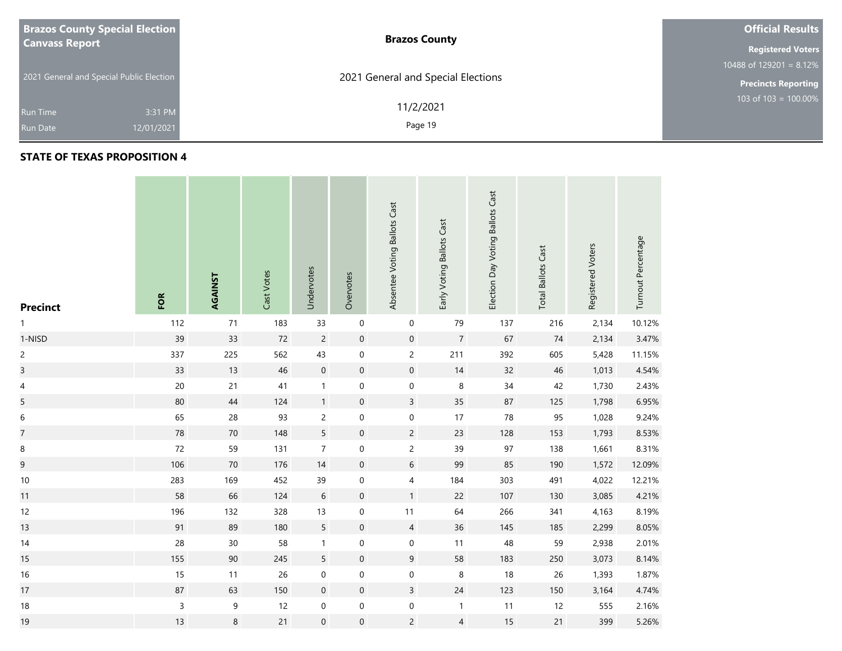| <b>Brazos County Special Election</b>    | <b>Brazos County</b>               | <b>Official Results</b>    |
|------------------------------------------|------------------------------------|----------------------------|
| <b>Canvass Report</b>                    |                                    | <b>Registered Voters</b>   |
|                                          |                                    | 10488 of 129201 = $8.12\%$ |
| 2021 General and Special Public Election | 2021 General and Special Elections | <b>Precincts Reporting</b> |
| 3:31 PM<br><b>Run Time</b>               | 11/2/2021                          | $103$ of 103 = 100.00%     |
| 12/01/2021<br><b>Run Date</b>            | Page 19                            |                            |

### **STATE OF TEXAS PROPOSITION 4**

**Contract** 

| <b>Precinct</b>  | FOR          | AGAINST | Cast Votes | Undervotes       | Overvotes           | Absentee Voting Ballots Cast | Early Voting Ballots Cast | Election Day Voting Ballots Cast | <b>Total Ballots Cast</b> | Registered Voters | Turnout Percentage |
|------------------|--------------|---------|------------|------------------|---------------------|------------------------------|---------------------------|----------------------------------|---------------------------|-------------------|--------------------|
| $\mathbf{1}$     | 112          | 71      | 183        | 33               | $\mathbf 0$         | $\pmb{0}$                    | 79                        | 137                              | 216                       | 2,134             | 10.12%             |
| 1-NISD           | 39           | 33      | 72         | $\overline{c}$   | $\pmb{0}$           | $\mathsf{O}\xspace$          | $\overline{7}$            | 67                               | 74                        | 2,134             | 3.47%              |
| $\overline{c}$   | 337          | 225     | 562        | 43               | $\boldsymbol{0}$    | $\overline{c}$               | 211                       | 392                              | 605                       | 5,428             | 11.15%             |
| $\overline{3}$   | 33           | 13      | 46         | $\mathbf 0$      | $\pmb{0}$           | $\mathsf{O}\xspace$          | $14$                      | 32                               | $46\,$                    | 1,013             | 4.54%              |
| 4                | $20\,$       | 21      | 41         | $\mathbf{1}$     | 0                   | $\mathsf{O}$                 | 8                         | 34                               | 42                        | 1,730             | 2.43%              |
| 5                | 80           | 44      | 124        | $\mathbf{1}$     | $\pmb{0}$           | $\overline{\mathbf{3}}$      | $35\phantom{.0}$          | 87                               | 125                       | 1,798             | 6.95%              |
| $\boldsymbol{6}$ | 65           | 28      | 93         | $\overline{c}$   | $\boldsymbol{0}$    | $\mathsf{O}\xspace$          | $17\,$                    | ${\bf 78}$                       | 95                        | 1,028             | 9.24%              |
| $\overline{7}$   | 78           | $70\,$  | 148        | 5                | $\pmb{0}$           | $\overline{c}$               | 23                        | 128                              | 153                       | 1,793             | 8.53%              |
| 8                | 72           | 59      | 131        | $\boldsymbol{7}$ | $\boldsymbol{0}$    | $\overline{c}$               | 39                        | 97                               | 138                       | 1,661             | 8.31%              |
| 9                | 106          | $70\,$  | 176        | 14               | $\pmb{0}$           | $6\phantom{.}6$              | 99                        | 85                               | 190                       | 1,572             | 12.09%             |
| $10\,$           | 283          | 169     | 452        | 39               | $\pmb{0}$           | $\overline{4}$               | 184                       | 303                              | 491                       | 4,022             | 12.21%             |
| 11               | 58           | 66      | 124        | $\sqrt{6}$       | $\pmb{0}$           | 1                            | 22                        | 107                              | 130                       | 3,085             | 4.21%              |
| 12               | 196          | 132     | 328        | 13               | $\pmb{0}$           | 11                           | 64                        | 266                              | 341                       | 4,163             | 8.19%              |
| 13               | 91           | 89      | 180        | 5                | $\pmb{0}$           | $\overline{4}$               | 36                        | 145                              | 185                       | 2,299             | 8.05%              |
| 14               | 28           | $30\,$  | 58         | $\mathbf{1}$     | $\pmb{0}$           | $\pmb{0}$                    | 11                        | 48                               | 59                        | 2,938             | 2.01%              |
| 15               | 155          | $90\,$  | 245        | 5                | $\pmb{0}$           | $9\,$                        | 58                        | 183                              | 250                       | 3,073             | 8.14%              |
| 16               | 15           | 11      | 26         | $\pmb{0}$        | $\boldsymbol{0}$    | $\boldsymbol{0}$             | 8                         | 18                               | 26                        | 1,393             | 1.87%              |
| 17               | $87\,$       | 63      | 150        | $\boldsymbol{0}$ | $\pmb{0}$           | $\overline{3}$               | $24$                      | 123                              | 150                       | 3,164             | 4.74%              |
| $18\,$           | $\mathsf{3}$ | 9       | 12         | $\pmb{0}$        | $\pmb{0}$           | $\pmb{0}$                    | $\overline{1}$            | 11                               | 12                        | 555               | 2.16%              |
| 19               | $13$         | $\bf 8$ | 21         | $\mathbf 0$      | $\mathsf{O}\xspace$ | $\overline{2}$               | $\overline{4}$            | 15                               | 21                        | 399               | 5.26%              |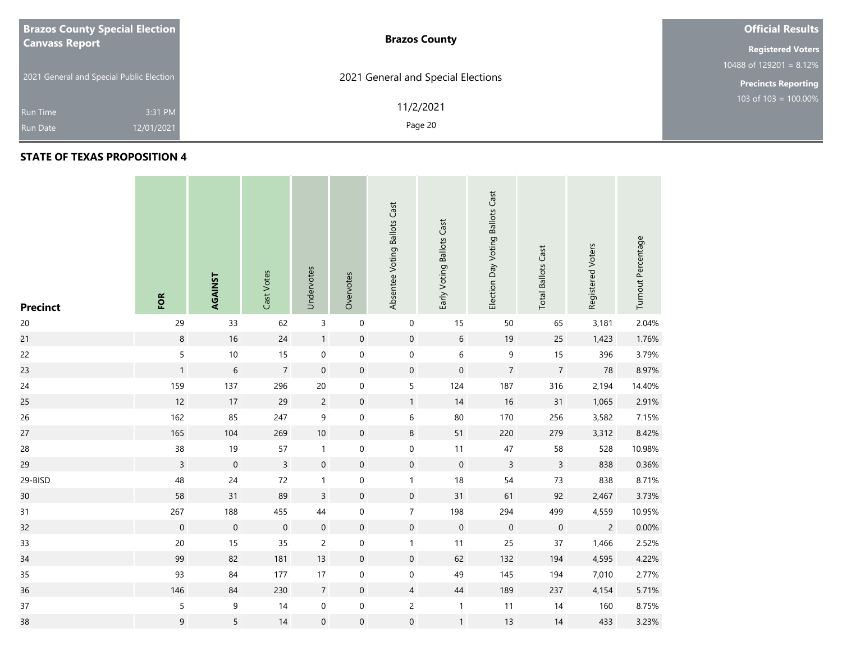| <b>Brazos County Special Election</b>    | <b>Brazos County</b>               | <b>Official Results</b>    |
|------------------------------------------|------------------------------------|----------------------------|
| <b>Canvass Report</b>                    |                                    | <b>Registered Voters</b>   |
|                                          |                                    | 10488 of 129201 = $8.12\%$ |
| 2021 General and Special Public Election | 2021 General and Special Elections | <b>Precincts Reporting</b> |
| 3:31 PM<br><b>Run Time</b>               | 11/2/2021                          | 103 of $103 = 100.00\%$    |
| 12/01/2021<br><b>Run Date</b>            | Page 20                            |                            |

**The State** 

| <b>Precinct</b> | FOR              | AGAINST             | Cast Votes     | Undervotes          | Overvotes        | Absentee Voting Ballots Cast | Early Voting Ballots Cast | Election Day Voting Ballots Cast | <b>Total Ballots Cast</b> | Registered Voters | Turnout Percentage |
|-----------------|------------------|---------------------|----------------|---------------------|------------------|------------------------------|---------------------------|----------------------------------|---------------------------|-------------------|--------------------|
| $20\,$          | 29               | 33                  | 62             | $\mathsf{3}$        | $\boldsymbol{0}$ | $\pmb{0}$                    | $15\,$                    | 50                               | 65                        | 3,181             | 2.04%              |
| 21              | $\,8\,$          | 16                  | 24             | $\mathbf{1}$        | $\boldsymbol{0}$ | $\mathbf 0$                  | 6                         | 19                               | 25                        | 1,423             | 1.76%              |
| 22              | 5                | $10\,$              | $15\,$         | $\mathbf 0$         | $\boldsymbol{0}$ | $\boldsymbol{0}$             | 6                         | $\mathsf 9$                      | 15                        | 396               | 3.79%              |
| 23              | $\mathbf{1}$     | $\sqrt{6}$          | $\overline{7}$ | $\mathbf 0$         | $\boldsymbol{0}$ | $\mathbf 0$                  | $\boldsymbol{0}$          | $\overline{\mathcal{I}}$         | $\boldsymbol{7}$          | 78                | 8.97%              |
| 24              | 159              | 137                 | 296            | 20                  | $\mathbf 0$      | 5                            | 124                       | 187                              | 316                       | 2,194             | 14.40%             |
| 25              | 12               | 17                  | 29             | $\overline{c}$      | $\boldsymbol{0}$ | 1                            | 14                        | 16                               | 31                        | 1,065             | 2.91%              |
| 26              | 162              | 85                  | 247            | 9                   | $\boldsymbol{0}$ | 6                            | 80                        | 170                              | 256                       | 3,582             | 7.15%              |
| 27              | 165              | 104                 | 269            | $10\,$              | $\boldsymbol{0}$ | 8                            | 51                        | 220                              | 279                       | 3,312             | 8.42%              |
| 28              | 38               | $19$                | 57             | $\mathbf{1}$        | $\boldsymbol{0}$ | $\boldsymbol{0}$             | $11$                      | $47\,$                           | 58                        | 528               | 10.98%             |
| 29              | $\mathsf{3}$     | $\mathbf 0$         | $\overline{3}$ | $\mathbf 0$         | $\pmb{0}$        | $\mathsf{O}\xspace$          | $\mathbf 0$               | $\overline{3}$                   | $\overline{3}$            | 838               | 0.36%              |
| 29-BISD         | 48               | 24                  | $72\,$         | $\mathbf{1}$        | $\boldsymbol{0}$ | $\mathbf{1}$                 | 18                        | 54                               | 73                        | 838               | 8.71%              |
| 30              | 58               | 31                  | 89             | $\mathbf{3}$        | $\boldsymbol{0}$ | $\mathsf{O}\xspace$          | 31                        | 61                               | 92                        | 2,467             | 3.73%              |
| 31              | 267              | 188                 | 455            | 44                  | 0                | $\overline{7}$               | 198                       | 294                              | 499                       | 4,559             | 10.95%             |
| 32              | $\boldsymbol{0}$ | $\mathsf{O}\xspace$ | $\pmb{0}$      | $\mathbf 0$         | $\pmb{0}$        | $\mathsf{O}\xspace$          | $\mathbf 0$               | $\,0\,$                          | $\mathbf 0$               | $\overline{2}$    | 0.00%              |
| 33              | $20\,$           | 15                  | 35             | $\overline{c}$      | 0                | $\mathbf{1}$                 | 11                        | 25                               | 37                        | 1,466             | 2.52%              |
| 34              | 99               | 82                  | 181            | 13                  | $\boldsymbol{0}$ | $\mathsf{O}\xspace$          | 62                        | 132                              | 194                       | 4,595             | 4.22%              |
| 35              | 93               | 84                  | 177            | 17                  | $\boldsymbol{0}$ | $\boldsymbol{0}$             | 49                        | 145                              | 194                       | 7,010             | 2.77%              |
| 36              | 146              | 84                  | 230            | $\overline{7}$      | $\pmb{0}$        | $\overline{4}$               | 44                        | 189                              | 237                       | 4,154             | 5.71%              |
| 37              | 5                | 9                   | 14             | $\pmb{0}$           | $\boldsymbol{0}$ | $\overline{c}$               | $\mathbf{1}$              | 11                               | 14                        | 160               | 8.75%              |
| 38              | 9                | 5                   | 14             | $\mathsf{O}\xspace$ | $\mathbf 0$      | $\boldsymbol{0}$             | $\mathbf{1}$              | 13                               | 14                        | 433               | 3.23%              |

the contract of the contract of the contract of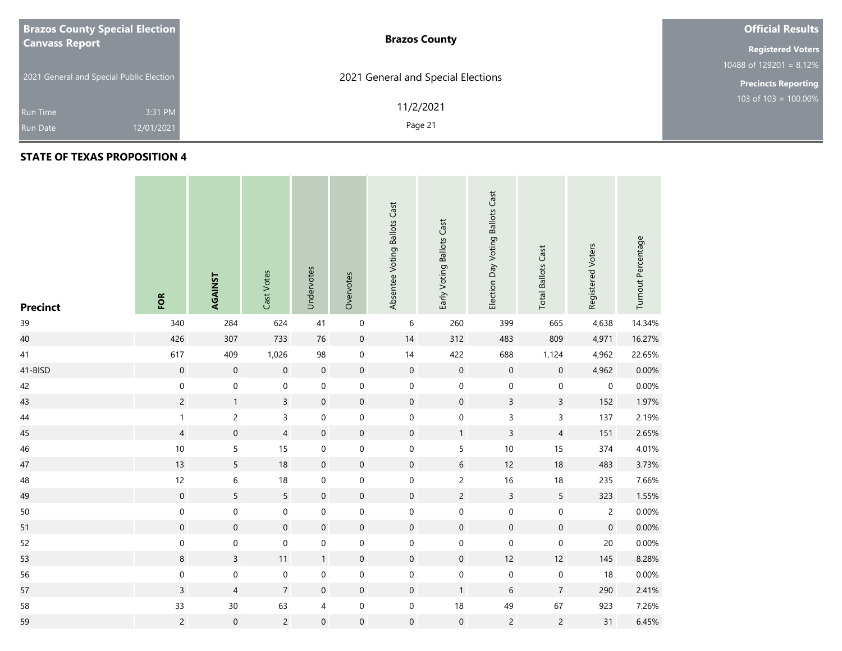| <b>Brazos County Special Election</b>    | <b>Brazos County</b>               | <b>Official Results</b>    |
|------------------------------------------|------------------------------------|----------------------------|
| <b>Canvass Report</b>                    |                                    | <b>Registered Voters</b>   |
|                                          |                                    | 10488 of 129201 = $8.12\%$ |
| 2021 General and Special Public Election | 2021 General and Special Elections | <b>Precincts Reporting</b> |
| 3:31 PM<br><b>Run Time</b>               | 11/2/2021                          | 103 of $103 = 100.00\%$    |
| 12/01/2021<br><b>Run Date</b>            | Page 21                            |                            |

### **STATE OF TEXAS PROPOSITION 4**

**Contract** 

| <b>Precinct</b> | FOR              | AGAINST          | Cast Votes       | Undervotes       | Overvotes           | Absentee Voting Ballots Cast | Early Voting Ballots Cast | Election Day Voting Ballots Cast | <b>Total Ballots Cast</b> | Registered Voters | Turnout Percentage |
|-----------------|------------------|------------------|------------------|------------------|---------------------|------------------------------|---------------------------|----------------------------------|---------------------------|-------------------|--------------------|
| 39              | 340              | 284              | 624              | 41               | $\mathbf 0$         | 6                            | 260                       | 399                              | 665                       | 4,638             | 14.34%             |
| 40              | 426              | 307              | 733              | 76               | $\boldsymbol{0}$    | 14                           | 312                       | 483                              | 809                       | 4,971             | 16.27%             |
| 41              | 617              | 409              | 1,026            | 98               | $\boldsymbol{0}$    | $14$                         | 422                       | 688                              | 1,124                     | 4,962             | 22.65%             |
| 41-BISD         | $\mathbf 0$      | $\mathbf 0$      | $\mathbf 0$      | $\mathbf 0$      | $\mathsf{O}\xspace$ | $\mathbf 0$                  | $\mathbf 0$               | $\mathbf 0$                      | $\boldsymbol{0}$          | 4,962             | 0.00%              |
| 42              | $\mathbf 0$      | $\mathbf 0$      | $\boldsymbol{0}$ | $\pmb{0}$        | $\mathbf 0$         | $\boldsymbol{0}$             | $\boldsymbol{0}$          | $\mathbf 0$                      | $\mathbf 0$               | $\mathbf 0$       | 0.00%              |
| 43              | $\overline{2}$   | $\mathbf{1}$     | $\overline{3}$   | $\mathbf 0$      | $\boldsymbol{0}$    | $\mathsf{O}\xspace$          | $\mathsf{O}\xspace$       | $\overline{3}$                   | $\overline{3}$            | 152               | 1.97%              |
| 44              | $\mathbf{1}$     | $\overline{c}$   | $\mathsf{3}$     | $\mathbf 0$      | $\mathsf{O}\xspace$ | $\boldsymbol{0}$             | $\boldsymbol{0}$          | 3                                | $\mathsf 3$               | 137               | 2.19%              |
| 45              | $\overline{4}$   | $\boldsymbol{0}$ | $\overline{4}$   | $\boldsymbol{0}$ | $\boldsymbol{0}$    | $\mathbf 0$                  | $\mathbf{1}$              | $\mathsf{3}$                     | $\overline{4}$            | 151               | 2.65%              |
| 46              | $10$             | 5                | 15               | $\pmb{0}$        | $\mathbf 0$         | $\boldsymbol{0}$             | 5                         | $10$                             | 15                        | 374               | 4.01%              |
| 47              | 13               | 5                | 18               | $\boldsymbol{0}$ | $\boldsymbol{0}$    | $\mathsf{O}\xspace$          | 6                         | 12                               | 18                        | 483               | 3.73%              |
| 48              | 12               | $\,$ 6 $\,$      | $18$             | $\mathbf 0$      | $\boldsymbol{0}$    | $\boldsymbol{0}$             | $\overline{c}$            | 16                               | $18\,$                    | 235               | 7.66%              |
| 49              | $\mathbf 0$      | 5                | 5                | $\boldsymbol{0}$ | $\mathsf{O}\xspace$ | $\mathsf{O}\xspace$          | $\overline{c}$            | $\overline{3}$                   | 5                         | 323               | 1.55%              |
| 50              | $\pmb{0}$        | $\mathbf 0$      | $\mathbf 0$      | $\pmb{0}$        | $\pmb{0}$           | $\boldsymbol{0}$             | 0                         | $\mathbf 0$                      | $\mathbf 0$               | $\overline{c}$    | 0.00%              |
| 51              | $\mathbf 0$      | $\mathbf 0$      | $\mathbf 0$      | $\mathbf 0$      | $\pmb{0}$           | $\mathsf{O}\xspace$          | $\mathsf{O}\xspace$       | $\mathsf{O}\xspace$              | $\boldsymbol{0}$          | $\mathbf 0$       | 0.00%              |
| 52              | $\boldsymbol{0}$ | $\mathbf 0$      | $\mathbf 0$      | $\mathbf 0$      | $\boldsymbol{0}$    | $\boldsymbol{0}$             | $\boldsymbol{0}$          | $\mathbf 0$                      | $\mathbf 0$               | $20\,$            | 0.00%              |
| 53              | $\bf 8$          | $\mathsf{3}$     | 11               | $\mathbf{1}$     | $\boldsymbol{0}$    | $\boldsymbol{0}$             | $\mathsf{O}\xspace$       | 12                               | 12                        | 145               | 8.28%              |
| 56              | $\boldsymbol{0}$ | $\mathbf 0$      | $\pmb{0}$        | $\pmb{0}$        | $\mathbf 0$         | $\boldsymbol{0}$             | $\mathbf 0$               | $\mathbf 0$                      | $\boldsymbol{0}$          | 18                | 0.00%              |
| 57              | $\overline{3}$   | $\overline{4}$   | $\overline{7}$   | $\mathbf 0$      | $\mathsf{O}\xspace$ | $\mathsf{O}\xspace$          | $\mathbf{1}$              | $6\,$                            | $\overline{7}$            | 290               | 2.41%              |
| 58              | 33               | $30\,$           | 63               | 4                | $\pmb{0}$           | $\boldsymbol{0}$             | $18\,$                    | 49                               | 67                        | 923               | 7.26%              |
| 59              | $\overline{c}$   | $\mathbf 0$      | $\overline{c}$   | $\mathbf 0$      | $\mathsf{O}\xspace$ | $\mathbf 0$                  | $\boldsymbol{0}$          | $\overline{c}$                   | $\overline{c}$            | 31                | 6.45%              |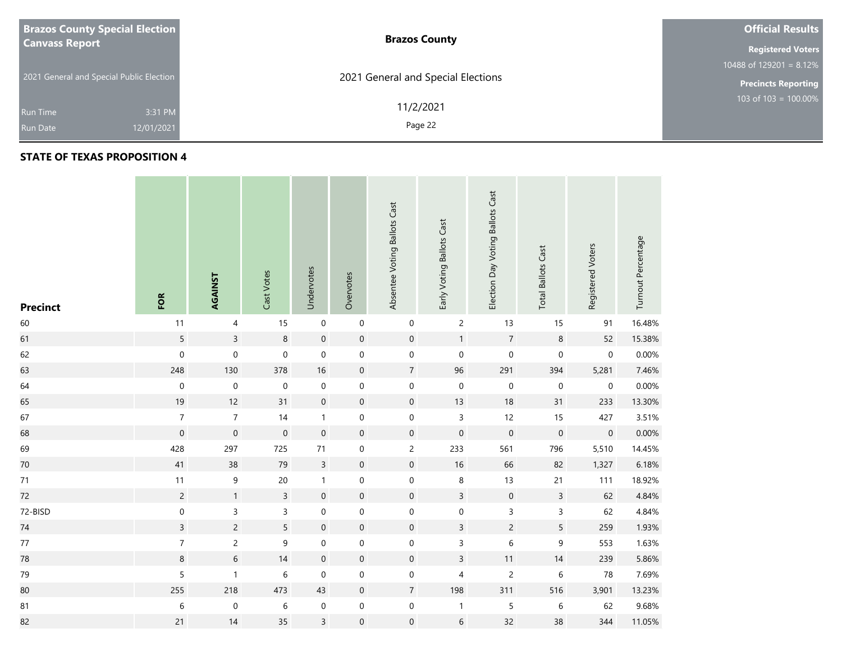| <b>Brazos County Special Election</b>    | <b>Brazos County</b>               | <b>Official Results</b>    |
|------------------------------------------|------------------------------------|----------------------------|
| <b>Canvass Report</b>                    |                                    | <b>Registered Voters</b>   |
|                                          |                                    | 10488 of 129201 = $8.12\%$ |
| 2021 General and Special Public Election | 2021 General and Special Elections | <b>Precincts Reporting</b> |
| 3:31 PM<br><b>Run Time</b>               | 11/2/2021                          | 103 of $103 = 100.00\%$    |
| 12/01/2021<br><b>Run Date</b>            | Page 22                            |                            |

m.

| <b>Precinct</b> | FOR              | AGAINST          | Cast Votes          | Undervotes          | Overvotes        | Absentee Voting Ballots Cast | Early Voting Ballots Cast | Election Day Voting Ballots Cast | <b>Total Ballots Cast</b> | Registered Voters   | Turnout Percentage |
|-----------------|------------------|------------------|---------------------|---------------------|------------------|------------------------------|---------------------------|----------------------------------|---------------------------|---------------------|--------------------|
| 60              | 11               | 4                | 15                  | $\mathbf 0$         | $\mathbf 0$      | $\boldsymbol{0}$             | $\overline{c}$            | 13                               | 15                        | 91                  | 16.48%             |
| 61              | 5                | $\overline{3}$   | $\bf 8$             | $\mathbf 0$         | $\boldsymbol{0}$ | $\mathsf{O}\xspace$          | $\mathbf{1}$              | $\sqrt{7}$                       | $\,8\,$                   | 52                  | 15.38%             |
| 62              | $\mathbf 0$      | $\mathbf 0$      | $\mathsf{O}\xspace$ | $\mathbf 0$         | $\boldsymbol{0}$ | $\mathbf 0$                  | $\mathbf 0$               | $\mathsf{O}\xspace$              | $\mathbf 0$               | $\mathsf{O}\xspace$ | 0.00%              |
| 63              | 248              | 130              | 378                 | 16                  | $\boldsymbol{0}$ | $\overline{7}$               | 96                        | 291                              | 394                       | 5,281               | 7.46%              |
| 64              | $\pmb{0}$        | $\boldsymbol{0}$ | $\boldsymbol{0}$    | $\pmb{0}$           | 0                | $\boldsymbol{0}$             | $\mathbf 0$               | $\pmb{0}$                        | $\boldsymbol{0}$          | $\mathbf 0$         | 0.00%              |
| 65              | 19               | 12               | 31                  | $\mathbf 0$         | $\boldsymbol{0}$ | $\mathsf{O}\xspace$          | 13                        | 18                               | 31                        | 233                 | 13.30%             |
| 67              | $\overline{7}$   | $\boldsymbol{7}$ | 14                  | $\mathbf{1}$        | $\boldsymbol{0}$ | $\boldsymbol{0}$             | 3                         | 12                               | 15                        | 427                 | 3.51%              |
| 68              | $\boldsymbol{0}$ | $\mathbf 0$      | $\boldsymbol{0}$    | $\mathbf 0$         | $\boldsymbol{0}$ | $\mathbf 0$                  | $\mathbf 0$               | $\mathbf 0$                      | $\mathbf 0$               | $\boldsymbol{0}$    | 0.00%              |
| 69              | 428              | 297              | 725                 | $71\,$              | $\boldsymbol{0}$ | $\overline{c}$               | 233                       | 561                              | 796                       | 5,510               | 14.45%             |
| $70\,$          | 41               | 38               | 79                  | $\overline{3}$      | $\pmb{0}$        | $\mathsf{O}\xspace$          | $16\,$                    | 66                               | 82                        | 1,327               | 6.18%              |
| 71              | 11               | $\mathsf 9$      | $20\,$              | $\mathbf{1}$        | 0                | $\boldsymbol{0}$             | $\,8\,$                   | 13                               | 21                        | 111                 | 18.92%             |
| 72              | $\overline{c}$   | $\mathbf{1}$     | $\overline{3}$      | $\mathsf{O}\xspace$ | $\pmb{0}$        | $\mathsf{O}\xspace$          | $\overline{3}$            | $\mathsf{O}\xspace$              | $\overline{3}$            | 62                  | 4.84%              |
| 72-BISD         | $\pmb{0}$        | 3                | 3                   | $\pmb{0}$           | $\boldsymbol{0}$ | $\boldsymbol{0}$             | $\pmb{0}$                 | $\mathsf 3$                      | $\mathsf 3$               | 62                  | 4.84%              |
| $74\,$          | $\overline{3}$   | $\overline{c}$   | 5                   | $\mathbf 0$         | $\pmb{0}$        | $\mathbf 0$                  | $\overline{3}$            | $\overline{c}$                   | 5                         | 259                 | 1.93%              |
| $77$            | $\overline{7}$   | $\overline{c}$   | 9                   | $\mathbf 0$         | $\boldsymbol{0}$ | $\boldsymbol{0}$             | 3                         | $\,$ 6 $\,$                      | 9                         | 553                 | 1.63%              |
| 78              | 8                | 6                | 14                  | $\boldsymbol{0}$    | $\boldsymbol{0}$ | $\mathsf{O}\xspace$          | $\mathsf{3}$              | 11                               | 14                        | 239                 | 5.86%              |
| 79              | 5                | $\mathbf{1}$     | $\,$ 6 $\,$         | $\mathbf 0$         | 0                | $\boldsymbol{0}$             | 4                         | $\overline{c}$                   | $\,$ 6 $\,$               | 78                  | 7.69%              |
| 80              | 255              | 218              | 473                 | 43                  | $\mathbf 0$      | $\overline{7}$               | 198                       | 311                              | 516                       | 3,901               | 13.23%             |
| 81              | $\,$ 6 $\,$      | $\boldsymbol{0}$ | $\,$ 6 $\,$         | $\boldsymbol{0}$    | $\boldsymbol{0}$ | $\boldsymbol{0}$             | $\mathbf{1}$              | $\sqrt{5}$                       | $\,$ 6 $\,$               | 62                  | 9.68%              |
| 82              | 21               | 14               | 35                  | $\overline{3}$      | $\mathbf 0$      | $\boldsymbol{0}$             | $\sqrt{6}$                | 32                               | 38                        | 344                 | 11.05%             |

the contract of the contract of the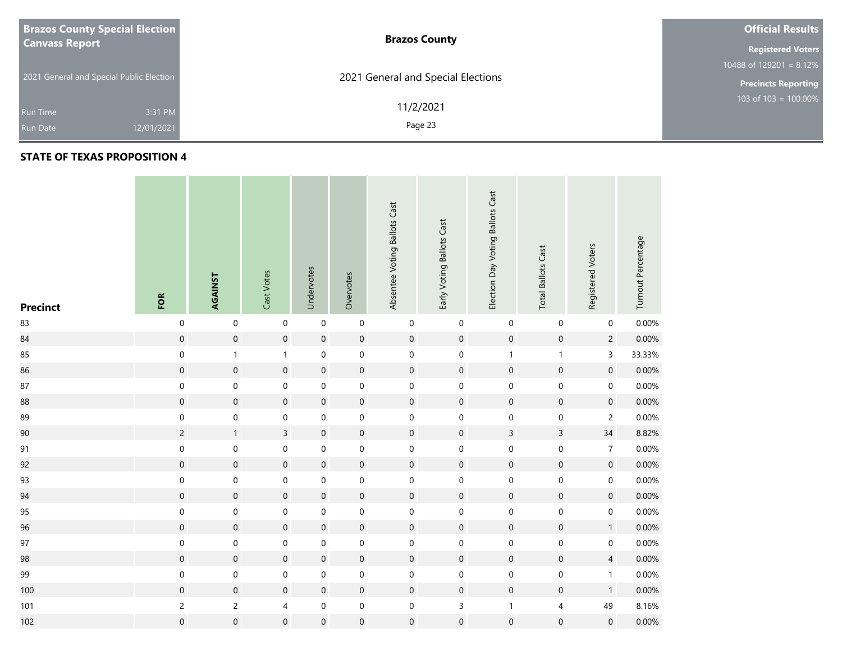| <b>Brazos County Special Election</b>    | <b>Brazos County</b>               | <b>Official Results</b>    |
|------------------------------------------|------------------------------------|----------------------------|
| <b>Canvass Report</b>                    |                                    | <b>Registered Voters</b>   |
|                                          |                                    | 10488 of $129201 = 8.12\%$ |
| 2021 General and Special Public Election | 2021 General and Special Elections | <b>Precincts Reporting</b> |
|                                          | 11/2/2021                          | 103 of $103 = 100.00\%$    |
| 3:31 PM<br><b>Run Time</b>               |                                    |                            |
| 12/01/2021<br><b>Run Date</b>            | Page 23                            |                            |

| <b>Precinct</b> | FOR                 | AGAINST             | Cast Votes              | Undervotes          | Overvotes           | Absentee Voting Ballots Cast | Early Voting Ballots Cast | Election Day Voting Ballots Cast | <b>Total Ballots Cast</b> | Registered Voters   | Turnout Percentage |
|-----------------|---------------------|---------------------|-------------------------|---------------------|---------------------|------------------------------|---------------------------|----------------------------------|---------------------------|---------------------|--------------------|
| 83              | 0                   | $\mathbf 0$         | $\mathbf 0$             | $\mathbf 0$         | $\mathbf 0$         | $\boldsymbol{0}$             | $\mathbf 0$               | $\pmb{0}$                        | $\pmb{0}$                 | $\mathsf{O}\xspace$ | 0.00%              |
| 84              | $\boldsymbol{0}$    | $\boldsymbol{0}$    | $\mathbf 0$             | $\mathbf 0$         | $\boldsymbol{0}$    | $\boldsymbol{0}$             | $\mathbf 0$               | $\mathbf 0$                      | $\boldsymbol{0}$          | $\overline{c}$      | 0.00%              |
| 85              | $\mathbf 0$         | $\mathbf{1}$        | $\mathbf{1}$            | $\mathbf 0$         | $\mathbf 0$         | $\mathbf 0$                  | $\mathbf 0$               | $\mathbf{1}$                     | $\mathbf{1}$              | $\overline{3}$      | 33.33%             |
| 86              | $\boldsymbol{0}$    | $\mathbf 0$         | $\mathbf 0$             | $\mathbf 0$         | $\mathsf{O}\xspace$ | $\pmb{0}$                    | $\mathsf{O}\xspace$       | $\mathbf 0$                      | $\mathsf{O}\xspace$       | $\mathbf 0$         | 0.00%              |
| $87\,$          | $\boldsymbol{0}$    | $\mathbf 0$         | $\mathbf 0$             | $\mathsf{O}\xspace$ | $\mathbf 0$         | $\mathsf{O}\xspace$          | $\mathsf{O}\xspace$       | $\mathbf 0$                      | $\mathbf 0$               | $\mathsf{O}\xspace$ | 0.00%              |
| 88              | $\mathbf 0$         | $\mathbf 0$         | $\mathbf 0$             | $\mathbf 0$         | $\mathsf{O}\xspace$ | $\pmb{0}$                    | $\mathsf{O}\xspace$       | $\mathsf{O}\xspace$              | $\mathsf{O}\xspace$       | $\mathbf 0$         | 0.00%              |
| 89              | $\mathbf 0$         | $\mathsf{O}\xspace$ | $\mathbf 0$             | $\mathbf 0$         | $\mathbf 0$         | $\boldsymbol{0}$             | $\mathsf{O}\xspace$       | $\mathsf{O}\xspace$              | $\pmb{0}$                 | $\overline{c}$      | 0.00%              |
| 90              | $\overline{c}$      | $\mathbf{1}$        | $\overline{3}$          | $\mathbf 0$         | $\mathsf{O}\xspace$ | $\mathsf{O}\xspace$          | $\pmb{0}$                 | $\overline{3}$                   | $\overline{3}$            | 34                  | 8.82%              |
| 91              | $\mathbf 0$         | $\boldsymbol{0}$    | $\mathsf{O}\xspace$     | $\boldsymbol{0}$    | $\mathbf 0$         | $\boldsymbol{0}$             | $\mathbf 0$               | $\mathsf{O}\xspace$              | $\boldsymbol{0}$          | $\overline{7}$      | 0.00%              |
| 92              | $\overline{0}$      | $\mathbf 0$         | $\mathsf{O}\xspace$     | $\mathsf{O}\xspace$ | $\mathsf{O}\xspace$ | $\mathsf{O}\xspace$          | $\mathsf{O}\xspace$       | $\pmb{0}$                        | $\mathsf{O}\xspace$       | $\mathbf 0$         | 0.00%              |
| 93              | $\boldsymbol{0}$    | $\mathsf{O}\xspace$ | $\mathbf 0$             | $\mathbf 0$         | $\boldsymbol{0}$    | $\boldsymbol{0}$             | $\mathsf{O}\xspace$       | $\mathbf 0$                      | $\boldsymbol{0}$          | 0                   | 0.00%              |
| 94              | $\mathbf 0$         | $\mathbf 0$         | $\mathbf 0$             | $\boldsymbol{0}$    | $\pmb{0}$           | $\mathbf 0$                  | $\mathbf 0$               | $\mathsf{O}\xspace$              | $\mathsf{O}\xspace$       | $\mathbf 0$         | 0.00%              |
| 95              | $\pmb{0}$           | $\mathsf{O}\xspace$ | $\mathbf 0$             | $\mathbf 0$         | $\mathbf 0$         | $\mathbf 0$                  | $\mathsf{O}\xspace$       | $\mathbf 0$                      | $\mathbf 0$               | $\boldsymbol{0}$    | 0.00%              |
| 96              | $\boldsymbol{0}$    | $\boldsymbol{0}$    | $\mathbf 0$             | $\mathbf 0$         | $\pmb{0}$           | $\pmb{0}$                    | $\mathbf 0$               | $\mathbf 0$                      | $\mathsf{O}\xspace$       | 1                   | 0.00%              |
| 97              | $\pmb{0}$           | $\mathsf{O}\xspace$ | $\mathbf 0$             | $\pmb{0}$           | $\pmb{0}$           | $\boldsymbol{0}$             | $\mathsf{O}\xspace$       | $\mathbf 0$                      | $\boldsymbol{0}$          | 0                   | 0.00%              |
| 98              | $\boldsymbol{0}$    | $\boldsymbol{0}$    | $\mathbf 0$             | $\mathbf 0$         | $\pmb{0}$           | $\pmb{0}$                    | $\mathbf 0$               | $\mathbf 0$                      | $\mathsf{O}\xspace$       | $\overline{4}$      | 0.00%              |
| 99              | $\mathbf 0$         | $\mathsf{O}\xspace$ | $\mathbf 0$             | $\mathbf 0$         | $\mathbf 0$         | $\boldsymbol{0}$             | $\mathsf{O}\xspace$       | $\mathbf 0$                      | $\mathbf 0$               | $\mathbf{1}$        | 0.00%              |
| 100             | $\mathsf{O}\xspace$ | $\mathbf 0$         | $\mathbf 0$             | $\boldsymbol{0}$    | $\mathsf{O}\xspace$ | $\mathbf 0$                  | $\mathsf{O}\xspace$       | $\mathbf 0$                      | $\mathsf{O}\xspace$       | $\mathbf{1}$        | 0.00%              |
| 101             | $\overline{c}$      | $\mathbf{2}$        | $\overline{\mathbf{4}}$ | $\mathbf 0$         | $\mathbf 0$         | $\mathbf 0$                  | $\mathsf{3}$              | $\mathbf{1}$                     | $\sqrt{4}$                | 49                  | 8.16%              |
| 102             | $\mathbf 0$         | $\mathsf{O}\xspace$ | $\mathsf{O}\xspace$     | $\mathbf 0$         | $\boldsymbol{0}$    | $\boldsymbol{0}$             | $\mathbf 0$               | $\mathbf 0$                      | $\boldsymbol{0}$          | $\boldsymbol{0}$    | 0.00%              |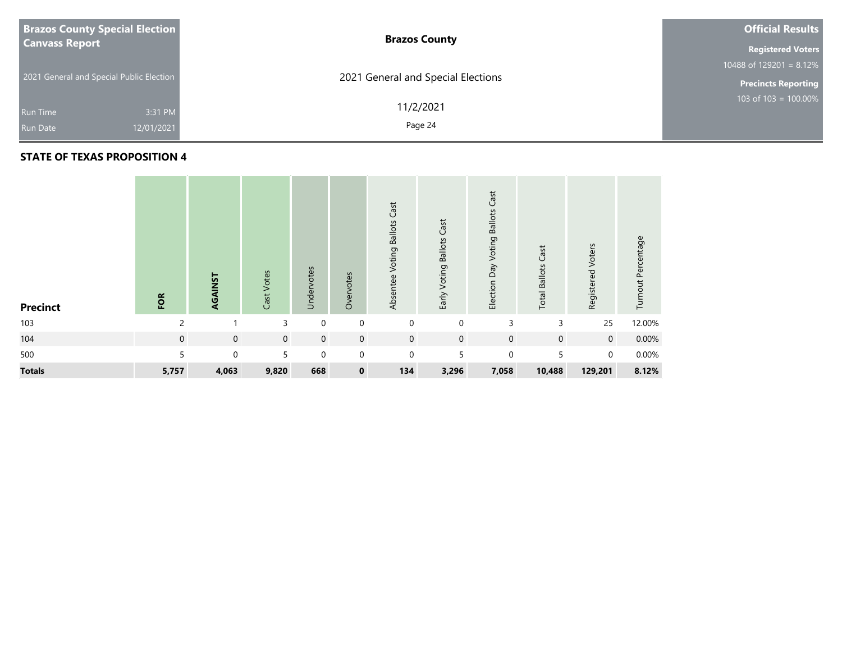| <b>Brazos County Special Election</b>    |            | <b>Brazos County</b>               | <b>Official Results</b>    |  |  |
|------------------------------------------|------------|------------------------------------|----------------------------|--|--|
| <b>Canvass Report</b>                    |            |                                    | <b>Registered Voters</b>   |  |  |
|                                          |            |                                    |                            |  |  |
| 2021 General and Special Public Election |            | 2021 General and Special Elections | <b>Precincts Reporting</b> |  |  |
|                                          |            | 11/2/2021                          | 103 of 103 = 100.00%       |  |  |
| Run Time                                 | 3:31 PM    |                                    |                            |  |  |
| <b>Run Date</b>                          | 12/01/2021 | Page 24                            |                            |  |  |
|                                          |            |                                    |                            |  |  |

| <b>Precinct</b> | FOR            | AGAINST     | Cast Votes     | Undervotes  | Overvotes   | Cast<br>Voting Ballots<br>Absentee | Early Voting Ballots Cast | Cast<br>Election Day Voting Ballots | Cast<br><b>Total Ballots</b> | Registered Voters | Turnout Percentage |
|-----------------|----------------|-------------|----------------|-------------|-------------|------------------------------------|---------------------------|-------------------------------------|------------------------------|-------------------|--------------------|
| 103             | $\overline{c}$ |             | 3              | $\mathbf 0$ | $\mathbf 0$ | $\mathbf{0}$                       | $\mathbf 0$               | 3                                   | 3                            | 25                | 12.00%             |
| 104             | $\mathbf 0$    | $\mathbf 0$ | $\overline{0}$ | $\mathbf 0$ | $\mathbf 0$ | $\mathbf 0$                        | $\mathbf 0$               | $\mathbf 0$                         | $\mathbf 0$                  | $\overline{0}$    | 0.00%              |
| 500             | 5              | $\mathbf 0$ | 5              | $\mathbf 0$ | $\mathbf 0$ | $\mathbf 0$                        | 5                         | $\mathbf 0$                         | 5                            | $\Omega$          | $0.00\%$           |
| <b>Totals</b>   | 5,757          | 4,063       | 9,820          | 668         | $\mathbf 0$ | 134                                | 3,296                     | 7,058                               | 10,488                       | 129,201           | 8.12%              |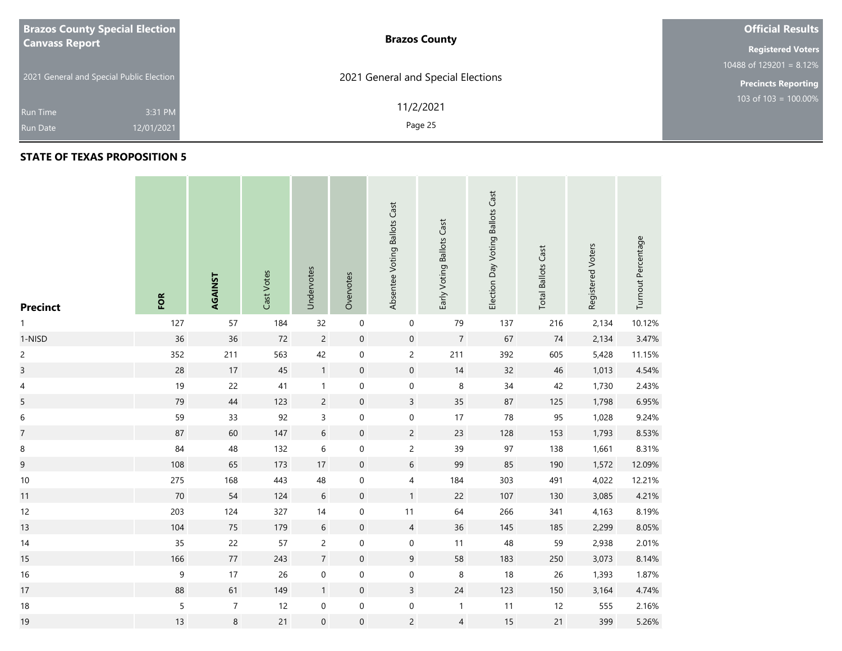| <b>Brazos County Special Election</b>    | <b>Brazos County</b>               | <b>Official Results</b>    |
|------------------------------------------|------------------------------------|----------------------------|
| <b>Canvass Report</b>                    |                                    | <b>Registered Voters</b>   |
|                                          |                                    | 10488 of 129201 = $8.12\%$ |
| 2021 General and Special Public Election | 2021 General and Special Elections | <b>Precincts Reporting</b> |
| 3:31 PM<br><b>Run Time</b>               | 11/2/2021                          | $103$ of 103 = 100.00%     |
| 12/01/2021<br><b>Run Date</b>            | Page 25                            |                            |

### **STATE OF TEXAS PROPOSITION 5**

**Contract** 

| <b>Precinct</b>         | FOR              | AGAINST        | Cast Votes | Undervotes       | Overvotes           | Absentee Voting Ballots Cast | Early Voting Ballots Cast | Election Day Voting Ballots Cast | <b>Total Ballots Cast</b> | Registered Voters | Turnout Percentage |
|-------------------------|------------------|----------------|------------|------------------|---------------------|------------------------------|---------------------------|----------------------------------|---------------------------|-------------------|--------------------|
| 1                       | 127              | 57             | 184        | 32               | $\mathbf 0$         | $\pmb{0}$                    | 79                        | 137                              | 216                       | 2,134             | 10.12%             |
| 1-NISD                  | 36               | 36             | 72         | $\overline{c}$   | $\pmb{0}$           | $\mathsf{O}\xspace$          | $\overline{7}$            | 67                               | 74                        | 2,134             | 3.47%              |
| $\overline{c}$          | 352              | 211            | 563        | 42               | $\boldsymbol{0}$    | $\overline{c}$               | 211                       | 392                              | 605                       | 5,428             | 11.15%             |
| $\overline{\mathbf{3}}$ | 28               | 17             | 45         | $\mathbf{1}$     | $\pmb{0}$           | $\mathsf{O}\xspace$          | 14                        | 32                               | 46                        | 1,013             | 4.54%              |
| 4                       | 19               | 22             | 41         | $\mathbf{1}$     | $\boldsymbol{0}$    | 0                            | 8                         | $34\,$                           | 42                        | 1,730             | 2.43%              |
| 5                       | 79               | 44             | 123        | $\overline{c}$   | $\mathsf{O}\xspace$ | $\overline{3}$               | $35\,$                    | 87                               | 125                       | 1,798             | 6.95%              |
| $\boldsymbol{6}$        | 59               | 33             | 92         | $\mathsf{3}$     | $\pmb{0}$           | $\pmb{0}$                    | 17                        | 78                               | 95                        | 1,028             | 9.24%              |
| $\overline{7}$          | 87               | 60             | 147        | $\,$ 6 $\,$      | $\pmb{0}$           | $\overline{2}$               | 23                        | 128                              | 153                       | 1,793             | 8.53%              |
| $\, 8$                  | 84               | 48             | 132        | $\,$ 6 $\,$      | $\boldsymbol{0}$    | $\overline{c}$               | 39                        | 97                               | 138                       | 1,661             | 8.31%              |
| 9                       | 108              | 65             | 173        | $17\,$           | $\pmb{0}$           | $\sqrt{6}$                   | 99                        | 85                               | 190                       | 1,572             | 12.09%             |
| $10\,$                  | 275              | 168            | 443        | 48               | $\boldsymbol{0}$    | $\overline{4}$               | 184                       | 303                              | 491                       | 4,022             | 12.21%             |
| 11                      | 70               | 54             | 124        | $\sqrt{6}$       | $\pmb{0}$           | 1                            | 22                        | 107                              | 130                       | 3,085             | 4.21%              |
| 12                      | 203              | 124            | 327        | $14$             | $\boldsymbol{0}$    | 11                           | 64                        | 266                              | 341                       | 4,163             | 8.19%              |
| 13                      | 104              | 75             | 179        | $\sqrt{6}$       | $\pmb{0}$           | $\overline{4}$               | 36                        | 145                              | 185                       | 2,299             | 8.05%              |
| 14                      | 35               | 22             | 57         | $\overline{c}$   | $\pmb{0}$           | $\mathbf 0$                  | 11                        | 48                               | 59                        | 2,938             | 2.01%              |
| 15                      | 166              | $77\,$         | 243        | $\boldsymbol{7}$ | $\pmb{0}$           | $9\,$                        | 58                        | 183                              | 250                       | 3,073             | 8.14%              |
| 16                      | $\boldsymbol{9}$ | 17             | 26         | $\mathbf 0$      | $\boldsymbol{0}$    | $\boldsymbol{0}$             | 8                         | 18                               | 26                        | 1,393             | 1.87%              |
| 17                      | 88               | 61             | 149        | $\mathbf{1}$     | $\pmb{0}$           | $\overline{3}$               | $24$                      | 123                              | 150                       | 3,164             | 4.74%              |
| $18$                    | 5                | $\overline{7}$ | 12         | $\pmb{0}$        | $\pmb{0}$           | $\boldsymbol{0}$             | $\mathbf{1}$              | 11                               | 12                        | 555               | 2.16%              |
| 19                      | $13$             | $\,8\,$        | 21         | $\mathbf 0$      | $\mathsf{O}\xspace$ | $\overline{2}$               | $\overline{4}$            | 15                               | 21                        | 399               | 5.26%              |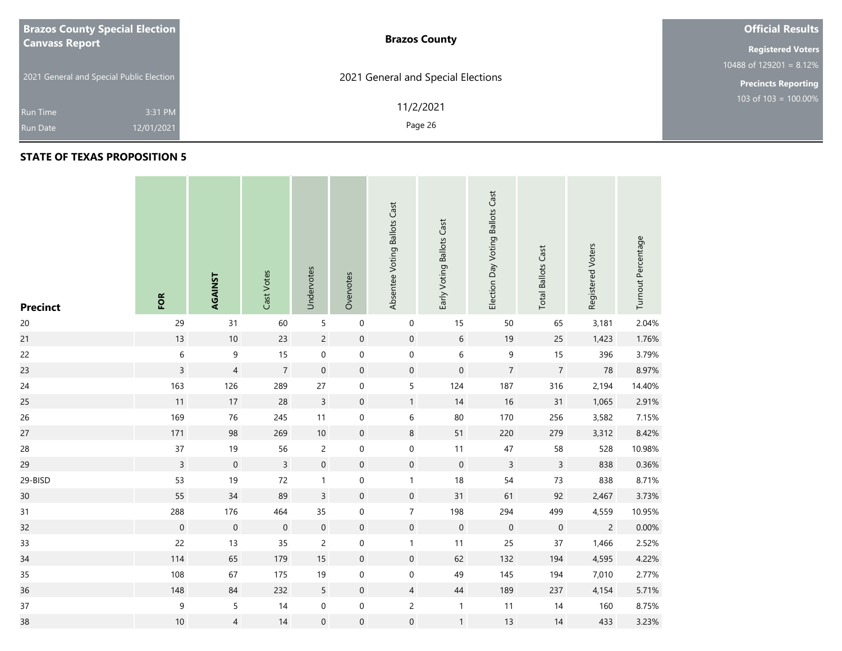| <b>Brazos County Special Election</b>    | <b>Brazos County</b>               | <b>Official Results</b>    |  |  |  |  |
|------------------------------------------|------------------------------------|----------------------------|--|--|--|--|
| <b>Canvass Report</b>                    |                                    |                            |  |  |  |  |
|                                          |                                    | 10488 of $129201 = 8.12\%$ |  |  |  |  |
| 2021 General and Special Public Election | 2021 General and Special Elections | <b>Precincts Reporting</b> |  |  |  |  |
|                                          | 11/2/2021                          | 103 of $103 = 100.00\%$    |  |  |  |  |
| 3:31 PM<br><b>Run Time</b>               |                                    |                            |  |  |  |  |
| 12/01/2021<br><b>Run Date</b>            | Page 26                            |                            |  |  |  |  |

| <b>Precinct</b> | FOR              | AGAINST             | Cast Votes       | Undervotes       | Overvotes           | Absentee Voting Ballots Cast | Early Voting Ballots Cast | Election Day Voting Ballots Cast | <b>Total Ballots Cast</b> | Registered Voters | Turnout Percentage |
|-----------------|------------------|---------------------|------------------|------------------|---------------------|------------------------------|---------------------------|----------------------------------|---------------------------|-------------------|--------------------|
| $20\,$          | 29               | 31                  | 60               | 5                | $\pmb{0}$           | 0                            | 15                        | 50                               | 65                        | 3,181             | 2.04%              |
| 21              | $13$             | $10\,$              | 23               | $\overline{c}$   | $\boldsymbol{0}$    | $\boldsymbol{0}$             | $\sqrt{6}$                | 19                               | 25                        | 1,423             | 1.76%              |
| 22              | $\,$ 6 $\,$      | $\boldsymbol{9}$    | 15               | $\mathbf 0$      | $\mathbf 0$         | $\boldsymbol{0}$             | $\,$ 6 $\,$               | $\mathsf 9$                      | 15                        | 396               | 3.79%              |
| 23              | $\mathsf{3}$     | $\sqrt{4}$          | $\boldsymbol{7}$ | $\mathbf 0$      | $\pmb{0}$           | $\pmb{0}$                    | $\mathbf 0$               | $\overline{7}$                   | $\overline{7}$            | 78                | 8.97%              |
| 24              | 163              | 126                 | 289              | $27\,$           | $\boldsymbol{0}$    | 5                            | 124                       | 187                              | 316                       | 2,194             | 14.40%             |
| 25              | 11               | $17\,$              | 28               | $\mathsf 3$      | $\pmb{0}$           | 1                            | 14                        | $16\,$                           | 31                        | 1,065             | 2.91%              |
| 26              | 169              | 76                  | 245              | 11               | $\pmb{0}$           | 6                            | $80\,$                    | 170                              | 256                       | 3,582             | 7.15%              |
| 27              | 171              | 98                  | 269              | $10\,$           | $\mathsf{O}\xspace$ | $\,$ 8 $\,$                  | 51                        | 220                              | 279                       | 3,312             | 8.42%              |
| 28              | $37\,$           | $19$                | 56               | $\overline{2}$   | $\pmb{0}$           | 0                            | 11                        | $47\,$                           | 58                        | 528               | 10.98%             |
| 29              | $\overline{3}$   | $\mathsf{O}\xspace$ | $\overline{3}$   | $\mathbf 0$      | $\pmb{0}$           | $\mathsf{O}\xspace$          | $\mathbf 0$               | $\mathsf{3}$                     | $\mathsf{3}$              | 838               | 0.36%              |
| 29-BISD         | 53               | 19                  | $72\,$           | $\mathbf{1}$     | $\boldsymbol{0}$    | $\mathbf{1}$                 | $18$                      | 54                               | $73$                      | 838               | 8.71%              |
| 30              | 55               | $34$                | 89               | $\mathsf 3$      | $\pmb{0}$           | $\mathsf{O}\xspace$          | 31                        | 61                               | 92                        | 2,467             | 3.73%              |
| 31              | 288              | 176                 | 464              | 35               | $\mathbf 0$         | $\overline{7}$               | 198                       | 294                              | 499                       | 4,559             | 10.95%             |
| 32              | $\mathbf 0$      | $\mathbf 0$         | $\mathbf 0$      | $\mathbf 0$      | $\pmb{0}$           | $\mathbf 0$                  | $\mathbf 0$               | $\boldsymbol{0}$                 | $\boldsymbol{0}$          | $\overline{c}$    | 0.00%              |
| 33              | 22               | 13                  | 35               | $\overline{c}$   | $\pmb{0}$           | $\mathbf{1}$                 | 11                        | 25                               | $37\,$                    | 1,466             | 2.52%              |
| 34              | 114              | 65                  | 179              | $15\,$           | $\pmb{0}$           | $\mathsf{O}\xspace$          | 62                        | 132                              | 194                       | 4,595             | 4.22%              |
| 35              | 108              | 67                  | 175              | 19               | $\boldsymbol{0}$    | $\boldsymbol{0}$             | 49                        | 145                              | 194                       | 7,010             | 2.77%              |
| 36              | 148              | 84                  | 232              | 5                | $\pmb{0}$           | $\overline{4}$               | $44\,$                    | 189                              | 237                       | 4,154             | 5.71%              |
| $37\,$          | $\boldsymbol{9}$ | 5                   | 14               | $\boldsymbol{0}$ | $\pmb{0}$           | $\overline{c}$               | $\mathbf{1}$              | 11                               | 14                        | 160               | 8.75%              |
| 38              | $10\,$           | $\overline{4}$      | 14               | $\mathbf 0$      | $\boldsymbol{0}$    | $\boldsymbol{0}$             | $\mathbf{1}$              | 13                               | 14                        | 433               | 3.23%              |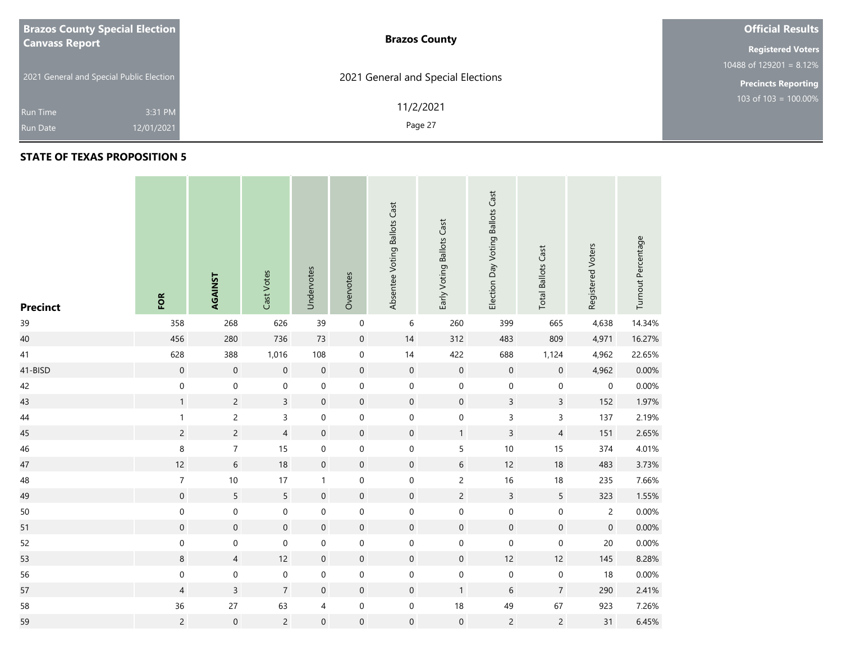| <b>Brazos County Special Election</b>    | <b>Brazos County</b>               | <b>Official Results</b>    |
|------------------------------------------|------------------------------------|----------------------------|
| <b>Canvass Report</b>                    |                                    | <b>Registered Voters</b>   |
|                                          |                                    | 10488 of 129201 = $8.12\%$ |
| 2021 General and Special Public Election | 2021 General and Special Elections | <b>Precincts Reporting</b> |
| 3:31 PM<br><b>Run Time</b>               | 11/2/2021                          | $103$ of 103 = 100.00%     |
| 12/01/2021<br><b>Run Date</b>            | Page 27                            |                            |

| <b>Precinct</b> | FOR                 | AGAINST          | Cast Votes          | Undervotes       | Overvotes           | Absentee Voting Ballots Cast | Early Voting Ballots Cast | Election Day Voting Ballots Cast | <b>Total Ballots Cast</b> | Registered Voters | Turnout Percentage |
|-----------------|---------------------|------------------|---------------------|------------------|---------------------|------------------------------|---------------------------|----------------------------------|---------------------------|-------------------|--------------------|
| 39              | 358                 | 268              | 626                 | 39               | $\pmb{0}$           | 6                            | 260                       | 399                              | 665                       | 4,638             | 14.34%             |
| 40              | 456                 | 280              | 736                 | 73               | $\mathbf 0$         | 14                           | 312                       | 483                              | 809                       | 4,971             | 16.27%             |
| 41              | 628                 | 388              | 1,016               | 108              | $\boldsymbol{0}$    | 14                           | 422                       | 688                              | 1,124                     | 4,962             | 22.65%             |
| 41-BISD         | $\boldsymbol{0}$    | $\mathbf 0$      | $\mathsf{O}\xspace$ | $\mathbf 0$      | $\mathbf 0$         | $\mathbf 0$                  | $\mathbf 0$               | $\mathbf 0$                      | $\boldsymbol{0}$          | 4,962             | 0.00%              |
| 42              | $\mathbf 0$         | $\mathbf 0$      | $\mathbf 0$         | $\boldsymbol{0}$ | $\boldsymbol{0}$    | $\mathbf 0$                  | $\mathbf 0$               | $\boldsymbol{0}$                 | $\mathbf 0$               | $\pmb{0}$         | 0.00%              |
| 43              | $\mathbf{1}$        | $\overline{2}$   | $\overline{3}$      | $\boldsymbol{0}$ | $\mathbf 0$         | $\mathsf{O}\xspace$          | $\mathsf{O}\xspace$       | $\overline{3}$                   | $\overline{3}$            | 152               | 1.97%              |
| 44              | $\mathbf{1}$        | $\overline{c}$   | $\mathsf{3}$        | $\pmb{0}$        | $\mathbf 0$         | $\pmb{0}$                    | $\pmb{0}$                 | 3                                | $\overline{3}$            | 137               | 2.19%              |
| 45              | $\overline{c}$      | $\overline{c}$   | $\overline{4}$      | $\boldsymbol{0}$ | $\mathsf{O}\xspace$ | $\mathbf 0$                  | $\mathbf{1}$              | $\mathsf{3}$                     | $\overline{4}$            | 151               | 2.65%              |
| 46              | $\,$ 8 $\,$         | $\overline{7}$   | $15\,$              | 0                | 0                   | $\pmb{0}$                    | 5                         | $10$                             | 15                        | 374               | 4.01%              |
| 47              | 12                  | $\sqrt{6}$       | $18\,$              | $\mathbf 0$      | $\mathbf 0$         | $\mathbf 0$                  | $\sqrt{6}$                | 12                               | 18                        | 483               | 3.73%              |
| 48              | $\boldsymbol{7}$    | $10\,$           | 17                  | $\mathbf{1}$     | $\boldsymbol{0}$    | $\pmb{0}$                    | $\overline{c}$            | 16                               | $18$                      | 235               | 7.66%              |
| 49              | $\mathsf{O}\xspace$ | 5                | 5                   | $\boldsymbol{0}$ | $\mathbf 0$         | $\boldsymbol{0}$             | $\overline{c}$            | $\overline{3}$                   | 5                         | 323               | 1.55%              |
| 50              | $\mathbf 0$         | $\mathbf 0$      | $\mathbf 0$         | $\boldsymbol{0}$ | $\mathbf 0$         | $\boldsymbol{0}$             | $\mathbf 0$               | $\mathbf 0$                      | $\mathbf 0$               | $\overline{c}$    | 0.00%              |
| 51              | $\boldsymbol{0}$    | $\mathbf 0$      | $\mathbf 0$         | $\boldsymbol{0}$ | $\boldsymbol{0}$    | $\mathbf 0$                  | $\mathbf 0$               | $\mathbf 0$                      | $\mathbf 0$               | $\mathbf 0$       | 0.00%              |
| 52              | 0                   | $\boldsymbol{0}$ | $\mathbf 0$         | $\mathbf 0$      | $\boldsymbol{0}$    | $\pmb{0}$                    | $\mathbf 0$               | 0                                | $\mathbf 0$               | 20                | 0.00%              |
| 53              | $\bf 8$             | $\overline{4}$   | 12                  | $\boldsymbol{0}$ | $\mathbf 0$         | $\mathsf{O}\xspace$          | $\mathsf{O}\xspace$       | 12                               | 12                        | 145               | 8.28%              |
| 56              | $\mathbf 0$         | $\pmb{0}$        | $\pmb{0}$           | 0                | $\pmb{0}$           | $\pmb{0}$                    | $\mathbf 0$               | $\pmb{0}$                        | $\pmb{0}$                 | 18                | 0.00%              |
| 57              | $\overline{4}$      | $\overline{3}$   | $\overline{7}$      | $\boldsymbol{0}$ | $\mathbf 0$         | $\boldsymbol{0}$             | $\mathbf{1}$              | 6                                | $\boldsymbol{7}$          | 290               | 2.41%              |
| 58              | 36                  | 27               | 63                  | 4                | $\pmb{0}$           | $\boldsymbol{0}$             | 18                        | 49                               | 67                        | 923               | 7.26%              |
| 59              | $\overline{c}$      | $\mathbf 0$      | $\overline{c}$      | $\boldsymbol{0}$ | $\boldsymbol{0}$    | $\boldsymbol{0}$             | $\mathbf 0$               | $\overline{c}$                   | $\overline{c}$            | 31                | 6.45%              |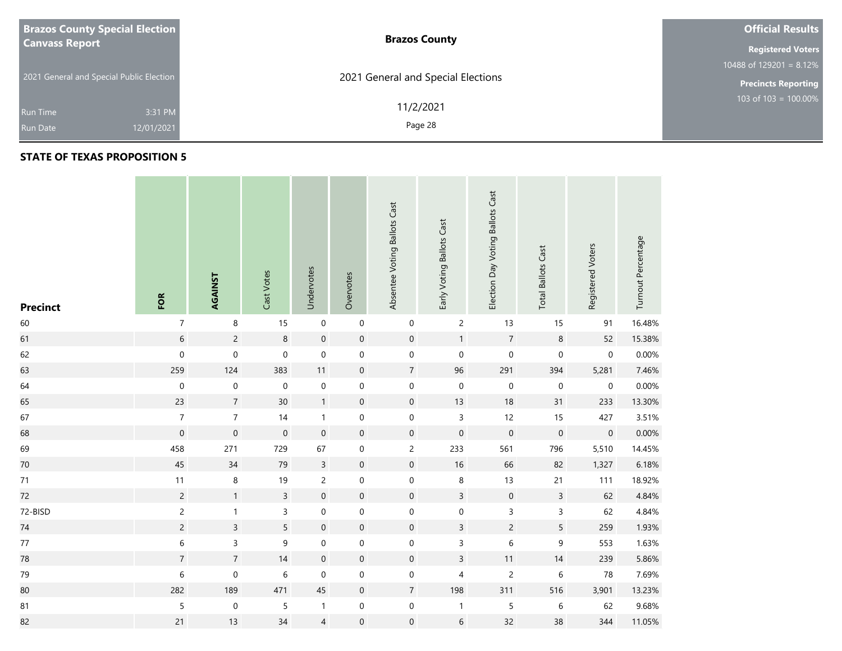| <b>Brazos County Special Election</b>    | <b>Brazos County</b>               | <b>Official Results</b>    |
|------------------------------------------|------------------------------------|----------------------------|
| <b>Canvass Report</b>                    |                                    | <b>Registered Voters</b>   |
|                                          |                                    | 10488 of 129201 = $8.12\%$ |
| 2021 General and Special Public Election | 2021 General and Special Elections | <b>Precincts Reporting</b> |
| 3:31 PM<br><b>Run Time</b>               | 11/2/2021                          | $103$ of 103 = 100.00%     |
| 12/01/2021<br><b>Run Date</b>            | Page 28                            |                            |

| <b>Precinct</b> | FOR            | AGAINST          | Cast Votes       | Undervotes       | Overvotes           | Absentee Voting Ballots Cast | Early Voting Ballots Cast | Election Day Voting Ballots Cast | <b>Total Ballots Cast</b> | Registered Voters | Turnout Percentage |
|-----------------|----------------|------------------|------------------|------------------|---------------------|------------------------------|---------------------------|----------------------------------|---------------------------|-------------------|--------------------|
| 60              | $\overline{7}$ | $\,8\,$          | 15               | $\mathbf 0$      | $\boldsymbol{0}$    | $\pmb{0}$                    | $\overline{c}$            | 13                               | 15                        | 91                | 16.48%             |
| 61              | $\,6\,$        | $\overline{c}$   | $\,8\,$          | $\mathbf 0$      | $\mathbf 0$         | $\mathbf 0$                  | $\mathbf{1}$              | $\overline{7}$                   | $\,8\,$                   | 52                | 15.38%             |
| 62              | $\mathbf 0$    | $\boldsymbol{0}$ | $\boldsymbol{0}$ | $\boldsymbol{0}$ | $\boldsymbol{0}$    | $\mathbf 0$                  | $\boldsymbol{0}$          | $\mathbf 0$                      | $\pmb{0}$                 | $\pmb{0}$         | 0.00%              |
| 63              | 259            | 124              | 383              | 11               | $\mathsf{O}\xspace$ | $\sqrt{7}$                   | 96                        | 291                              | 394                       | 5,281             | 7.46%              |
| 64              | $\mathbf 0$    | $\boldsymbol{0}$ | $\mathbf 0$      | $\boldsymbol{0}$ | $\pmb{0}$           | $\mathbf 0$                  | $\mathbf 0$               | $\mathbf 0$                      | $\pmb{0}$                 | $\pmb{0}$         | 0.00%              |
| 65              | 23             | $\overline{7}$   | 30               | $\mathbf{1}$     | $\mathbf 0$         | $\mathbf 0$                  | 13                        | $18$                             | 31                        | 233               | 13.30%             |
| 67              | $\overline{7}$ | $\overline{7}$   | 14               | $\mathbf{1}$     | $\mathbf 0$         | $\pmb{0}$                    | $\mathsf{3}$              | 12                               | 15                        | 427               | 3.51%              |
| 68              | $\mathbf 0$    | $\mathbf 0$      | $\mathbf 0$      | $\boldsymbol{0}$ | $\mathbf 0$         | $\mathbf 0$                  | $\mathbf 0$               | $\mathsf{O}\xspace$              | $\mathbf 0$               | $\mathbf 0$       | 0.00%              |
| 69              | 458            | 271              | 729              | 67               | $\pmb{0}$           | $\mathsf{2}\,$               | 233                       | 561                              | 796                       | 5,510             | 14.45%             |
| $70\,$          | 45             | 34               | 79               | $\overline{3}$   | $\boldsymbol{0}$    | $\mathbf 0$                  | 16                        | 66                               | 82                        | 1,327             | 6.18%              |
| $71$            | 11             | $\,8\,$          | 19               | $\overline{c}$   | $\mathbf 0$         | $\mathbf 0$                  | $\,8\,$                   | 13                               | 21                        | 111               | 18.92%             |
| 72              | $\overline{c}$ | $\mathbf{1}$     | $\overline{3}$   | $\boldsymbol{0}$ | $\mathbf 0$         | $\mathbf 0$                  | $\overline{3}$            | $\mathbf 0$                      | $\mathsf 3$               | 62                | 4.84%              |
| 72-BISD         | $\overline{c}$ | $\mathbf{1}$     | $\overline{3}$   | $\pmb{0}$        | $\mathbf 0$         | $\mathbf 0$                  | $\mathbf 0$               | $\mathsf{3}$                     | $\overline{3}$            | 62                | 4.84%              |
| 74              | $\overline{c}$ | $\overline{3}$   | 5                | $\boldsymbol{0}$ | $\mathbf 0$         | $\mathbf 0$                  | $\overline{3}$            | $\overline{c}$                   | 5                         | 259               | 1.93%              |
| $77$            | $\,$ 6 $\,$    | $\mathsf 3$      | $\mathsf 9$      | $\pmb{0}$        | $\mathbf 0$         | $\mathbf 0$                  | 3                         | 6                                | $\mathsf 9$               | 553               | 1.63%              |
| 78              | $\overline{7}$ | $\boldsymbol{7}$ | 14               | $\mathbf 0$      | $\mathbf 0$         | $\pmb{0}$                    | $\overline{3}$            | 11                               | 14                        | 239               | 5.86%              |
| 79              | 6              | $\mathbf 0$      | $\,$ 6 $\,$      | $\boldsymbol{0}$ | $\pmb{0}$           | $\mathbf 0$                  | $\overline{\mathbf{4}}$   | $\overline{c}$                   | $\,$ 6 $\,$               | 78                | 7.69%              |
| 80              | 282            | 189              | 471              | 45               | $\mathbf 0$         | $\sqrt{7}$                   | 198                       | 311                              | 516                       | 3,901             | 13.23%             |
| 81              | $\mathsf S$    | $\pmb{0}$        | $\mathsf S$      | 1                | $\boldsymbol{0}$    | $\mathbf 0$                  | $\mathbf{1}$              | 5                                | 6                         | 62                | 9.68%              |
| 82              | $21$           | 13               | 34               | $\overline{4}$   | $\boldsymbol{0}$    | $\mathbf 0$                  | $\,$ 6 $\,$               | 32                               | 38                        | 344               | 11.05%             |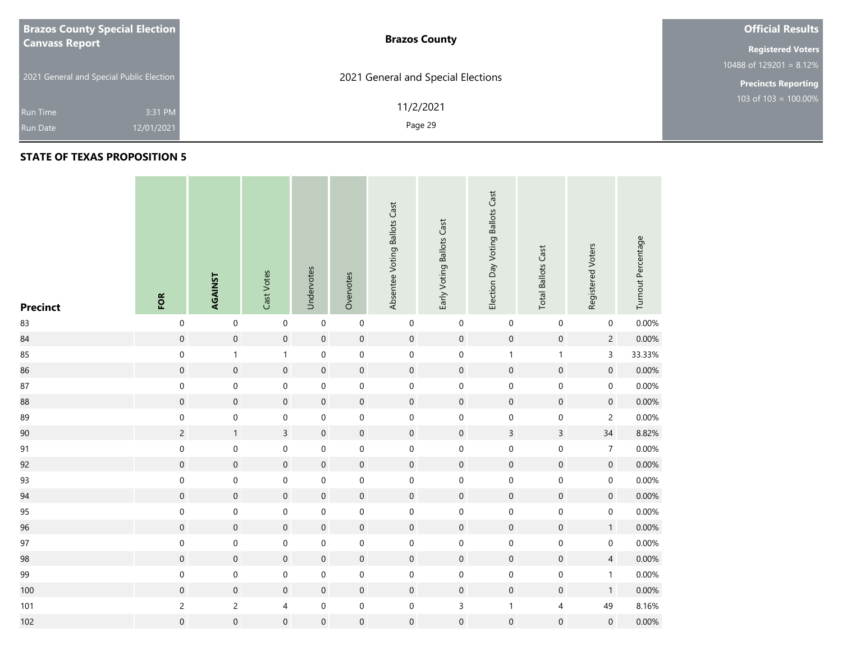| <b>Brazos County Special Election</b>    | <b>Brazos County</b>               | <b>Official Results</b>    |
|------------------------------------------|------------------------------------|----------------------------|
| <b>Canvass Report</b>                    |                                    | <b>Registered Voters</b>   |
|                                          |                                    | 10488 of 129201 = $8.12\%$ |
| 2021 General and Special Public Election | 2021 General and Special Elections | <b>Precincts Reporting</b> |
| 3:31 PM<br><b>Run Time</b>               | 11/2/2021                          | 103 of 103 = $100.00\%$    |
| 12/01/2021<br><b>Run Date</b>            | Page 29                            |                            |

| <b>Precinct</b> | FOR                 | AGAINST             | Cast Votes              | Undervotes       | Overvotes           | Absentee Voting Ballots Cast | Early Voting Ballots Cast | Election Day Voting Ballots Cast | <b>Total Ballots Cast</b> | Registered Voters   | Turnout Percentage |
|-----------------|---------------------|---------------------|-------------------------|------------------|---------------------|------------------------------|---------------------------|----------------------------------|---------------------------|---------------------|--------------------|
| 83              | $\boldsymbol{0}$    | $\mathbf 0$         | $\boldsymbol{0}$        | $\boldsymbol{0}$ | $\mathbf 0$         | $\boldsymbol{0}$             | $\pmb{0}$                 | $\boldsymbol{0}$                 | $\mathbf 0$               | $\mathsf{O}\xspace$ | 0.00%              |
| 84              | $\boldsymbol{0}$    | $\mathbf 0$         | $\boldsymbol{0}$        | $\mathbf 0$      | $\boldsymbol{0}$    | $\mathbf 0$                  | $\mathbf 0$               | $\boldsymbol{0}$                 | $\mathbf 0$               | $\overline{2}$      | 0.00%              |
| 85              | $\mathbf 0$         | $\mathbf{1}$        | $\mathbf{1}$            | $\boldsymbol{0}$ | $\mathbf 0$         | $\mathbf 0$                  | $\mathbf 0$               | $\mathbf{1}$                     | $\mathbf{1}$              | $\overline{3}$      | 33.33%             |
| 86              | $\boldsymbol{0}$    | $\mathsf{O}\xspace$ | $\boldsymbol{0}$        | $\mathbf 0$      | $\mathbf 0$         | $\mathsf{O}\xspace$          | $\mathbf 0$               | $\mathsf{O}\xspace$              | $\boldsymbol{0}$          | $\mathbf 0$         | 0.00%              |
| 87              | $\mathbf 0$         | $\mathbf 0$         | $\mathsf{O}\xspace$     | $\mathbf 0$      | $\mathsf{O}\xspace$ | $\mathbf 0$                  | $\mathbf 0$               | $\boldsymbol{0}$                 | $\mathbf 0$               | $\boldsymbol{0}$    | 0.00%              |
| 88              | $\mathsf{O}\xspace$ | $\mathsf{O}\xspace$ | $\boldsymbol{0}$        | $\mathbf 0$      | $\mathsf{O}\xspace$ | $\mathsf{O}\xspace$          | $\mathbf 0$               | $\boldsymbol{0}$                 | $\mathbf 0$               | $\mathbf 0$         | 0.00%              |
| 89              | $\boldsymbol{0}$    | $\mathsf{O}\xspace$ | $\mathsf{O}\xspace$     | $\boldsymbol{0}$ | $\mathsf{O}\xspace$ | $\boldsymbol{0}$             | $\mathsf{O}\xspace$       | $\mathsf{O}\xspace$              | $\mathbf 0$               | $\overline{c}$      | 0.00%              |
| 90              | $\overline{c}$      | $\mathbf{1}$        | $\overline{3}$          | $\pmb{0}$        | $\boldsymbol{0}$    | $\mathbf 0$                  | $\mathbf 0$               | $\overline{3}$                   | $\overline{3}$            | 34                  | 8.82%              |
| 91              | $\boldsymbol{0}$    | $\boldsymbol{0}$    | $\boldsymbol{0}$        | $\pmb{0}$        | $\boldsymbol{0}$    | $\boldsymbol{0}$             | $\boldsymbol{0}$          | $\mathsf{O}\xspace$              | $\boldsymbol{0}$          | $\overline{7}$      | 0.00%              |
| 92              | $\mathbf 0$         | $\mathsf{O}\xspace$ | $\boldsymbol{0}$        | $\pmb{0}$        | $\boldsymbol{0}$    | $\mathsf{O}\xspace$          | $\mathbf 0$               | $\mathbf 0$                      | $\mathbf 0$               | $\mathbf 0$         | 0.00%              |
| 93              | $\boldsymbol{0}$    | $\boldsymbol{0}$    | 0                       | $\pmb{0}$        | $\mathsf{O}\xspace$ | $\boldsymbol{0}$             | $\mathbf 0$               | $\boldsymbol{0}$                 | $\boldsymbol{0}$          | $\mathbf 0$         | 0.00%              |
| 94              | $\boldsymbol{0}$    | $\mathbf 0$         | $\boldsymbol{0}$        | $\mathbf 0$      | $\mathsf{O}\xspace$ | $\mathbf 0$                  | $\mathbf 0$               | $\mathbf 0$                      | $\boldsymbol{0}$          | $\mathsf{O}\xspace$ | 0.00%              |
| 95              | $\boldsymbol{0}$    | $\boldsymbol{0}$    | $\mathbf 0$             | $\boldsymbol{0}$ | $\mathsf{O}\xspace$ | $\mathbf 0$                  | $\mathbf 0$               | $\mathbf 0$                      | $\mathbf 0$               | $\boldsymbol{0}$    | 0.00%              |
| 96              | $\boldsymbol{0}$    | $\mathbf 0$         | $\boldsymbol{0}$        | $\mathbf 0$      | $\boldsymbol{0}$    | $\mathbf 0$                  | $\mathbf 0$               | $\boldsymbol{0}$                 | $\mathbf 0$               | $\mathbf{1}$        | 0.00%              |
| $97\,$          | $\boldsymbol{0}$    | $\mathbf 0$         | $\mathbf 0$             | $\boldsymbol{0}$ | $\boldsymbol{0}$    | $\boldsymbol{0}$             | $\boldsymbol{0}$          | $\boldsymbol{0}$                 | $\boldsymbol{0}$          | $\boldsymbol{0}$    | 0.00%              |
| 98              | $\boldsymbol{0}$    | $\mathsf{O}\xspace$ | $\boldsymbol{0}$        | $\mathbf 0$      | $\boldsymbol{0}$    | $\mathbf 0$                  | $\mathbf 0$               | $\boldsymbol{0}$                 | $\boldsymbol{0}$          | $\overline{4}$      | 0.00%              |
| 99              | $\mathbf 0$         | $\mathbf 0$         | $\mathbf 0$             | $\boldsymbol{0}$ | $\boldsymbol{0}$    | $\boldsymbol{0}$             | $\mathbf 0$               | $\mathsf{O}\xspace$              | $\boldsymbol{0}$          | $\mathbf{1}$        | 0.00%              |
| 100             | $\boldsymbol{0}$    | $\mathsf{O}\xspace$ | $\boldsymbol{0}$        | $\mathbf 0$      | $\mathbf 0$         | $\mathsf{O}\xspace$          | $\mathsf{O}\xspace$       | $\boldsymbol{0}$                 | $\boldsymbol{0}$          | $\mathbf{1}$        | 0.00%              |
| 101             | $\overline{c}$      | $\overline{c}$      | $\overline{\mathbf{4}}$ | $\boldsymbol{0}$ | $\mathsf{O}\xspace$ | $\mathbf 0$                  | $\mathsf{3}$              | $\mathbf{1}$                     | $\pmb{4}$                 | 49                  | 8.16%              |
| 102             | $\boldsymbol{0}$    | $\mathbf 0$         | $\mathbf 0$             | $\mathbf 0$      | $\boldsymbol{0}$    | $\boldsymbol{0}$             | $\mathbf 0$               | $\mathsf{O}\xspace$              | $\mathbf 0$               | $\mathbf 0$         | 0.00%              |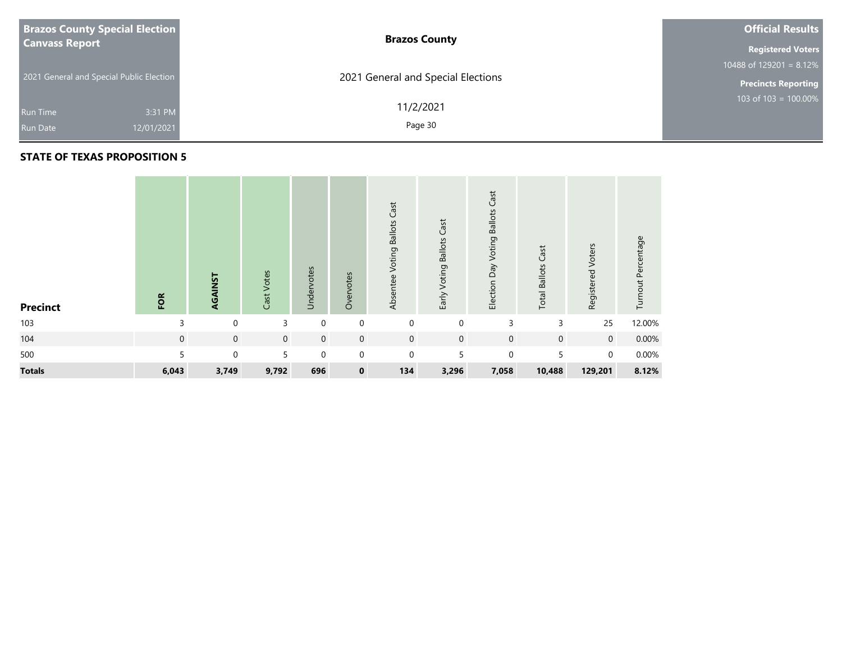| <b>Brazos County Special Election</b>    | <b>Brazos County</b>               | <b>Official Results</b>    |
|------------------------------------------|------------------------------------|----------------------------|
| <b>Canvass Report</b>                    |                                    | <b>Registered Voters</b>   |
|                                          |                                    | $10488$ of 129201 = 8.12%  |
| 2021 General and Special Public Election | 2021 General and Special Elections | <b>Precincts Reporting</b> |
| 3:31 PM<br>Run Time                      | 11/2/2021                          | 103 of $103 = 100.00\%$    |
| 12/01/2021<br><b>Run Date</b>            | Page 30                            |                            |

| <b>Precinct</b> | FOR          | AGAINST        | Cast Votes     | Undervotes   | Overvotes   | Cast<br>Voting Ballots<br>Absentee | Early Voting Ballots Cast | Cast<br>Election Day Voting Ballots | Cast<br><b>Total Ballots</b> | Registered Voters | Turnout Percentage |
|-----------------|--------------|----------------|----------------|--------------|-------------|------------------------------------|---------------------------|-------------------------------------|------------------------------|-------------------|--------------------|
| 103             | 3            | $\Omega$       | 3              | $\Omega$     | $\mathbf 0$ | $\mathbf{0}$                       | $\mathbf 0$               | 3                                   | 3                            | 25                | 12.00%             |
| 104             | $\mathbf{0}$ | $\overline{0}$ | $\overline{0}$ | $\mathbf{0}$ | $\mathbf 0$ | $\mathbf 0$                        | $\mathbf 0$               | $\mathbf{0}$                        | $\mathbf{0}$                 | $\mathbf 0$       | 0.00%              |
| 500             | 5            | $\Omega$       | 5              | $\Omega$     | $\mathbf 0$ | $\mathbf 0$                        | 5                         | $\Omega$                            | 5                            | $\mathbf 0$       | 0.00%              |
| <b>Totals</b>   | 6,043        | 3,749          | 9,792          | 696          | $\mathbf 0$ | 134                                | 3,296                     | 7,058                               | 10,488                       | 129,201           | 8.12%              |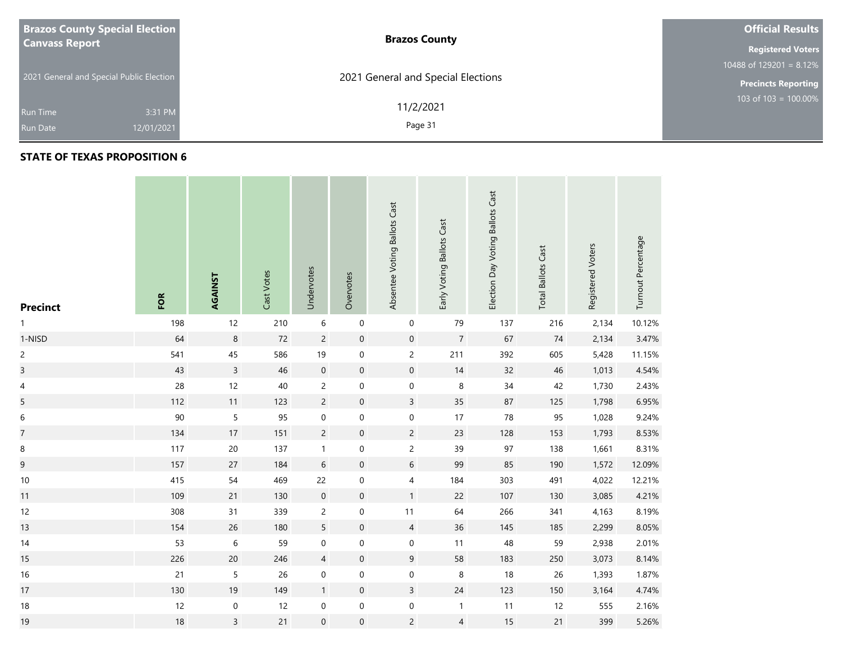| <b>Brazos County Special Election</b>    | <b>Brazos County</b>               | <b>Official Results</b>    |
|------------------------------------------|------------------------------------|----------------------------|
| <b>Canvass Report</b>                    |                                    | <b>Registered Voters</b>   |
|                                          |                                    | 10488 of 129201 = $8.12\%$ |
| 2021 General and Special Public Election | 2021 General and Special Elections | <b>Precincts Reporting</b> |
| 3:31 PM<br><b>Run Time</b>               | 11/2/2021                          | 103 of $103 = 100.00\%$    |
| 12/01/2021<br><b>Run Date</b>            | Page 31                            |                            |

| <b>Precinct</b> | FOR | AGAINST        | Cast Votes | Undervotes       | Overvotes           | Absentee Voting Ballots Cast | Early Voting Ballots Cast | Election Day Voting Ballots Cast | <b>Total Ballots Cast</b> | Registered Voters | Turnout Percentage |
|-----------------|-----|----------------|------------|------------------|---------------------|------------------------------|---------------------------|----------------------------------|---------------------------|-------------------|--------------------|
| 1               | 198 | 12             | 210        | 6                | $\mathbf 0$         | $\pmb{0}$                    | 79                        | 137                              | 216                       | 2,134             | 10.12%             |
| 1-NISD          | 64  | $\,8\,$        | $72\,$     | $\overline{c}$   | $\pmb{0}$           | $\boldsymbol{0}$             | $\boldsymbol{7}$          | 67                               | $74$                      | 2,134             | 3.47%              |
| $\overline{c}$  | 541 | $45\,$         | 586        | 19               | $\pmb{0}$           | $\sqrt{2}$                   | 211                       | 392                              | 605                       | 5,428             | 11.15%             |
| $\overline{3}$  | 43  | $\mathsf{3}$   | 46         | $\mathbf 0$      | $\mathsf{O}\xspace$ | $\mathbf 0$                  | 14                        | 32                               | 46                        | 1,013             | 4.54%              |
| 4               | 28  | 12             | 40         | $\overline{c}$   | $\mathsf{O}\xspace$ | $\pmb{0}$                    | $\,8\,$                   | 34                               | 42                        | 1,730             | 2.43%              |
| 5               | 112 | 11             | 123        | $\overline{c}$   | $\mathsf{O}\xspace$ | $\overline{3}$               | 35                        | 87                               | 125                       | 1,798             | 6.95%              |
| $\,$ 6 $\,$     | 90  | 5              | 95         | $\boldsymbol{0}$ | $\mathbf 0$         | $\pmb{0}$                    | $17$                      | $78\,$                           | 95                        | 1,028             | 9.24%              |
| $\overline{7}$  | 134 | $17\,$         | 151        | $\overline{c}$   | $\pmb{0}$           | $\overline{c}$               | 23                        | 128                              | 153                       | 1,793             | 8.53%              |
| 8               | 117 | $20\,$         | 137        | $\mathbf{1}$     | $\boldsymbol{0}$    | $\overline{c}$               | 39                        | 97                               | 138                       | 1,661             | 8.31%              |
| 9               | 157 | 27             | 184        | $6\,$            | $\mathsf{O}\xspace$ | $\sqrt{6}$                   | 99                        | 85                               | 190                       | 1,572             | 12.09%             |
| $10\,$          | 415 | 54             | 469        | 22               | $\boldsymbol{0}$    | $\overline{\mathcal{A}}$     | 184                       | 303                              | 491                       | 4,022             | 12.21%             |
| 11              | 109 | 21             | 130        | $\mathbf 0$      | $\mathsf{O}\xspace$ | $\mathbf{1}$                 | 22                        | 107                              | 130                       | 3,085             | 4.21%              |
| 12              | 308 | 31             | 339        | $\overline{c}$   | $\pmb{0}$           | $11$                         | 64                        | 266                              | 341                       | 4,163             | 8.19%              |
| 13              | 154 | $26\,$         | 180        | $\overline{5}$   | $\pmb{0}$           | $\overline{4}$               | $36$                      | 145                              | 185                       | 2,299             | 8.05%              |
| 14              | 53  | $\,$ 6 $\,$    | 59         | $\boldsymbol{0}$ | $\pmb{0}$           | $\pmb{0}$                    | 11                        | 48                               | 59                        | 2,938             | 2.01%              |
| 15              | 226 | $20\,$         | 246        | $\overline{4}$   | $\mathbf 0$         | $\boldsymbol{9}$             | 58                        | 183                              | 250                       | 3,073             | 8.14%              |
| $16\,$          | 21  | 5              | 26         | $\boldsymbol{0}$ | $\boldsymbol{0}$    | $\boldsymbol{0}$             | $\,8\,$                   | 18                               | 26                        | 1,393             | 1.87%              |
| 17              | 130 | $19$           | 149        | $\mathbf{1}$     | $\mathsf{O}\xspace$ | $\mathsf{3}$                 | $24\,$                    | 123                              | 150                       | 3,164             | 4.74%              |
| $18\,$          | 12  | $\pmb{0}$      | 12         | $\boldsymbol{0}$ | $\boldsymbol{0}$    | $\pmb{0}$                    | $\mathbf{1}$              | 11                               | 12                        | 555               | 2.16%              |
| 19              | 18  | $\overline{3}$ | 21         | $\boldsymbol{0}$ | $\boldsymbol{0}$    | $\overline{c}$               | $\overline{4}$            | $15$                             | $21$                      | 399               | 5.26%              |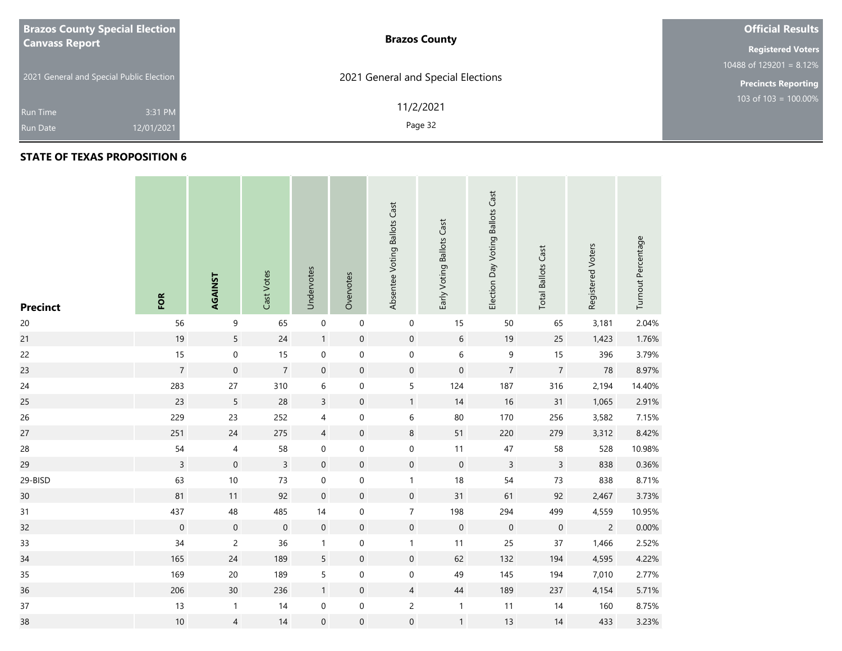| <b>Brazos County Special Election</b>    | <b>Brazos County</b>               | <b>Official Results</b>    |
|------------------------------------------|------------------------------------|----------------------------|
| <b>Canvass Report</b>                    |                                    | <b>Registered Voters</b>   |
|                                          |                                    | 10488 of 129201 = $8.12\%$ |
| 2021 General and Special Public Election | 2021 General and Special Elections | <b>Precincts Reporting</b> |
| 3:31 PM<br><b>Run Time</b>               | 11/2/2021                          | 103 of $103 = 100.00\%$    |
| 12/01/2021<br><b>Run Date</b>            | Page 32                            |                            |

| <b>Precinct</b> | FOR              | AGAINST             | Cast Votes     | Undervotes       | Overvotes           | Absentee Voting Ballots Cast | Early Voting Ballots Cast | Election Day Voting Ballots Cast | <b>Total Ballots Cast</b> | Registered Voters | Turnout Percentage |
|-----------------|------------------|---------------------|----------------|------------------|---------------------|------------------------------|---------------------------|----------------------------------|---------------------------|-------------------|--------------------|
| $20\,$          | 56               | 9                   | 65             | $\boldsymbol{0}$ | $\mathbf 0$         | $\mathbf 0$                  | 15                        | 50                               | 65                        | 3,181             | 2.04%              |
| 21              | 19               | 5                   | 24             | $\mathbf{1}$     | $\mathbf 0$         | $\mathbf 0$                  | $\sqrt{6}$                | 19                               | 25                        | 1,423             | 1.76%              |
| 22              | 15               | $\mathbf 0$         | 15             | $\boldsymbol{0}$ | $\mathbf 0$         | $\boldsymbol{0}$             | $\boldsymbol{6}$          | 9                                | 15                        | 396               | 3.79%              |
| 23              | $\overline{7}$   | $\boldsymbol{0}$    | $\overline{7}$ | $\boldsymbol{0}$ | $\pmb{0}$           | $\mathbf 0$                  | $\boldsymbol{0}$          | $\overline{7}$                   | $\overline{7}$            | ${\bf 78}$        | 8.97%              |
| $24$            | 283              | $27\,$              | 310            | $\,$ 6 $\,$      | $\boldsymbol{0}$    | $\mathsf S$                  | 124                       | 187                              | 316                       | 2,194             | 14.40%             |
| 25              | 23               | 5                   | 28             | $\overline{3}$   | $\mathbf 0$         | $\mathbf{1}$                 | 14                        | 16                               | 31                        | 1,065             | 2.91%              |
| 26              | 229              | 23                  | 252            | $\overline{4}$   | $\boldsymbol{0}$    | $\,$ 6 $\,$                  | 80                        | 170                              | 256                       | 3,582             | 7.15%              |
| 27              | 251              | 24                  | 275            | $\overline{4}$   | $\mathsf{O}\xspace$ | $\,8\,$                      | 51                        | 220                              | 279                       | 3,312             | 8.42%              |
| 28              | 54               | 4                   | 58             | $\mathbf 0$      | $\mathbf 0$         | $\pmb{0}$                    | 11                        | $47\,$                           | 58                        | 528               | 10.98%             |
| 29              | $\overline{3}$   | $\mathbf 0$         | $\overline{3}$ | $\boldsymbol{0}$ | $\mathbf 0$         | $\mathbf 0$                  | $\mathbf 0$               | $\overline{3}$                   | $\overline{3}$            | 838               | 0.36%              |
| 29-BISD         | 63               | $10\,$              | 73             | 0                | $\boldsymbol{0}$    | $\mathbf{1}$                 | $18$                      | 54                               | 73                        | 838               | 8.71%              |
| 30 <sub>o</sub> | 81               | 11                  | 92             | $\mathbf 0$      | $\pmb{0}$           | $\mathbf 0$                  | 31                        | 61                               | 92                        | 2,467             | 3.73%              |
| 31              | 437              | 48                  | 485            | 14               | $\mathbf 0$         | $\boldsymbol{7}$             | 198                       | 294                              | 499                       | 4,559             | 10.95%             |
| 32              | $\boldsymbol{0}$ | $\mathsf{O}\xspace$ | $\mathbf 0$    | $\mathbf 0$      | $\mathbf 0$         | $\mathbf 0$                  | $\mathbf 0$               | $\mathbf 0$                      | $\boldsymbol{0}$          | $\sqrt{2}$        | 0.00%              |
| 33              | 34               | $\overline{c}$      | 36             | $\mathbf{1}$     | $\boldsymbol{0}$    | $\mathbf{1}$                 | 11                        | 25                               | 37                        | 1,466             | 2.52%              |
| 34              | 165              | 24                  | 189            | 5                | $\mathbf 0$         | $\mathbf 0$                  | 62                        | 132                              | 194                       | 4,595             | 4.22%              |
| 35              | 169              | $20\,$              | 189            | 5                | $\mathbf 0$         | $\mathbf 0$                  | 49                        | 145                              | 194                       | 7,010             | 2.77%              |
| 36              | 206              | $30\,$              | 236            | $\mathbf{1}$     | $\mathsf{O}\xspace$ | $\overline{4}$               | $44\,$                    | 189                              | 237                       | 4,154             | 5.71%              |
| $37\,$          | 13               | $\mathbf{1}$        | $14$           | 0                | $\boldsymbol{0}$    | $\mathsf{S}$                 | $\mathbf{1}$              | 11                               | 14                        | 160               | 8.75%              |
| 38              | 10               | $\overline{4}$      | 14             | $\mathbf 0$      | $\boldsymbol{0}$    | $\boldsymbol{0}$             | $\mathbf{1}$              | 13                               | 14                        | 433               | 3.23%              |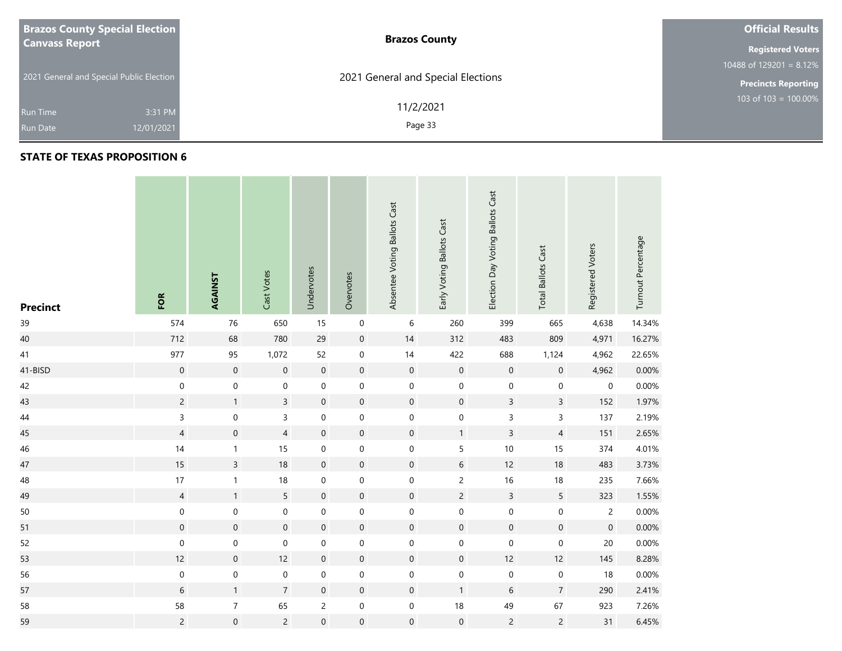| <b>Brazos County Special Election</b>    | <b>Brazos County</b>               | <b>Official Results</b>    |
|------------------------------------------|------------------------------------|----------------------------|
| <b>Canvass Report</b>                    |                                    | <b>Registered Voters</b>   |
|                                          |                                    | 10488 of $129201 = 8.12\%$ |
| 2021 General and Special Public Election | 2021 General and Special Elections | <b>Precincts Reporting</b> |
| 3:31 PM<br><b>Run Time</b>               | 11/2/2021                          | 103 of 103 = $100.00\%$    |
| 12/01/2021<br><b>Run Date</b>            | Page 33                            |                            |

| <b>Precinct</b> | FOR              | AGAINST             | Cast Votes          | Undervotes          | Overvotes           | Absentee Voting Ballots Cast | Early Voting Ballots Cast | Election Day Voting Ballots Cast | <b>Total Ballots Cast</b> | Registered Voters   | Turnout Percentage |
|-----------------|------------------|---------------------|---------------------|---------------------|---------------------|------------------------------|---------------------------|----------------------------------|---------------------------|---------------------|--------------------|
| 39              | 574              | 76                  | 650                 | 15                  | $\mathbf 0$         | 6                            | 260                       | 399                              | 665                       | 4,638               | 14.34%             |
| 40              | 712              | 68                  | 780                 | 29                  | $\mathsf{O}\xspace$ | $14$                         | 312                       | 483                              | 809                       | 4,971               | 16.27%             |
| 41              | 977              | 95                  | 1,072               | 52                  | 0                   | $14$                         | 422                       | 688                              | 1,124                     | 4,962               | 22.65%             |
| 41-BISD         | $\mathbf 0$      | $\mathsf{O}\xspace$ | $\mathsf{O}\xspace$ | $\,0\,$             | $\mathsf{O}\xspace$ | $\mathbf 0$                  | $\mathbf 0$               | $\mathbf 0$                      | $\mathsf{O}\xspace$       | 4,962               | 0.00%              |
| 42              | $\mathbf 0$      | $\mathbf 0$         | $\mathbf 0$         | $\mathbf 0$         | $\boldsymbol{0}$    | $\boldsymbol{0}$             | $\mathbf 0$               | $\boldsymbol{0}$                 | $\pmb{0}$                 | 0                   | 0.00%              |
| 43              | $\overline{c}$   | $\mathbf{1}$        | $\overline{3}$      | $\boldsymbol{0}$    | $\mathsf{O}\xspace$ | $\mathbf 0$                  | $\mathbf 0$               | $\mathsf{3}$                     | $\mathsf{3}$              | 152                 | 1.97%              |
| 44              | 3                | $\mathbf 0$         | $\overline{3}$      | $\mathbf 0$         | $\boldsymbol{0}$    | $\boldsymbol{0}$             | $\mathbf 0$               | $\mathsf 3$                      | $\overline{3}$            | 137                 | 2.19%              |
| 45              | $\overline{4}$   | $\boldsymbol{0}$    | $\overline{4}$      | $\mathbf 0$         | $\mathsf{O}\xspace$ | $\boldsymbol{0}$             | $\mathbf{1}$              | $\overline{3}$                   | $\overline{4}$            | 151                 | 2.65%              |
| 46              | 14               | $\mathbf{1}$        | 15                  | $\mathbf 0$         | $\boldsymbol{0}$    | $\boldsymbol{0}$             | 5                         | $10$                             | 15                        | 374                 | 4.01%              |
| 47              | 15               | $\overline{3}$      | $18\,$              | $\mathbf 0$         | $\mathsf{O}\xspace$ | $\boldsymbol{0}$             | $6\,$                     | 12                               | $18$                      | 483                 | 3.73%              |
| 48              | 17               | $\mathbf{1}$        | 18                  | $\boldsymbol{0}$    | 0                   | $\boldsymbol{0}$             | $\overline{c}$            | 16                               | 18                        | 235                 | 7.66%              |
| 49              | $\overline{4}$   | $\mathbf{1}$        | 5                   | $\mathbf 0$         | $\mathsf{O}\xspace$ | $\boldsymbol{0}$             | $\overline{2}$            | $\overline{3}$                   | $5\overline{)}$           | 323                 | 1.55%              |
| $50\,$          | $\boldsymbol{0}$ | $\mathbf 0$         | $\boldsymbol{0}$    | $\mathbf 0$         | $\boldsymbol{0}$    | $\boldsymbol{0}$             | $\mathbf 0$               | $\mathbf 0$                      | $\boldsymbol{0}$          | $\overline{c}$      | 0.00%              |
| 51              | $\mathbf 0$      | $\mathbf 0$         | $\boldsymbol{0}$    | $\mathbf 0$         | $\mathsf{O}\xspace$ | $\boldsymbol{0}$             | $\mathbf 0$               | $\mathsf{O}\xspace$              | $\mathsf{O}\xspace$       | $\mathsf{O}\xspace$ | 0.00%              |
| 52              | $\mathbf 0$      | $\mathbf 0$         | $\mathbf 0$         | $\mathbf 0$         | $\boldsymbol{0}$    | $\boldsymbol{0}$             | $\mathbf 0$               | $\mathbf 0$                      | $\mathbf 0$               | $20\,$              | 0.00%              |
| 53              | 12               | $\boldsymbol{0}$    | 12                  | $\mathbf 0$         | $\mathsf{O}\xspace$ | $\boldsymbol{0}$             | $\mathbf 0$               | $12$                             | 12                        | 145                 | 8.28%              |
| 56              | $\mathbf 0$      | $\mathbf 0$         | $\boldsymbol{0}$    | $\boldsymbol{0}$    | 0                   | $\boldsymbol{0}$             | $\mathbf 0$               | $\pmb{0}$                        | $\pmb{0}$                 | 18                  | 0.00%              |
| 57              | $\sqrt{6}$       | $\mathbf{1}$        | $\overline{7}$      | $\mathbf 0$         | $\mathsf{O}\xspace$ | $\mathsf{O}\xspace$          | $\mathbf{1}$              | 6                                | $\overline{7}$            | 290                 | 2.41%              |
| 58              | 58               | $\boldsymbol{7}$    | 65                  | $\overline{c}$      | $\boldsymbol{0}$    | $\boldsymbol{0}$             | $18\,$                    | 49                               | 67                        | 923                 | 7.26%              |
| 59              | $\overline{c}$   | $\mathsf{O}\xspace$ | $\overline{2}$      | $\mathsf{O}\xspace$ | $\mathsf{O}\xspace$ | $\boldsymbol{0}$             | $\mathbf 0$               | $\overline{c}$                   | $\overline{c}$            | 31                  | 6.45%              |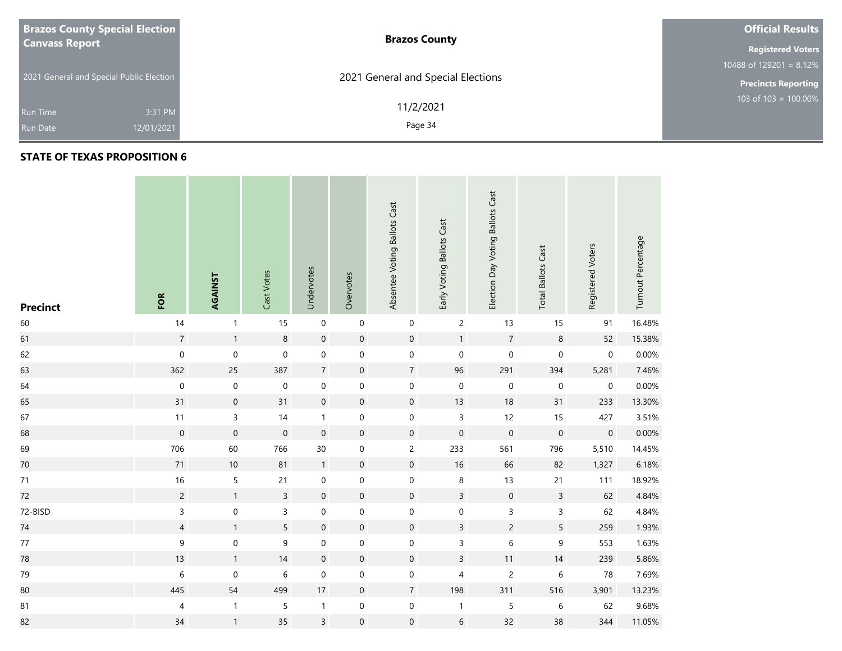| <b>Brazos County Special Election</b>    | <b>Brazos County</b>               | <b>Official Results</b>    |
|------------------------------------------|------------------------------------|----------------------------|
| <b>Canvass Report</b>                    |                                    | <b>Registered Voters</b>   |
|                                          |                                    | 10488 of 129201 = $8.12\%$ |
| 2021 General and Special Public Election | 2021 General and Special Elections | <b>Precincts Reporting</b> |
| 3:31 PM<br><b>Run Time</b>               | 11/2/2021                          | 103 of $103 = 100.00\%$    |
| 12/01/2021<br><b>Run Date</b>            | Page 34                            |                            |

m.

| <b>Precinct</b> | FOR              | AGAINST             | Cast Votes          | Undervotes          | Overvotes           | Absentee Voting Ballots Cast | Early Voting Ballots Cast | Election Day Voting Ballots Cast | <b>Total Ballots Cast</b> | Registered Voters | Turnout Percentage |
|-----------------|------------------|---------------------|---------------------|---------------------|---------------------|------------------------------|---------------------------|----------------------------------|---------------------------|-------------------|--------------------|
| 60              | 14               | $\mathbf{1}$        | 15                  | $\pmb{0}$           | $\mathbf 0$         | $\boldsymbol{0}$             | $\overline{c}$            | 13                               | 15                        | 91                | 16.48%             |
| 61              | $\overline{7}$   | $\mathbf{1}$        | $\bf 8$             | $\mathbf 0$         | $\pmb{0}$           | $\mathsf{O}\xspace$          | $\mathbf{1}$              | $\boldsymbol{7}$                 | $\,8\,$                   | 52                | 15.38%             |
| 62              | $\mathbf 0$      | $\mathbf 0$         | $\mathsf{O}\xspace$ | $\mathbf 0$         | $\boldsymbol{0}$    | $\mathbf 0$                  | $\mathbf 0$               | $\mathsf{O}\xspace$              | $\boldsymbol{0}$          | $\mathbf 0$       | 0.00%              |
| 63              | 362              | 25                  | 387                 | $\sqrt{7}$          | $\boldsymbol{0}$    | $\overline{7}$               | 96                        | 291                              | 394                       | 5,281             | 7.46%              |
| 64              | $\boldsymbol{0}$ | $\boldsymbol{0}$    | $\pmb{0}$           | $\pmb{0}$           | 0                   | $\boldsymbol{0}$             | $\mathbf 0$               | $\pmb{0}$                        | $\boldsymbol{0}$          | $\mathbf 0$       | 0.00%              |
| 65              | 31               | $\boldsymbol{0}$    | 31                  | $\mathbf 0$         | $\boldsymbol{0}$    | $\mathsf{O}\xspace$          | 13                        | 18                               | 31                        | 233               | 13.30%             |
| 67              | 11               | 3                   | 14                  | $\mathbf{1}$        | $\boldsymbol{0}$    | $\boldsymbol{0}$             | 3                         | 12                               | 15                        | 427               | 3.51%              |
| 68              | $\mathbf 0$      | $\mathbf 0$         | $\boldsymbol{0}$    | $\mathbf 0$         | $\boldsymbol{0}$    | $\boldsymbol{0}$             | $\mathbf 0$               | $\mathbf 0$                      | $\mathbf 0$               | $\boldsymbol{0}$  | 0.00%              |
| 69              | 706              | 60                  | 766                 | 30                  | $\boldsymbol{0}$    | $\overline{c}$               | 233                       | 561                              | 796                       | 5,510             | 14.45%             |
| $70\,$          | 71               | 10                  | 81                  | $\mathbf{1}$        | $\pmb{0}$           | $\mathsf{O}\xspace$          | $16\,$                    | 66                               | 82                        | 1,327             | 6.18%              |
| 71              | $16\,$           | 5                   | 21                  | $\pmb{0}$           | 0                   | $\boldsymbol{0}$             | $\,8\,$                   | 13                               | 21                        | 111               | 18.92%             |
| 72              | $\overline{c}$   | $\mathbf{1}$        | $\overline{3}$      | $\mathsf{O}\xspace$ | $\mathsf{O}\xspace$ | $\mathsf{O}\xspace$          | $\overline{3}$            | $\pmb{0}$                        | $\overline{3}$            | 62                | 4.84%              |
| 72-BISD         | $\mathsf{3}$     | 0                   | 3                   | $\pmb{0}$           | $\boldsymbol{0}$    | $\boldsymbol{0}$             | $\pmb{0}$                 | $\mathsf 3$                      | $\mathsf 3$               | 62                | 4.84%              |
| $74\,$          | $\overline{4}$   | $\mathbf{1}$        | 5                   | $\mathbf 0$         | $\pmb{0}$           | $\mathbf 0$                  | $\overline{3}$            | $\overline{c}$                   | 5                         | 259               | 1.93%              |
| $77$            | 9                | $\boldsymbol{0}$    | 9                   | $\mathbf 0$         | $\boldsymbol{0}$    | $\boldsymbol{0}$             | 3                         | $\,$ 6 $\,$                      | 9                         | 553               | 1.63%              |
| 78              | 13               | $\mathbf{1}$        | 14                  | $\boldsymbol{0}$    | $\boldsymbol{0}$    | $\mathsf{O}\xspace$          | $\mathsf{3}$              | 11                               | 14                        | 239               | 5.86%              |
| 79              | $\,$ 6 $\,$      | $\mathsf{O}\xspace$ | $\,$ 6 $\,$         | $\mathbf 0$         | $\boldsymbol{0}$    | $\boldsymbol{0}$             | 4                         | $\overline{c}$                   | $\,$ 6 $\,$               | 78                | 7.69%              |
| 80              | 445              | 54                  | 499                 | $17\,$              | $\mathbf 0$         | $\overline{7}$               | 198                       | 311                              | 516                       | 3,901             | 13.23%             |
| 81              | 4                | $\mathbf{1}$        | 5                   | $\mathbf{1}$        | $\boldsymbol{0}$    | $\mathbf 0$                  | $\mathbf{1}$              | $\sqrt{5}$                       | $\,$ 6 $\,$               | 62                | 9.68%              |
| 82              | 34               | $\mathbf{1}$        | 35                  | $\overline{3}$      | $\mathbf 0$         | $\boldsymbol{0}$             | $\sqrt{6}$                | 32                               | 38                        | 344               | 11.05%             |

the contract of the contract of the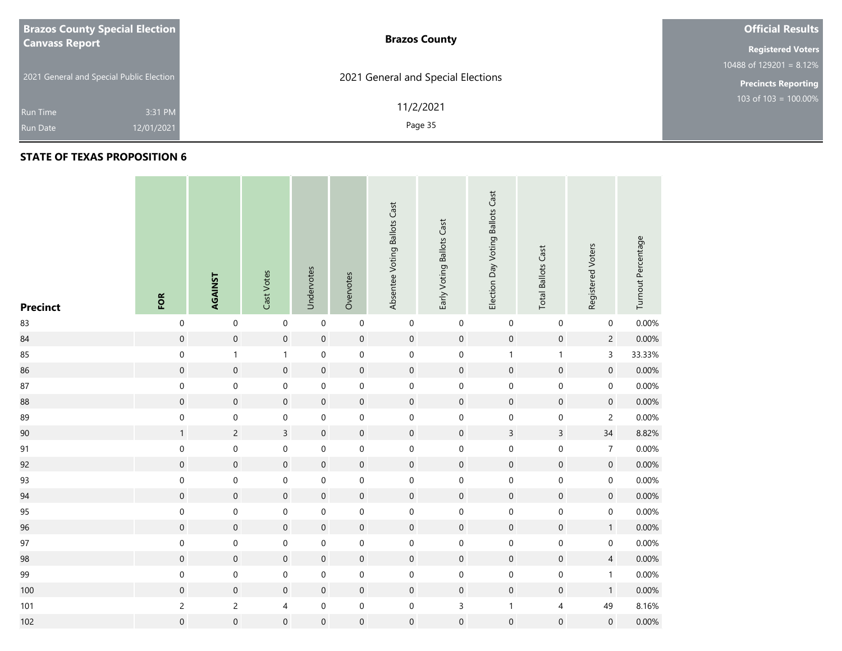| <b>Brazos County Special Election</b>    | <b>Brazos County</b>               | <b>Official Results</b>    |  |  |  |  |
|------------------------------------------|------------------------------------|----------------------------|--|--|--|--|
| <b>Canvass Report</b>                    |                                    |                            |  |  |  |  |
|                                          |                                    | 10488 of 129201 = $8.12\%$ |  |  |  |  |
| 2021 General and Special Public Election | 2021 General and Special Elections | <b>Precincts Reporting</b> |  |  |  |  |
| 3:31 PM<br><b>Run Time</b>               | 11/2/2021                          | $103$ of 103 = 100.00%     |  |  |  |  |
| 12/01/2021<br><b>Run Date</b>            | Page 35                            |                            |  |  |  |  |

| <b>Precinct</b> | FOR                 | AGAINST             | Cast Votes              | Undervotes       | Overvotes           | Absentee Voting Ballots Cast | Early Voting Ballots Cast | Election Day Voting Ballots Cast | <b>Total Ballots Cast</b> | Registered Voters   | Turnout Percentage |
|-----------------|---------------------|---------------------|-------------------------|------------------|---------------------|------------------------------|---------------------------|----------------------------------|---------------------------|---------------------|--------------------|
| 83              | $\boldsymbol{0}$    | $\mathbf 0$         | $\boldsymbol{0}$        | $\boldsymbol{0}$ | $\mathbf 0$         | $\pmb{0}$                    | $\pmb{0}$                 | $\boldsymbol{0}$                 | $\mathbf 0$               | $\mathsf{O}\xspace$ | 0.00%              |
| 84              | $\boldsymbol{0}$    | $\mathbf 0$         | $\boldsymbol{0}$        | $\mathbf 0$      | $\boldsymbol{0}$    | $\mathbf 0$                  | $\mathbf 0$               | $\boldsymbol{0}$                 | $\mathbf 0$               | $\overline{2}$      | 0.00%              |
| 85              | $\mathbf 0$         | $\mathbf{1}$        | $\mathbf{1}$            | $\boldsymbol{0}$ | $\mathbf 0$         | $\mathbf 0$                  | $\mathbf 0$               | $\mathbf{1}$                     | $\mathbf{1}$              | $\overline{3}$      | 33.33%             |
| 86              | $\boldsymbol{0}$    | $\mathsf{O}\xspace$ | $\mathsf{O}\xspace$     | $\mathbf 0$      | $\mathbf 0$         | $\mathsf{O}\xspace$          | $\mathbf 0$               | $\mathsf{O}\xspace$              | $\boldsymbol{0}$          | $\mathbf 0$         | 0.00%              |
| 87              | $\boldsymbol{0}$    | $\mathbf 0$         | $\mathsf{O}\xspace$     | $\mathbf 0$      | $\mathsf{O}\xspace$ | $\mathbf 0$                  | $\mathbf 0$               | $\boldsymbol{0}$                 | $\mathbf 0$               | $\boldsymbol{0}$    | 0.00%              |
| 88              | $\mathsf{O}\xspace$ | $\mathsf{O}\xspace$ | $\boldsymbol{0}$        | $\mathbf 0$      | $\mathsf{O}\xspace$ | $\mathsf{O}\xspace$          | $\mathbf 0$               | $\boldsymbol{0}$                 | $\mathbf 0$               | $\mathbf 0$         | 0.00%              |
| 89              | $\boldsymbol{0}$    | $\mathsf{O}\xspace$ | $\mathsf{O}\xspace$     | $\boldsymbol{0}$ | $\mathsf{O}\xspace$ | $\boldsymbol{0}$             | $\mathsf{O}\xspace$       | $\mathsf{O}\xspace$              | $\mathbf 0$               | $\overline{c}$      | 0.00%              |
| 90              | $\mathbf{1}$        | $\overline{c}$      | $\overline{3}$          | $\pmb{0}$        | $\boldsymbol{0}$    | $\mathbf 0$                  | $\mathbf 0$               | $\overline{3}$                   | $\overline{3}$            | 34                  | 8.82%              |
| 91              | $\boldsymbol{0}$    | $\boldsymbol{0}$    | $\boldsymbol{0}$        | $\pmb{0}$        | $\boldsymbol{0}$    | $\boldsymbol{0}$             | $\boldsymbol{0}$          | $\mathsf{O}\xspace$              | $\boldsymbol{0}$          | $\overline{7}$      | 0.00%              |
| 92              | $\mathsf{O}\xspace$ | $\mathsf{O}\xspace$ | $\boldsymbol{0}$        | $\mathbf 0$      | $\boldsymbol{0}$    | $\mathsf{O}\xspace$          | $\mathbf 0$               | $\mathbf 0$                      | $\mathbf 0$               | $\mathbf 0$         | 0.00%              |
| 93              | $\boldsymbol{0}$    | $\boldsymbol{0}$    | 0                       | $\pmb{0}$        | $\mathsf{O}\xspace$ | $\boldsymbol{0}$             | $\mathbf 0$               | $\boldsymbol{0}$                 | $\boldsymbol{0}$          | $\mathbf 0$         | 0.00%              |
| 94              | $\boldsymbol{0}$    | $\mathbf 0$         | $\boldsymbol{0}$        | $\mathbf 0$      | $\mathsf{O}\xspace$ | $\mathbf 0$                  | $\mathbf 0$               | $\mathbf 0$                      | $\boldsymbol{0}$          | $\mathsf{O}\xspace$ | 0.00%              |
| 95              | $\boldsymbol{0}$    | $\boldsymbol{0}$    | $\mathbf 0$             | $\boldsymbol{0}$ | $\mathsf{O}\xspace$ | $\mathbf 0$                  | $\mathbf 0$               | $\mathbf 0$                      | $\mathbf 0$               | $\boldsymbol{0}$    | 0.00%              |
| 96              | $\boldsymbol{0}$    | $\mathbf 0$         | $\boldsymbol{0}$        | $\mathbf 0$      | $\boldsymbol{0}$    | $\mathbf 0$                  | $\mathbf 0$               | $\boldsymbol{0}$                 | $\mathbf 0$               | $\mathbf{1}$        | 0.00%              |
| $97\,$          | $\boldsymbol{0}$    | $\mathbf 0$         | $\mathbf 0$             | $\boldsymbol{0}$ | $\boldsymbol{0}$    | $\boldsymbol{0}$             | $\boldsymbol{0}$          | $\boldsymbol{0}$                 | $\boldsymbol{0}$          | $\boldsymbol{0}$    | 0.00%              |
| 98              | $\boldsymbol{0}$    | $\mathsf{O}\xspace$ | $\boldsymbol{0}$        | $\mathbf 0$      | $\boldsymbol{0}$    | $\mathbf 0$                  | $\mathbf 0$               | $\boldsymbol{0}$                 | $\boldsymbol{0}$          | $\overline{4}$      | 0.00%              |
| 99              | $\mathbf 0$         | $\mathbf 0$         | $\mathbf 0$             | $\boldsymbol{0}$ | $\boldsymbol{0}$    | $\boldsymbol{0}$             | $\mathbf 0$               | $\mathsf{O}\xspace$              | $\boldsymbol{0}$          | $\mathbf{1}$        | 0.00%              |
| 100             | $\boldsymbol{0}$    | $\mathsf{O}\xspace$ | $\boldsymbol{0}$        | $\mathbf 0$      | $\mathbf 0$         | $\mathsf{O}\xspace$          | $\mathsf{O}\xspace$       | $\boldsymbol{0}$                 | $\boldsymbol{0}$          | $\mathbf{1}$        | 0.00%              |
| 101             | $\overline{c}$      | $\overline{c}$      | $\overline{\mathbf{4}}$ | $\boldsymbol{0}$ | $\mathsf{O}\xspace$ | $\mathbf 0$                  | $\mathsf{3}$              | $\mathbf{1}$                     | $\pmb{4}$                 | 49                  | 8.16%              |
| 102             | $\mathbf 0$         | $\mathbf 0$         | $\mathbf 0$             | $\mathbf 0$      | $\boldsymbol{0}$    | $\boldsymbol{0}$             | $\mathbf 0$               | $\boldsymbol{0}$                 | $\mathbf 0$               | $\mathbf 0$         | 0.00%              |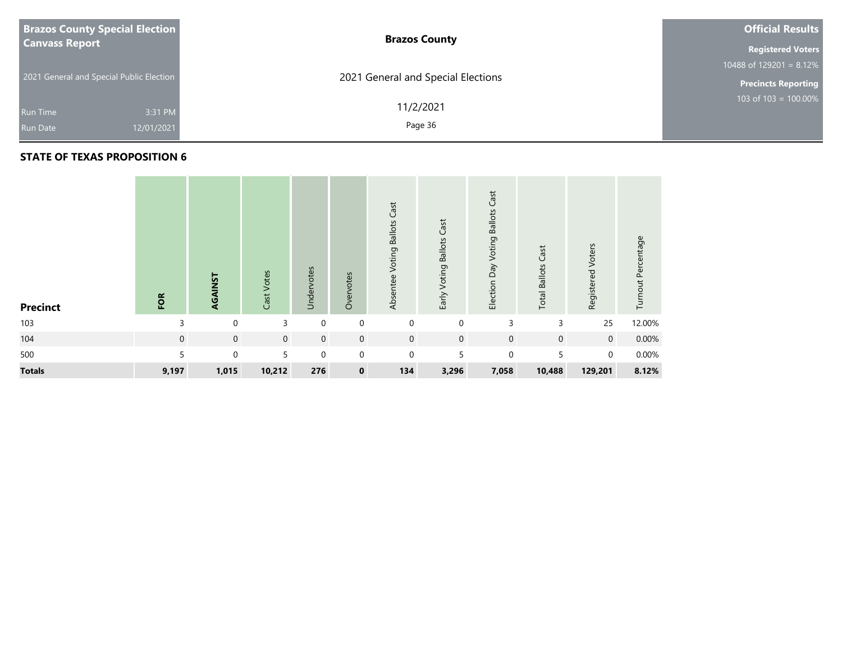| <b>Brazos County Special Election</b>    | <b>Brazos County</b>               | <b>Official Results</b>               |
|------------------------------------------|------------------------------------|---------------------------------------|
| <b>Canvass Report</b>                    |                                    | <b>Registered Voters</b>              |
|                                          |                                    | 10488 of $129\overline{201} = 8.12\%$ |
| 2021 General and Special Public Election | 2021 General and Special Elections | <b>Precincts Reporting</b>            |
| 3:31 PM<br>Run Time                      | 11/2/2021                          | 103 of $103 = 100.00\%$               |
| 12/01/2021<br><b>Run Date</b>            | Page 36                            |                                       |

| <b>Precinct</b> | FOR         | AGAINST     | Cast Votes     | Undervotes  | Overvotes   | Cast<br><b>Voting Ballots</b><br>Absentee | Early Voting Ballots Cast | Cast<br>Election Day Voting Ballots | <b>Total Ballots Cast</b> | Registered Voters | Turnout Percentage |
|-----------------|-------------|-------------|----------------|-------------|-------------|-------------------------------------------|---------------------------|-------------------------------------|---------------------------|-------------------|--------------------|
| 103             | 3           | 0           | 3              | 0           | $\mathbf 0$ | $\mathbf 0$                               | $\mathbf 0$               | 3                                   | 3                         | 25                | 12.00%             |
| 104             | $\mathbf 0$ | $\mathbf 0$ | $\overline{0}$ | $\mathbf 0$ | $\mathbf 0$ | $\mathbf 0$                               | $\mathbf 0$               | $\mathbf 0$                         | $\mathbf 0$               | $\overline{0}$    | 0.00%              |
| 500             | 5           | $\mathbf 0$ | 5              | $\mathbf 0$ | $\Omega$    | $\mathbf 0$                               | 5                         | $\mathbf 0$                         | 5                         | $\Omega$          | 0.00%              |
| <b>Totals</b>   | 9,197       | 1,015       | 10,212         | 276         | $\bf{0}$    | 134                                       | 3,296                     | 7,058                               | 10,488                    | 129,201           | 8.12%              |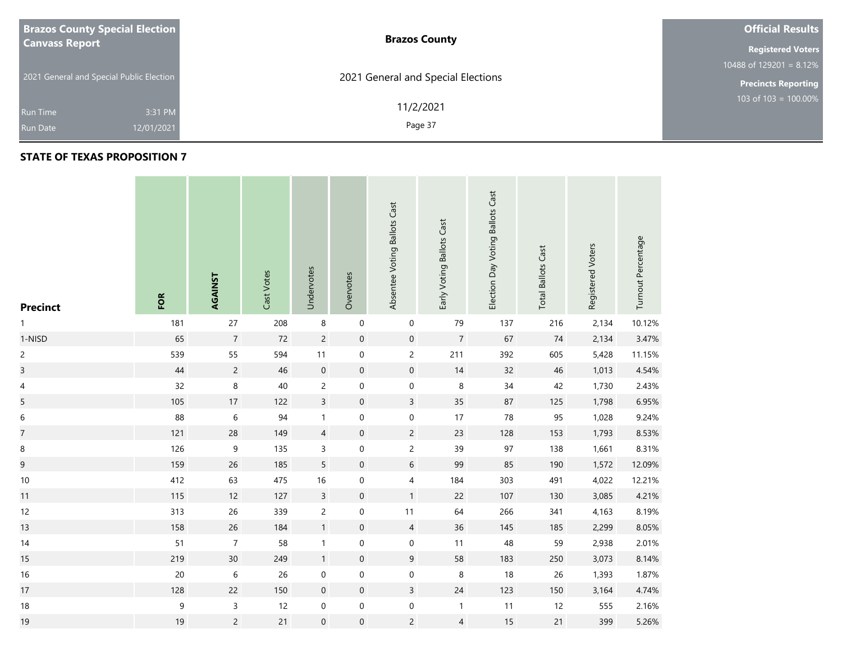| <b>Brazos County Special Election</b>    | <b>Brazos County</b>               | <b>Official Results</b>    |
|------------------------------------------|------------------------------------|----------------------------|
| <b>Canvass Report</b>                    |                                    | <b>Registered Voters</b>   |
|                                          |                                    | 10488 of 129201 = $8.12\%$ |
| 2021 General and Special Public Election | 2021 General and Special Elections | <b>Precincts Reporting</b> |
| 3:31 PM<br><b>Run Time</b>               | 11/2/2021                          | 103 of $103 = 100.00\%$    |
| 12/01/2021<br><b>Run Date</b>            | Page 37                            |                            |

| <b>Precinct</b>          | FOR    | AGAINST          | Cast Votes | Undervotes       | Overvotes        | Absentee Voting Ballots Cast | Early Voting Ballots Cast | Election Day Voting Ballots Cast | <b>Total Ballots Cast</b> | Registered Voters | Turnout Percentage |
|--------------------------|--------|------------------|------------|------------------|------------------|------------------------------|---------------------------|----------------------------------|---------------------------|-------------------|--------------------|
| 1                        | 181    | 27               | 208        | $\,8\,$          | $\mathbf 0$      | $\pmb{0}$                    | 79                        | 137                              | 216                       | 2,134             | 10.12%             |
| 1-NISD                   | 65     | $\boldsymbol{7}$ | $72\,$     | $\overline{c}$   | $\boldsymbol{0}$ | $\mathbf 0$                  | $\sqrt{7}$                | 67                               | 74                        | 2,134             | 3.47%              |
| $\overline{c}$           | 539    | 55               | 594        | 11               | $\mathbf 0$      | $\overline{c}$               | 211                       | 392                              | 605                       | 5,428             | 11.15%             |
| $\overline{\mathbf{3}}$  | $44\,$ | $\overline{c}$   | $46\,$     | $\mathbf 0$      | $\boldsymbol{0}$ | $\mathbf 0$                  | $14$                      | $32\,$                           | $46\,$                    | 1,013             | 4.54%              |
| $\overline{\mathcal{A}}$ | 32     | 8                | $40\,$     | $\overline{c}$   | $\pmb{0}$        | $\mathbf 0$                  | $\,8\,$                   | $34\,$                           | 42                        | 1,730             | 2.43%              |
| 5                        | 105    | 17               | 122        | $\overline{3}$   | $\mathbf 0$      | $\mathsf{3}$                 | 35                        | 87                               | 125                       | 1,798             | 6.95%              |
| $\,$ 6 $\,$              | 88     | $\,$ 6 $\,$      | 94         | $\mathbf{1}$     | $\pmb{0}$        | $\mathbf 0$                  | 17                        | 78                               | 95                        | 1,028             | 9.24%              |
| $\overline{7}$           | 121    | 28               | 149        | $\overline{4}$   | $\mathbf 0$      | $\overline{c}$               | 23                        | 128                              | 153                       | 1,793             | 8.53%              |
| 8                        | 126    | 9                | 135        | 3                | $\pmb{0}$        | $\overline{c}$               | 39                        | 97                               | 138                       | 1,661             | 8.31%              |
| 9                        | 159    | 26               | 185        | 5                | $\mathbf 0$      | $\sqrt{6}$                   | 99                        | 85                               | 190                       | 1,572             | 12.09%             |
| $10$                     | 412    | 63               | 475        | $16\,$           | $\pmb{0}$        | $\overline{4}$               | 184                       | 303                              | 491                       | 4,022             | 12.21%             |
| 11                       | 115    | 12               | 127        | $\mathsf{3}$     | $\mathbf 0$      | $\mathbf 1$                  | 22                        | 107                              | 130                       | 3,085             | 4.21%              |
| 12                       | 313    | 26               | 339        | $\overline{c}$   | $\mathbf 0$      | $11$                         | 64                        | 266                              | 341                       | 4,163             | 8.19%              |
| 13                       | 158    | 26               | 184        | $\mathbf{1}$     | $\mathbf 0$      | $\overline{4}$               | 36                        | 145                              | 185                       | 2,299             | 8.05%              |
| 14                       | 51     | $\boldsymbol{7}$ | 58         | $\mathbf{1}$     | $\pmb{0}$        | $\mathbf 0$                  | 11                        | 48                               | 59                        | 2,938             | 2.01%              |
| 15                       | 219    | 30 <sup>°</sup>  | 249        | $\mathbf{1}$     | $\boldsymbol{0}$ | $\boldsymbol{9}$             | 58                        | 183                              | 250                       | 3,073             | 8.14%              |
| $16$                     | $20\,$ | $\,$ 6 $\,$      | 26         | $\mathbf 0$      | $\mathbf 0$      | $\pmb{0}$                    | $\,8\,$                   | 18                               | 26                        | 1,393             | 1.87%              |
| 17                       | 128    | 22               | 150        | $\boldsymbol{0}$ | $\boldsymbol{0}$ | $\mathsf{3}$                 | $24$                      | 123                              | 150                       | 3,164             | 4.74%              |
| $18\,$                   | 9      | $\mathsf{3}$     | 12         | $\pmb{0}$        | $\pmb{0}$        | $\mathbf 0$                  | $\mathbf{1}$              | 11                               | 12                        | 555               | 2.16%              |
| 19                       | 19     | $\overline{c}$   | 21         | $\boldsymbol{0}$ | $\boldsymbol{0}$ | $\overline{c}$               | $\overline{4}$            | 15                               | $21$                      | 399               | 5.26%              |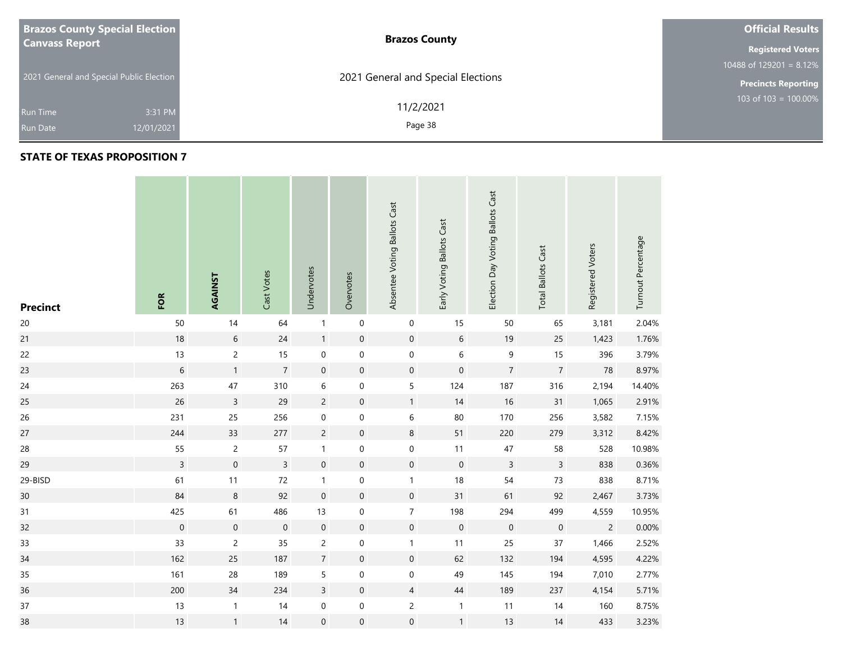| <b>Brazos County Special Election</b>    | <b>Brazos County</b>               | <b>Official Results</b>    |
|------------------------------------------|------------------------------------|----------------------------|
| <b>Canvass Report</b>                    |                                    | <b>Registered Voters</b>   |
|                                          |                                    | 10488 of 129201 = $8.12\%$ |
| 2021 General and Special Public Election | 2021 General and Special Elections | <b>Precincts Reporting</b> |
| 3:31 PM<br><b>Run Time</b>               | 11/2/2021                          | 103 of 103 = $100.00\%$    |
| 12/01/2021<br><b>Run Date</b>            | Page 38                            |                            |

| <b>Precinct</b> | FOR              | AGAINST        | Cast Votes       | Undervotes       | Overvotes           | Absentee Voting Ballots Cast | Early Voting Ballots Cast | Election Day Voting Ballots Cast | <b>Total Ballots Cast</b> | Registered Voters | Turnout Percentage |
|-----------------|------------------|----------------|------------------|------------------|---------------------|------------------------------|---------------------------|----------------------------------|---------------------------|-------------------|--------------------|
| $20\,$          | 50               | 14             | 64               | $\mathbf{1}$     | $\boldsymbol{0}$    | $\boldsymbol{0}$             | 15                        | 50                               | 65                        | 3,181             | 2.04%              |
| 21              | $18$             | $\sqrt{6}$     | $24$             | $\mathbf{1}$     | $\pmb{0}$           | $\mathbf 0$                  | $\,$ 6 $\,$               | 19                               | 25                        | 1,423             | 1.76%              |
| 22              | 13               | $\overline{c}$ | 15               | $\mathbf 0$      | $\boldsymbol{0}$    | $\mathbf 0$                  | $\,6\,$                   | $\mathsf 9$                      | 15                        | 396               | 3.79%              |
| 23              | $\,$ 6 $\,$      | $\mathbf{1}$   | $\overline{7}$   | $\mathbf 0$      | $\mathsf{O}\xspace$ | $\mathbf 0$                  | $\mathbf 0$               | $\overline{7}$                   | $\overline{7}$            | ${\bf 78}$        | 8.97%              |
| 24              | 263              | $47\,$         | 310              | 6                | $\pmb{0}$           | $\mathsf S$                  | 124                       | 187                              | 316                       | 2,194             | 14.40%             |
| 25              | 26               | $\overline{3}$ | 29               | $\overline{c}$   | $\mathsf{O}\xspace$ | $\mathbf{1}$                 | 14                        | 16                               | 31                        | 1,065             | 2.91%              |
| 26              | 231              | 25             | 256              | $\boldsymbol{0}$ | $\boldsymbol{0}$    | $\,$ 6 $\,$                  | 80                        | 170                              | 256                       | 3,582             | 7.15%              |
| 27              | 244              | 33             | 277              | $\overline{c}$   | $\mathbf 0$         | $\,8\,$                      | 51                        | 220                              | 279                       | 3,312             | 8.42%              |
| 28              | 55               | $\overline{c}$ | 57               | $\mathbf{1}$     | 0                   | $\pmb{0}$                    | 11                        | $47\,$                           | 58                        | 528               | 10.98%             |
| 29              | $\overline{3}$   | $\mathbf 0$    | $\overline{3}$   | $\mathbf 0$      | $\boldsymbol{0}$    | $\mathbf 0$                  | $\mathsf{O}\xspace$       | $\mathsf{3}$                     | $\overline{3}$            | 838               | 0.36%              |
| 29-BISD         | 61               | 11             | $72\,$           | $\mathbf{1}$     | $\pmb{0}$           | $\mathbf{1}$                 | 18                        | 54                               | 73                        | 838               | 8.71%              |
| 30              | 84               | $\,8\,$        | 92               | $\boldsymbol{0}$ | $\mathbf 0$         | $\mathbf 0$                  | 31                        | 61                               | 92                        | 2,467             | 3.73%              |
| 31              | 425              | 61             | 486              | 13               | $\boldsymbol{0}$    | $\boldsymbol{7}$             | 198                       | 294                              | 499                       | 4,559             | 10.95%             |
| 32              | $\boldsymbol{0}$ | $\mathbf 0$    | $\boldsymbol{0}$ | $\boldsymbol{0}$ | $\mathbf 0$         | $\mathbf 0$                  | $\mathbf 0$               | $\mathbf 0$                      | $\boldsymbol{0}$          | $\sqrt{2}$        | 0.00%              |
| 33              | 33               | $\overline{c}$ | 35               | $\overline{c}$   | $\pmb{0}$           | $\mathbf{1}$                 | 11                        | 25                               | $37\,$                    | 1,466             | 2.52%              |
| 34              | 162              | 25             | 187              | $\overline{7}$   | $\mathsf{O}\xspace$ | $\mathbf 0$                  | 62                        | 132                              | 194                       | 4,595             | 4.22%              |
| 35              | 161              | 28             | 189              | 5                | $\pmb{0}$           | $\mathbf 0$                  | 49                        | 145                              | 194                       | 7,010             | 2.77%              |
| 36              | 200              | 34             | 234              | $\overline{3}$   | $\mathsf{O}\xspace$ | $\overline{4}$               | 44                        | 189                              | 237                       | 4,154             | 5.71%              |
| $37\,$          | 13               | $\mathbf{1}$   | 14               | $\boldsymbol{0}$ | $\boldsymbol{0}$    | $\overline{c}$               | $\mathbf{1}$              | 11                               | 14                        | 160               | 8.75%              |
| 38              | 13               | $\mathbf{1}$   | 14               | $\boldsymbol{0}$ | $\boldsymbol{0}$    | $\mathbf 0$                  | $\mathbf{1}$              | 13                               | 14                        | 433               | 3.23%              |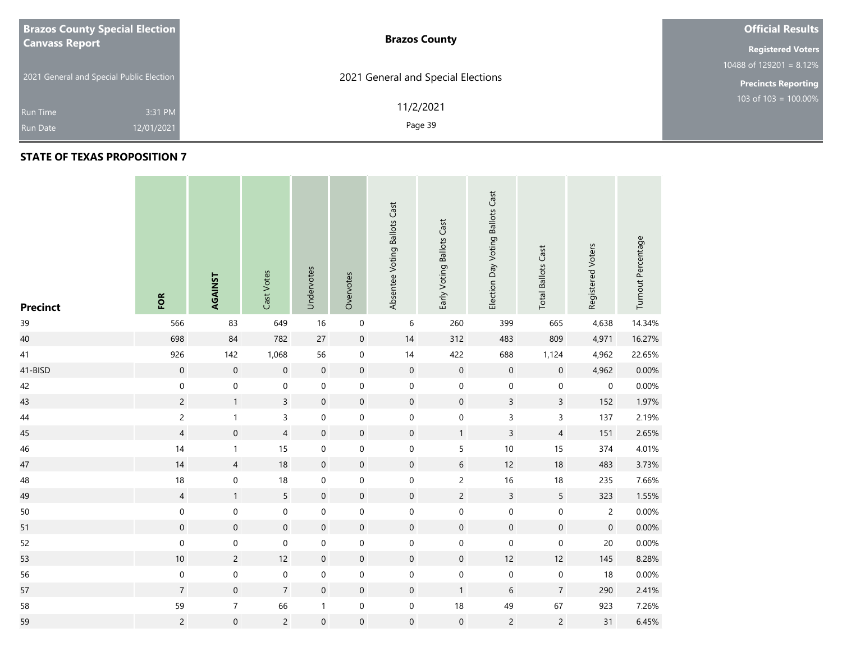| <b>Brazos County Special Election</b>    | <b>Brazos County</b>               | <b>Official Results</b>    |
|------------------------------------------|------------------------------------|----------------------------|
| <b>Canvass Report</b>                    |                                    | <b>Registered Voters</b>   |
|                                          |                                    | 10488 of 129201 = $8.12\%$ |
| 2021 General and Special Public Election | 2021 General and Special Elections | <b>Precincts Reporting</b> |
| 3:31 PM<br><b>Run Time</b>               | 11/2/2021                          | $103$ of 103 = 100.00%     |
| 12/01/2021<br><b>Run Date</b>            | Page 39                            |                            |

| <b>Precinct</b> | FOR                 | AGAINST             | Cast Votes       | Undervotes       | Overvotes        | Absentee Voting Ballots Cast | Early Voting Ballots Cast | Election Day Voting Ballots Cast | <b>Total Ballots Cast</b> | Registered Voters   | Turnout Percentage |
|-----------------|---------------------|---------------------|------------------|------------------|------------------|------------------------------|---------------------------|----------------------------------|---------------------------|---------------------|--------------------|
| 39              | 566                 | 83                  | 649              | 16               | $\mathbf 0$      | 6                            | 260                       | 399                              | 665                       | 4,638               | 14.34%             |
| 40              | 698                 | $84\,$              | 782              | 27               | $\pmb{0}$        | 14                           | 312                       | 483                              | 809                       | 4,971               | 16.27%             |
| 41              | 926                 | 142                 | 1,068            | 56               | $\pmb{0}$        | 14                           | 422                       | 688                              | 1,124                     | 4,962               | 22.65%             |
| 41-BISD         | $\mathbf 0$         | $\boldsymbol{0}$    | $\boldsymbol{0}$ | $\mathbf 0$      | $\boldsymbol{0}$ | $\mathbf 0$                  | $\mathbf 0$               | $\boldsymbol{0}$                 | $\boldsymbol{0}$          | 4,962               | $0.00\%$           |
| 42              | $\mathbf 0$         | $\mathbf 0$         | $\mathbf 0$      | $\mathbf 0$      | $\mathbf 0$      | $\mathbf 0$                  | $\mathbf 0$               | $\boldsymbol{0}$                 | $\mathbf 0$               | $\mathsf{O}\xspace$ | 0.00%              |
| 43              | $\overline{c}$      | $\mathbf{1}$        | $\overline{3}$   | $\mathbf 0$      | $\boldsymbol{0}$ | $\pmb{0}$                    | $\boldsymbol{0}$          | $\overline{3}$                   | $\overline{3}$            | 152                 | 1.97%              |
| $44\,$          | $\overline{c}$      | $\mathbf{1}$        | 3                | $\mbox{O}$       | $\mathbf 0$      | $\boldsymbol{0}$             | $\mathbf 0$               | 3                                | $\mathsf 3$               | 137                 | 2.19%              |
| 45              | $\overline{4}$      | $\mathbf 0$         | $\overline{4}$   | $\mathbf 0$      | $\boldsymbol{0}$ | $\mathbf 0$                  | $\mathbf{1}$              | $\overline{3}$                   | $\overline{4}$            | 151                 | 2.65%              |
| 46              | 14                  | $\mathbf{1}$        | 15               | 0                | $\mathbf 0$      | $\pmb{0}$                    | 5                         | $10\,$                           | 15                        | 374                 | 4.01%              |
| 47              | 14                  | $\overline{4}$      | $18\,$           | $\mathbf 0$      | $\mathbf 0$      | $\pmb{0}$                    | 6                         | 12                               | 18                        | 483                 | 3.73%              |
| 48              | 18                  | $\mathbf 0$         | $18\,$           | $\pmb{0}$        | $\mathbf 0$      | $\pmb{0}$                    | $\overline{c}$            | $16$                             | $18$                      | 235                 | 7.66%              |
| 49              | $\overline{4}$      | $\mathbf{1}$        | 5                | $\boldsymbol{0}$ | $\mathbf 0$      | $\mathbf 0$                  | $\overline{c}$            | $\overline{3}$                   | 5                         | 323                 | 1.55%              |
| 50              | $\pmb{0}$           | $\mathbf 0$         | $\boldsymbol{0}$ | $\boldsymbol{0}$ | $\pmb{0}$        | $\pmb{0}$                    | $\mathbf 0$               | 0                                | $\pmb{0}$                 | $\overline{c}$      | 0.00%              |
| 51              | $\mathsf{O}\xspace$ | $\boldsymbol{0}$    | $\boldsymbol{0}$ | $\mathbf 0$      | $\mathbf 0$      | $\mathbf 0$                  | $\boldsymbol{0}$          | $\boldsymbol{0}$                 | $\boldsymbol{0}$          | $\boldsymbol{0}$    | 0.00%              |
| 52              | $\boldsymbol{0}$    | $\mathbf 0$         | $\pmb{0}$        | $\boldsymbol{0}$ | $\pmb{0}$        | $\mathbf 0$                  | $\mathbf 0$               | $\pmb{0}$                        | $\mathbf 0$               | 20                  | 0.00%              |
| 53              | $10$                | $\overline{c}$      | 12               | $\mathbf 0$      | $\mathbf 0$      | $\mathbf 0$                  | $\boldsymbol{0}$          | 12                               | 12                        | 145                 | 8.28%              |
| 56              | $\boldsymbol{0}$    | $\mathbf 0$         | $\mathbf 0$      | $\pmb{0}$        | $\mathbf 0$      | $\pmb{0}$                    | $\mathbf 0$               | $\mathbf 0$                      | $\boldsymbol{0}$          | $18\,$              | 0.00%              |
| 57              | $\overline{7}$      | $\mathsf{O}\xspace$ | $\overline{7}$   | $\mathbf 0$      | $\mathbf 0$      | $\mathbf 0$                  | $\mathbf{1}$              | $\boldsymbol{6}$                 | $\sqrt{7}$                | 290                 | 2.41%              |
| 58              | 59                  | $\boldsymbol{7}$    | 66               | 1                | $\pmb{0}$        | $\mathbf 0$                  | $18$                      | 49                               | 67                        | 923                 | 7.26%              |
| 59              | $\overline{c}$      | $\boldsymbol{0}$    | $\overline{c}$   | $\boldsymbol{0}$ | $\mathbf 0$      | $\mathbf 0$                  | $\mathsf{O}\xspace$       | $\overline{c}$                   | $\overline{c}$            | 31                  | 6.45%              |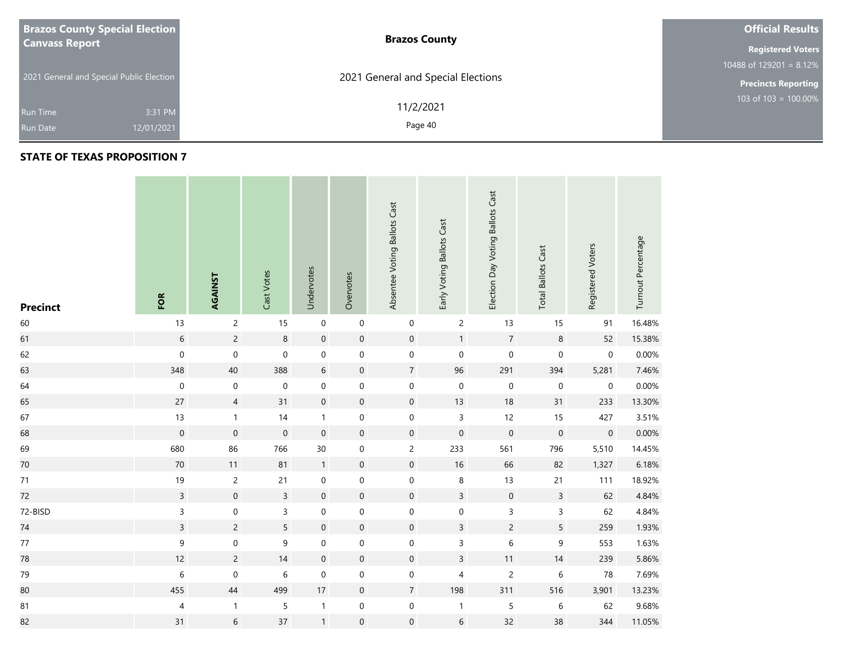| <b>Brazos County Special Election</b>    | <b>Brazos County</b>               | <b>Official Results</b>    |
|------------------------------------------|------------------------------------|----------------------------|
| <b>Canvass Report</b>                    |                                    | <b>Registered Voters</b>   |
|                                          |                                    | 10488 of $129201 = 8.12\%$ |
| 2021 General and Special Public Election | 2021 General and Special Elections | <b>Precincts Reporting</b> |
|                                          | 11/2/2021                          | 103 of $103 = 100.00\%$    |
| 3:31 PM<br><b>Run Time</b>               |                                    |                            |
| 12/01/2021<br><b>Run Date</b>            | Page 40                            |                            |

| <b>Precinct</b> | FOR                      | AGAINST        | Cast Votes          | Undervotes       | Overvotes        | Absentee Voting Ballots Cast | Early Voting Ballots Cast | Election Day Voting Ballots Cast | <b>Total Ballots Cast</b> | Registered Voters   | Turnout Percentage |
|-----------------|--------------------------|----------------|---------------------|------------------|------------------|------------------------------|---------------------------|----------------------------------|---------------------------|---------------------|--------------------|
| 60              | 13                       | $\overline{c}$ | 15                  | $\pmb{0}$        | 0                | $\boldsymbol{0}$             | $\overline{c}$            | 13                               | 15                        | 91                  | 16.48%             |
| 61              | $\,$ 6 $\,$              | $\overline{c}$ | $\,8\,$             | $\mathbf 0$      | $\boldsymbol{0}$ | $\mathbf 0$                  | $\mathbf{1}$              | $\boldsymbol{7}$                 | 8                         | 52                  | 15.38%             |
| 62              | $\mathbf 0$              | $\mathbf 0$    | $\mathsf{O}\xspace$ | $\pmb{0}$        | $\mathbf 0$      | $\boldsymbol{0}$             | $\pmb{0}$                 | $\mathbf 0$                      | $\boldsymbol{0}$          | $\pmb{0}$           | 0.00%              |
| 63              | 348                      | 40             | 388                 | $6\phantom{a}$   | $\boldsymbol{0}$ | $\overline{7}$               | 96                        | 291                              | 394                       | 5,281               | 7.46%              |
| 64              | $\mathbf 0$              | $\,0\,$        | $\mathbf 0$         | $\mathbf 0$      | $\mathbf 0$      | $\mathbf 0$                  | $\mathbf 0$               | $\mathbf 0$                      | $\pmb{0}$                 | $\boldsymbol{0}$    | 0.00%              |
| 65              | 27                       | $\overline{4}$ | 31                  | $\mathbf 0$      | $\boldsymbol{0}$ | $\mathsf{O}\xspace$          | 13                        | 18                               | 31                        | 233                 | 13.30%             |
| 67              | 13                       | $\mathbf{1}$   | 14                  | $\mathbf{1}$     | $\boldsymbol{0}$ | $\boldsymbol{0}$             | $\overline{3}$            | 12                               | 15                        | 427                 | 3.51%              |
| 68              | $\mathbf 0$              | $\mathbf 0$    | $\mathbf 0$         | $\mathbf 0$      | $\mathbf 0$      | $\mathsf{O}\xspace$          | $\mathbf 0$               | $\mathbf 0$                      | $\mathbf 0$               | $\mathsf{O}\xspace$ | 0.00%              |
| 69              | 680                      | 86             | 766                 | 30               | $\boldsymbol{0}$ | $\overline{c}$               | 233                       | 561                              | 796                       | 5,510               | 14.45%             |
| $70\,$          | $70\,$                   | 11             | 81                  | $\overline{1}$   | $\mathbf 0$      | $\mathsf{O}\xspace$          | $16\,$                    | 66                               | 82                        | 1,327               | 6.18%              |
| $71$            | $19$                     | $\overline{c}$ | 21                  | $\boldsymbol{0}$ | $\boldsymbol{0}$ | $\boldsymbol{0}$             | 8                         | 13                               | 21                        | 111                 | 18.92%             |
| 72              | $\mathsf{3}$             | $\mathbf 0$    | $\mathsf{3}$        | $\mathbf 0$      | $\pmb{0}$        | $\mathbf 0$                  | $\mathsf{3}$              | $\mathbf 0$                      | $\mathsf{3}$              | 62                  | 4.84%              |
| 72-BISD         | $\mathsf{3}$             | $\pmb{0}$      | $\mathsf{3}$        | $\pmb{0}$        | $\pmb{0}$        | $\pmb{0}$                    | $\mathsf{O}\xspace$       | $\mathsf{3}$                     | $\mathsf 3$               | 62                  | 4.84%              |
| 74              | $\mathsf{3}$             | $\overline{c}$ | 5                   | $\mathbf 0$      | $\pmb{0}$        | $\mathbf 0$                  | $\mathsf{3}$              | $\overline{c}$                   | $\sqrt{5}$                | 259                 | 1.93%              |
| $77\,$          | 9                        | 0              | 9                   | $\pmb{0}$        | $\boldsymbol{0}$ | $\mathbf 0$                  | $\mathsf{3}$              | $\,$ 6 $\,$                      | $\mathsf 9$               | 553                 | 1.63%              |
| 78              | 12                       | $\overline{c}$ | 14                  | $\mathbf 0$      | $\pmb{0}$        | $\mathsf{O}\xspace$          | $\mathsf{3}$              | 11                               | 14                        | 239                 | 5.86%              |
| 79              | $\boldsymbol{6}$         | $\mathbf 0$    | $\,$ 6 $\,$         | $\boldsymbol{0}$ | $\boldsymbol{0}$ | $\boldsymbol{0}$             | 4                         | $\overline{c}$                   | $\,$ 6 $\,$               | 78                  | 7.69%              |
| 80              | 455                      | 44             | 499                 | $17\,$           | $\pmb{0}$        | $\overline{7}$               | 198                       | 311                              | 516                       | 3,901               | 13.23%             |
| 81              | $\overline{\mathcal{A}}$ | 1              | 5                   | $\mathbf{1}$     | $\pmb{0}$        | $\boldsymbol{0}$             | $\mathbf{1}$              | 5                                | $\,$ 6 $\,$               | 62                  | 9.68%              |
| 82              | 31                       | $6\phantom{.}$ | 37                  | $\mathbf{1}$     | $\boldsymbol{0}$ | $\mathsf{O}\xspace$          | $\,$ 6 $\,$               | 32                               | 38                        | 344                 | 11.05%             |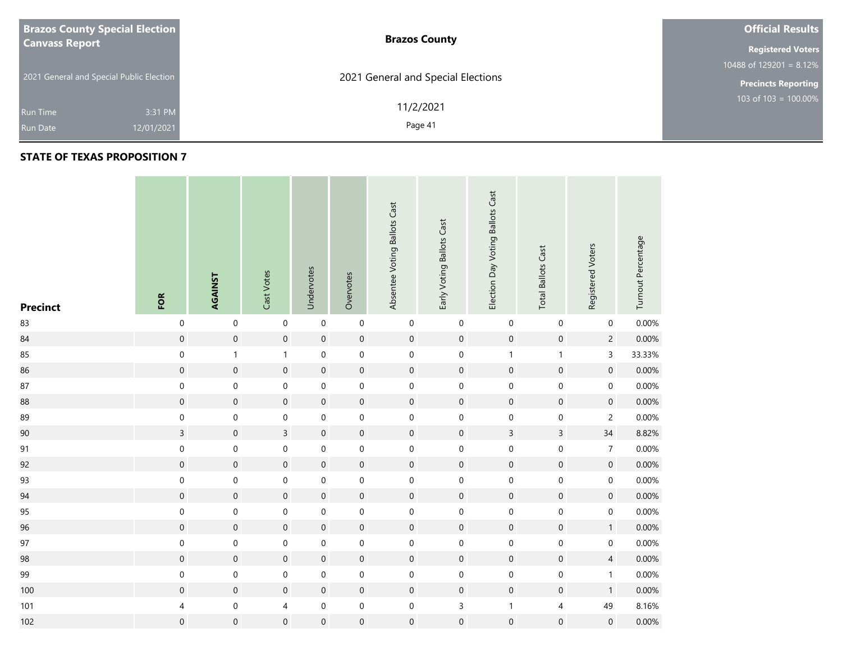| <b>Brazos County Special Election</b>    | <b>Brazos County</b>               | <b>Official Results</b>    |
|------------------------------------------|------------------------------------|----------------------------|
| <b>Canvass Report</b>                    |                                    | <b>Registered Voters</b>   |
|                                          |                                    | 10488 of 129201 = $8.12\%$ |
| 2021 General and Special Public Election | 2021 General and Special Elections | <b>Precincts Reporting</b> |
| 3:31 PM<br><b>Run Time</b>               | 11/2/2021                          | 103 of 103 = $100.00\%$    |
| 12/01/2021<br><b>Run Date</b>            | Page 41                            |                            |

#### **STATE OF TEXAS PROPOSITION 7**

**Contract** 

| <b>Precinct</b> | FOR                     | AGAINST             | Cast Votes          | Undervotes       | Overvotes           | Absentee Voting Ballots Cast | Early Voting Ballots Cast | Election Day Voting Ballots Cast | <b>Total Ballots Cast</b> | Registered Voters   | Turnout Percentage |
|-----------------|-------------------------|---------------------|---------------------|------------------|---------------------|------------------------------|---------------------------|----------------------------------|---------------------------|---------------------|--------------------|
| 83              | $\boldsymbol{0}$        | $\mathbf 0$         | $\mathbf 0$         | $\,0\,$          | $\mathsf{O}\xspace$ | $\mathbf 0$                  | $\mathbf 0$               | $\mathbf 0$                      | $\mathbf 0$               | $\boldsymbol{0}$    | 0.00%              |
| 84              | $\boldsymbol{0}$        | $\mathsf{O}\xspace$ | $\mathbf 0$         | $\mathbf 0$      | $\boldsymbol{0}$    | $\mathbf 0$                  | $\mathbf 0$               | $\boldsymbol{0}$                 | $\mathbf 0$               | $\overline{2}$      | 0.00%              |
| 85              | $\boldsymbol{0}$        | $\mathbf{1}$        | $\mathbf{1}$        | $\boldsymbol{0}$ | $\boldsymbol{0}$    | $\mathbf 0$                  | $\boldsymbol{0}$          | $\mathbf{1}$                     | $\mathbf{1}$              | 3                   | 33.33%             |
| 86              | $\mathsf{O}\xspace$     | $\mathsf{O}\xspace$ | $\boldsymbol{0}$    | $\mathbf 0$      | $\mathsf{O}\xspace$ | $\mathsf{O}\xspace$          | $\mathbf 0$               | $\boldsymbol{0}$                 | $\mathbf 0$               | $\mathsf{O}\xspace$ | 0.00%              |
| 87              | $\mathbf 0$             | $\boldsymbol{0}$    | $\boldsymbol{0}$    | $\boldsymbol{0}$ | $\boldsymbol{0}$    | $\boldsymbol{0}$             | $\mathbf 0$               | $\mathbf 0$                      | $\pmb{0}$                 | $\mathbf 0$         | 0.00%              |
| 88              | $\mathsf{O}\xspace$     | $\mathsf{O}\xspace$ | $\mathsf{O}\xspace$ | $\boldsymbol{0}$ | $\boldsymbol{0}$    | $\mathbf 0$                  | $\mathbf 0$               | $\boldsymbol{0}$                 | $\mathsf{O}\xspace$       | $\mathbf 0$         | 0.00%              |
| 89              | $\boldsymbol{0}$        | $\boldsymbol{0}$    | $\boldsymbol{0}$    | $\mathbf 0$      | $\mathsf{O}\xspace$ | $\mathbf 0$                  | $\mathbf 0$               | $\boldsymbol{0}$                 | $\boldsymbol{0}$          | $\overline{c}$      | 0.00%              |
| $90\,$          | $\overline{3}$          | $\mathbf 0$         | $\overline{3}$      | $\mathbf 0$      | $\boldsymbol{0}$    | $\mathbf 0$                  | $\mathbf 0$               | $\overline{3}$                   | $\overline{3}$            | 34                  | 8.82%              |
| 91              | $\mathbf 0$             | $\boldsymbol{0}$    | $\boldsymbol{0}$    | $\pmb{0}$        | $\boldsymbol{0}$    | $\boldsymbol{0}$             | $\boldsymbol{0}$          | $\mathbf 0$                      | $\boldsymbol{0}$          | $\overline{7}$      | 0.00%              |
| 92              | $\boldsymbol{0}$        | $\mathsf{O}\xspace$ | $\boldsymbol{0}$    | $\mathbf 0$      | $\boldsymbol{0}$    | $\mathbf 0$                  | $\mathsf{O}\xspace$       | $\boldsymbol{0}$                 | $\boldsymbol{0}$          | $\mathsf{O}\xspace$ | 0.00%              |
| 93              | $\mathbf 0$             | $\mathbf 0$         | $\mathsf{O}\xspace$ | $\mathbf 0$      | $\mathbf 0$         | $\mathbf 0$                  | $\mathbf 0$               | $\mathsf{O}\xspace$              | $\mathbf 0$               | $\boldsymbol{0}$    | 0.00%              |
| 94              | $\boldsymbol{0}$        | $\mathsf{O}\xspace$ | $\mathsf{O}\xspace$ | $\boldsymbol{0}$ | $\mathsf{O}\xspace$ | $\mathbf 0$                  | $\mathsf{O}\xspace$       | $\mathsf{O}\xspace$              | $\mathsf{O}\xspace$       | $\mathbf 0$         | 0.00%              |
| 95              | $\boldsymbol{0}$        | $\mathbf 0$         | $\boldsymbol{0}$    | $\boldsymbol{0}$ | $\boldsymbol{0}$    | $\boldsymbol{0}$             | $\boldsymbol{0}$          | $\mathsf{O}\xspace$              | $\boldsymbol{0}$          | $\mathbf 0$         | 0.00%              |
| 96              | $\mathsf{O}\xspace$     | $\mathsf{O}\xspace$ | $\boldsymbol{0}$    | $\mathbf 0$      | $\boldsymbol{0}$    | $\mathsf{O}\xspace$          | $\mathbf 0$               | $\mathbf 0$                      | $\mathbf 0$               | $\mathbf{1}$        | 0.00%              |
| 97              | $\boldsymbol{0}$        | $\boldsymbol{0}$    | $\mathbf 0$         | $\boldsymbol{0}$ | 0                   | $\boldsymbol{0}$             | $\mathbf 0$               | $\boldsymbol{0}$                 | $\mathsf{O}\xspace$       | $\mathbf 0$         | 0.00%              |
| 98              | $\boldsymbol{0}$        | $\mathsf{O}\xspace$ | $\boldsymbol{0}$    | $\mathbf 0$      | $\pmb{0}$           | $\mathbf 0$                  | $\mathbf 0$               | $\boldsymbol{0}$                 | $\boldsymbol{0}$          | $\overline{4}$      | 0.00%              |
| 99              | $\boldsymbol{0}$        | $\boldsymbol{0}$    | $\boldsymbol{0}$    | $\pmb{0}$        | $\boldsymbol{0}$    | $\boldsymbol{0}$             | $\boldsymbol{0}$          | $\mathbf 0$                      | $\boldsymbol{0}$          | $\mathbf{1}$        | 0.00%              |
| 100             | $\boldsymbol{0}$        | $\mathsf{O}\xspace$ | $\mathsf{O}\xspace$ | $\mathbf 0$      | $\mathbf 0$         | $\mathsf{O}\xspace$          | $\mathbf 0$               | $\mathsf{O}\xspace$              | $\mathbf 0$               | $\mathbf{1}$        | 0.00%              |
| 101             | $\overline{\mathbf{4}}$ | $\mathbf 0$         | 4                   | $\pmb{0}$        | $\pmb{0}$           | $\mathbf 0$                  | $\mathsf{3}$              | $\mathbf{1}$                     | 4                         | 49                  | 8.16%              |
| 102             | $\boldsymbol{0}$        | $\boldsymbol{0}$    | $\mathsf{O}\xspace$ | $\mathbf 0$      | $\mathbf 0$         | $\boldsymbol{0}$             | $\mathbf 0$               | $\mathsf{O}\xspace$              | $\boldsymbol{0}$          | $\mathbf 0$         | 0.00%              |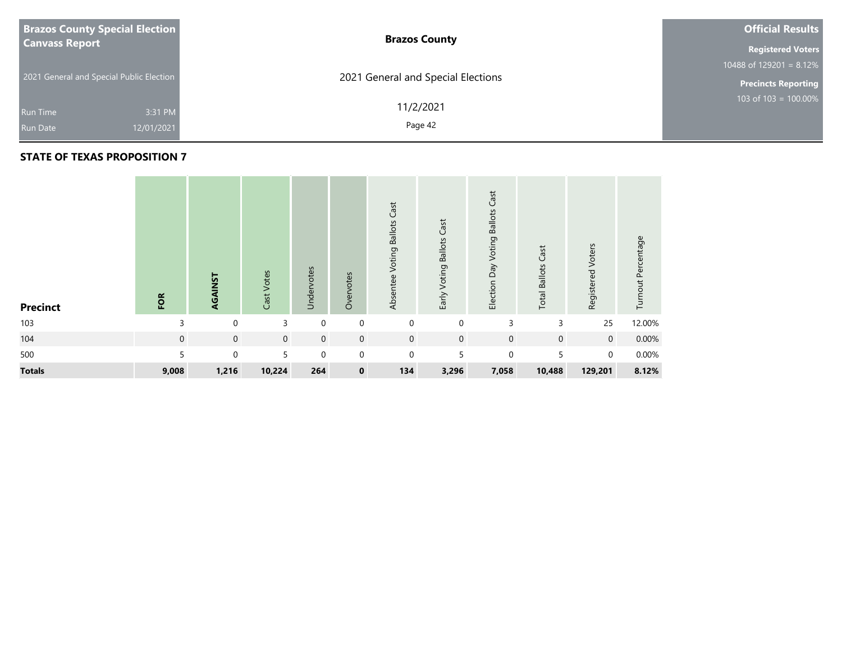| <b>Brazos County Special Election</b>    | <b>Brazos County</b>               | <b>Official Results</b>    |
|------------------------------------------|------------------------------------|----------------------------|
| <b>Canvass Report</b>                    |                                    | <b>Registered Voters</b>   |
|                                          |                                    | 10488 of 129201 = $8.12\%$ |
| 2021 General and Special Public Election | 2021 General and Special Elections | <b>Precincts Reporting</b> |
| Run Time                                 | 11/2/2021<br>3:31 PM               | 103 of $103 = 100.00\%$    |
| 12/01/2021<br><b>Run Date</b>            | Page 42                            |                            |
|                                          |                                    |                            |

| <b>Precinct</b> | FOR            | AGAINST     | Cast Votes  | Undervotes  | Overvotes      | Cast<br>Voting Ballots<br>Absentee | Voting Ballots Cast<br>Early | Cast<br><b>Ballots</b><br>Election Day Voting | Cast<br><b>Total Ballots</b> | Registered Voters | Turnout Percentage |
|-----------------|----------------|-------------|-------------|-------------|----------------|------------------------------------|------------------------------|-----------------------------------------------|------------------------------|-------------------|--------------------|
| 103             | 3              | $\mathbf 0$ | 3           | $\mathbf 0$ | $\mathbf 0$    | $\mathbf 0$                        | $\mathbf 0$                  | 3                                             | 3                            | 25                | 12.00%             |
| 104             | $\overline{0}$ | $\mathbf 0$ | $\mathbf 0$ | $\mathbf 0$ | $\overline{0}$ | $\mathbf 0$                        | $\mathbf 0$                  | $\mathbf 0$                                   | $\mathbf 0$                  | $\overline{0}$    | 0.00%              |
| 500             | 5              | $\Omega$    | 5           | $\mathbf 0$ | $\overline{0}$ | $\mathbf 0$                        | 5                            | $\mathbf 0$                                   | 5                            | $\overline{0}$    | 0.00%              |
| <b>Totals</b>   | 9,008          | 1,216       | 10,224      | 264         | $\mathbf 0$    | 134                                | 3,296                        | 7,058                                         | 10,488                       | 129,201           | 8.12%              |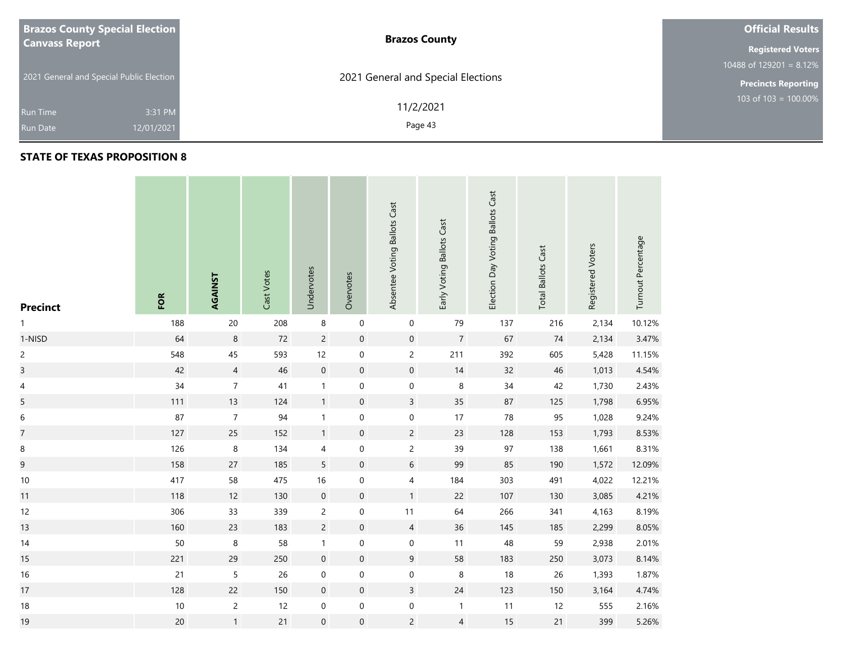| <b>Brazos County Special Election</b>    | <b>Brazos County</b>               | <b>Official Results</b>    |  |  |  |  |
|------------------------------------------|------------------------------------|----------------------------|--|--|--|--|
| <b>Canvass Report</b>                    |                                    |                            |  |  |  |  |
|                                          |                                    | 10488 of 129201 = $8.12\%$ |  |  |  |  |
| 2021 General and Special Public Election | 2021 General and Special Elections | <b>Precincts Reporting</b> |  |  |  |  |
| 3:31 PM<br><b>Run Time</b>               | 11/2/2021                          | $103$ of 103 = 100.00%     |  |  |  |  |
| 12/01/2021<br><b>Run Date</b>            | Page 43                            |                            |  |  |  |  |

## **STATE OF TEXAS PROPOSITION 8**

**Contract** 

| <b>Precinct</b>  | FOR    | AGAINST          | Cast Votes | Undervotes       | Overvotes           | Absentee Voting Ballots Cast | Early Voting Ballots Cast | Election Day Voting Ballots Cast | <b>Total Ballots Cast</b> | Registered Voters | Turnout Percentage |
|------------------|--------|------------------|------------|------------------|---------------------|------------------------------|---------------------------|----------------------------------|---------------------------|-------------------|--------------------|
| 1                | 188    | $20\,$           | 208        | $\,8\,$          | $\boldsymbol{0}$    | $\pmb{0}$                    | 79                        | 137                              | 216                       | 2,134             | 10.12%             |
| 1-NISD           | 64     | $\,8\,$          | 72         | $\overline{c}$   | $\pmb{0}$           | $\mathsf{O}\xspace$          | $\overline{7}$            | 67                               | 74                        | 2,134             | 3.47%              |
| $\overline{c}$   | 548    | 45               | 593        | $12$             | $\pmb{0}$           | $\overline{c}$               | 211                       | 392                              | 605                       | 5,428             | 11.15%             |
| $\overline{3}$   | 42     | $\overline{4}$   | 46         | $\mathbf 0$      | $\mathsf{O}\xspace$ | $\mathsf{O}\xspace$          | 14                        | 32                               | 46                        | 1,013             | 4.54%              |
| 4                | 34     | $\boldsymbol{7}$ | 41         | $\mathbf{1}$     | $\boldsymbol{0}$    | 0                            | 8                         | $34\,$                           | 42                        | 1,730             | 2.43%              |
| 5                | 111    | 13               | 124        | $\mathbf{1}$     | $\mathsf{O}\xspace$ | $\overline{3}$               | $35\,$                    | 87                               | 125                       | 1,798             | 6.95%              |
| $\boldsymbol{6}$ | 87     | $\boldsymbol{7}$ | 94         | $\mathbf{1}$     | $\pmb{0}$           | $\pmb{0}$                    | 17                        | 78                               | 95                        | 1,028             | 9.24%              |
| $\overline{7}$   | 127    | 25               | 152        | $\mathbf{1}$     | $\pmb{0}$           | $\overline{2}$               | 23                        | 128                              | 153                       | 1,793             | 8.53%              |
| $\, 8$           | 126    | $\,8\,$          | 134        | 4                | $\boldsymbol{0}$    | $\overline{c}$               | 39                        | 97                               | 138                       | 1,661             | 8.31%              |
| 9                | 158    | 27               | 185        | 5                | $\pmb{0}$           | $\sqrt{6}$                   | 99                        | 85                               | 190                       | 1,572             | 12.09%             |
| $10\,$           | 417    | 58               | 475        | $16\,$           | $\boldsymbol{0}$    | $\overline{4}$               | 184                       | 303                              | 491                       | 4,022             | 12.21%             |
| 11               | 118    | 12               | 130        | $\boldsymbol{0}$ | $\pmb{0}$           | 1                            | 22                        | 107                              | 130                       | 3,085             | 4.21%              |
| 12               | 306    | 33               | 339        | $\overline{c}$   | $\boldsymbol{0}$    | 11                           | 64                        | 266                              | 341                       | 4,163             | 8.19%              |
| 13               | 160    | 23               | 183        | $\overline{c}$   | $\mathsf{O}\xspace$ | $\overline{4}$               | 36                        | 145                              | 185                       | 2,299             | 8.05%              |
| 14               | 50     | $\,8\,$          | 58         | $\mathbf{1}$     | $\pmb{0}$           | $\mathbf 0$                  | 11                        | 48                               | 59                        | 2,938             | 2.01%              |
| 15               | 221    | 29               | 250        | $\mathbf 0$      | $\pmb{0}$           | $9\,$                        | 58                        | 183                              | 250                       | 3,073             | 8.14%              |
| $16\,$           | $21$   | 5                | 26         | $\boldsymbol{0}$ | $\boldsymbol{0}$    | $\boldsymbol{0}$             | 8                         | $18$                             | 26                        | 1,393             | 1.87%              |
| 17               | 128    | 22               | 150        | $\boldsymbol{0}$ | $\pmb{0}$           | $\overline{3}$               | $24$                      | 123                              | 150                       | 3,164             | 4.74%              |
| $18\,$           | $10\,$ | $\overline{c}$   | 12         | $\pmb{0}$        | $\pmb{0}$           | $\boldsymbol{0}$             | $\mathbf{1}$              | 11                               | 12                        | 555               | 2.16%              |
| 19               | $20\,$ | $\mathbf{1}$     | 21         | $\mathbf 0$      | $\mathsf{O}\xspace$ | $\overline{2}$               | $\overline{4}$            | 15                               | 21                        | 399               | 5.26%              |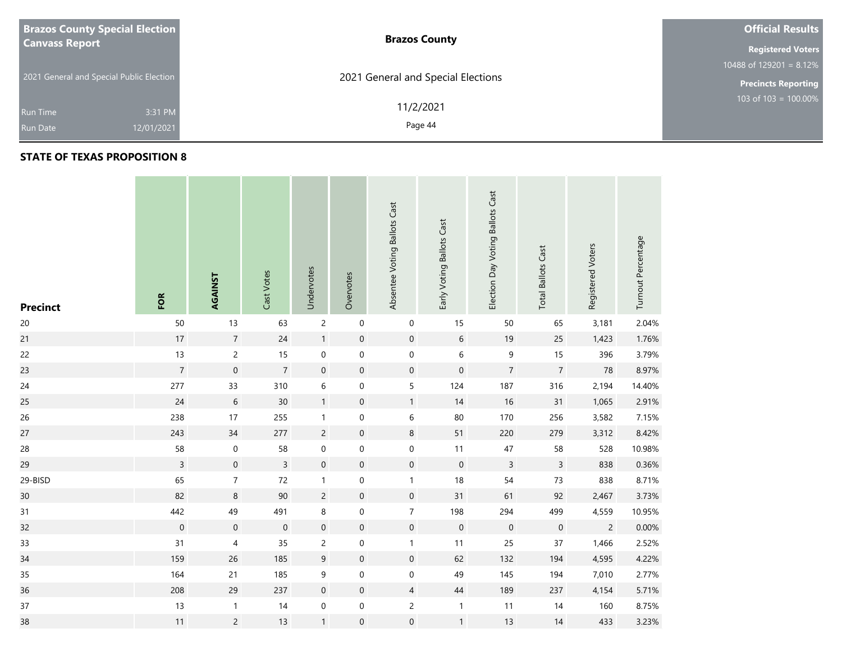| <b>Brazos County Special Election</b>    | <b>Brazos County</b>               | <b>Official Results</b>    |
|------------------------------------------|------------------------------------|----------------------------|
| <b>Canvass Report</b>                    |                                    | <b>Registered Voters</b>   |
|                                          |                                    | 10488 of 129201 = $8.12\%$ |
| 2021 General and Special Public Election | 2021 General and Special Elections | <b>Precincts Reporting</b> |
| 3:31 PM<br><b>Run Time</b>               | 11/2/2021                          | 103 of 103 = $100.00\%$    |
| 12/01/2021<br><b>Run Date</b>            | Page 44                            |                            |

| <b>Precinct</b> | FOR              | AGAINST             | Cast Votes     | Undervotes       | Overvotes        | Absentee Voting Ballots Cast | Early Voting Ballots Cast | Election Day Voting Ballots Cast | <b>Total Ballots Cast</b> | Registered Voters | Turnout Percentage |
|-----------------|------------------|---------------------|----------------|------------------|------------------|------------------------------|---------------------------|----------------------------------|---------------------------|-------------------|--------------------|
| $20\,$          | 50               | 13                  | 63             | $\sqrt{2}$       | $\boldsymbol{0}$ | $\pmb{0}$                    | 15                        | 50                               | 65                        | 3,181             | 2.04%              |
| 21              | $17\,$           | $\overline{7}$      | $24$           | $\mathbf{1}$     | $\boldsymbol{0}$ | $\mathbf 0$                  | $\boldsymbol{6}$          | $19$                             | 25                        | 1,423             | 1.76%              |
| 22              | 13               | $\overline{c}$      | 15             | $\mathbf 0$      | $\pmb{0}$        | $\mathbf 0$                  | 6                         | $\mathsf 9$                      | 15                        | 396               | 3.79%              |
| 23              | $\overline{7}$   | $\boldsymbol{0}$    | $\overline{7}$ | $\mathbf 0$      | $\boldsymbol{0}$ | $\mathbf 0$                  | $\mathbf 0$               | $\overline{7}$                   | $\overline{7}$            | $78\,$            | 8.97%              |
| $24$            | 277              | 33                  | 310            | $\,$ 6 $\,$      | $\boldsymbol{0}$ | 5                            | 124                       | 187                              | 316                       | 2,194             | 14.40%             |
| 25              | 24               | $\sqrt{6}$          | 30             | $\mathbf{1}$     | $\boldsymbol{0}$ | $\mathbf{1}$                 | 14                        | $16$                             | 31                        | 1,065             | 2.91%              |
| 26              | 238              | 17                  | 255            | $\mathbf{1}$     | 0                | $\,$ 6 $\,$                  | 80                        | 170                              | 256                       | 3,582             | 7.15%              |
| 27              | 243              | 34                  | 277            | $\overline{c}$   | $\boldsymbol{0}$ | $\,8\,$                      | 51                        | 220                              | 279                       | 3,312             | 8.42%              |
| 28              | 58               | $\boldsymbol{0}$    | 58             | $\boldsymbol{0}$ | 0                | $\mathbf 0$                  | 11                        | 47                               | 58                        | 528               | 10.98%             |
| 29              | $\overline{3}$   | $\mathsf{O}\xspace$ | $\overline{3}$ | $\mathbf 0$      | $\boldsymbol{0}$ | $\mathbf 0$                  | $\mathbf 0$               | $\overline{3}$                   | $\mathsf{3}$              | 838               | 0.36%              |
| 29-BISD         | 65               | $\overline{7}$      | 72             | $\mathbf{1}$     | 0                | $\mathbf{1}$                 | 18                        | 54                               | $73\,$                    | 838               | 8.71%              |
| 30              | 82               | $\,8\,$             | $90\,$         | $\sqrt{2}$       | $\boldsymbol{0}$ | $\mathbf 0$                  | 31                        | 61                               | 92                        | 2,467             | 3.73%              |
| 31              | 442              | 49                  | 491            | $\,8\,$          | $\mathbf 0$      | $\boldsymbol{7}$             | 198                       | 294                              | 499                       | 4,559             | 10.95%             |
| 32              | $\boldsymbol{0}$ | $\mathbf 0$         | $\mathbf 0$    | $\mathbf 0$      | $\boldsymbol{0}$ | $\mathbf 0$                  | $\mathbf 0$               | $\mathbf 0$                      | $\boldsymbol{0}$          | $\overline{2}$    | 0.00%              |
| 33              | 31               | $\overline{4}$      | 35             | $\overline{c}$   | $\boldsymbol{0}$ | $\mathbf{1}$                 | 11                        | 25                               | 37                        | 1,466             | 2.52%              |
| 34              | 159              | 26                  | 185            | $9\,$            | $\boldsymbol{0}$ | $\mathbf 0$                  | 62                        | 132                              | 194                       | 4,595             | 4.22%              |
| 35              | 164              | 21                  | 185            | $\boldsymbol{9}$ | $\boldsymbol{0}$ | $\boldsymbol{0}$             | 49                        | 145                              | 194                       | 7,010             | 2.77%              |
| 36              | 208              | 29                  | 237            | $\boldsymbol{0}$ | $\pmb{0}$        | $\overline{4}$               | 44                        | 189                              | 237                       | 4,154             | 5.71%              |
| 37              | 13               | $\mathbf{1}$        | 14             | $\boldsymbol{0}$ | $\pmb{0}$        | $\overline{c}$               | $\mathbf{1}$              | 11                               | 14                        | 160               | 8.75%              |
| 38              | $11$             | $\overline{c}$      | 13             | $\mathbf{1}$     | $\boldsymbol{0}$ | $\mathbf 0$                  | $\mathbf{1}$              | 13                               | 14                        | 433               | 3.23%              |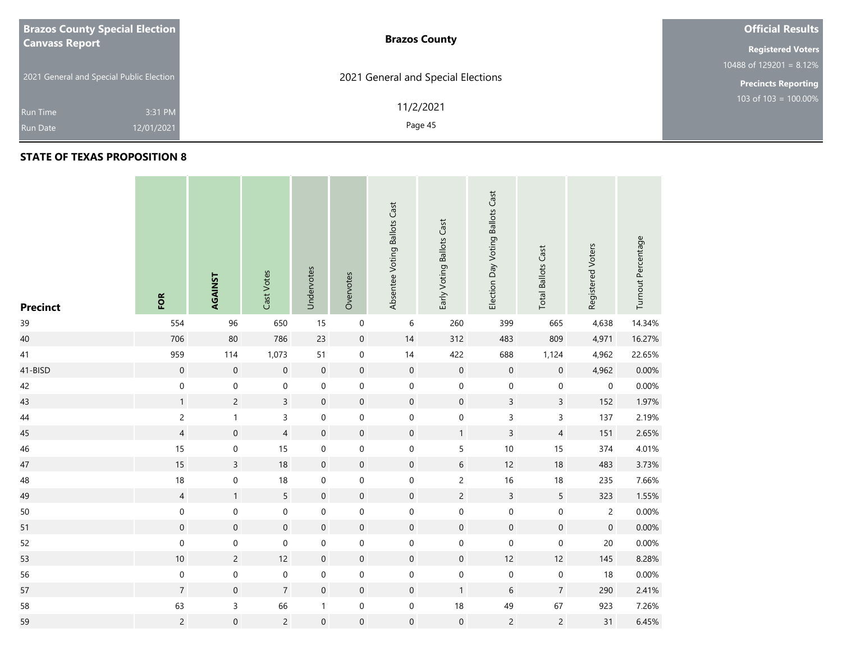| <b>Brazos County Special Election</b>    | <b>Brazos County</b>               | <b>Official Results</b>    |
|------------------------------------------|------------------------------------|----------------------------|
| <b>Canvass Report</b>                    |                                    | <b>Registered Voters</b>   |
|                                          |                                    | 10488 of $129201 = 8.12\%$ |
| 2021 General and Special Public Election | 2021 General and Special Elections | <b>Precincts Reporting</b> |
| 3:31 PM                                  | 11/2/2021                          | 103 of 103 = $100.00\%$    |
| <b>Run Time</b>                          |                                    |                            |
| 12/01/2021<br><b>Run Date</b>            | Page 45                            |                            |

| <b>Precinct</b> | FOR              | AGAINST          | Cast Votes       | Undervotes          | Overvotes           | Absentee Voting Ballots Cast | Early Voting Ballots Cast | Election Day Voting Ballots Cast | <b>Total Ballots Cast</b> | Registered Voters | Turnout Percentage |
|-----------------|------------------|------------------|------------------|---------------------|---------------------|------------------------------|---------------------------|----------------------------------|---------------------------|-------------------|--------------------|
| 39              | 554              | 96               | 650              | 15                  | $\mathsf{O}\xspace$ | $\,6\,$                      | 260                       | 399                              | 665                       | 4,638             | 14.34%             |
| 40              | 706              | 80               | 786              | 23                  | $\pmb{0}$           | $14$                         | 312                       | 483                              | 809                       | 4,971             | 16.27%             |
| 41              | 959              | 114              | 1,073            | 51                  | $\boldsymbol{0}$    | $14$                         | 422                       | 688                              | 1,124                     | 4,962             | 22.65%             |
| 41-BISD         | $\mathbf 0$      | $\mathbf 0$      | $\boldsymbol{0}$ | $\mathbf 0$         | $\boldsymbol{0}$    | $\boldsymbol{0}$             | $\mathbf 0$               | $\mathbf 0$                      | $\mathsf{O}\xspace$       | 4,962             | 0.00%              |
| 42              | $\boldsymbol{0}$ | $\boldsymbol{0}$ | $\mathbf 0$      | $\boldsymbol{0}$    | $\mathbf 0$         | $\boldsymbol{0}$             | $\mathbf 0$               | $\pmb{0}$                        | $\pmb{0}$                 | 0                 | 0.00%              |
| 43              | $\mathbf{1}$     | $\overline{c}$   | $\overline{3}$   | $\mathbf 0$         | $\boldsymbol{0}$    | $\mathbf 0$                  | $\mathbf 0$               | $\mathsf{3}$                     | $\mathbf{3}$              | 152               | 1.97%              |
| $44\,$          | $\overline{c}$   | $\mathbf{1}$     | $\overline{3}$   | $\boldsymbol{0}$    | $\mathbf 0$         | $\boldsymbol{0}$             | $\mathsf{O}\xspace$       | $\mathsf 3$                      | 3                         | 137               | 2.19%              |
| 45              | $\overline{4}$   | $\mathbf 0$      | $\overline{4}$   | $\mathbf 0$         | $\boldsymbol{0}$    | $\boldsymbol{0}$             | $\mathbf{1}$              | $\overline{3}$                   | $\overline{4}$            | 151               | 2.65%              |
| 46              | 15               | $\boldsymbol{0}$ | 15               | $\boldsymbol{0}$    | $\mathbf 0$         | $\boldsymbol{0}$             | 5                         | $10$                             | 15                        | 374               | 4.01%              |
| 47              | 15               | $\overline{3}$   | $18\,$           | $\mathbf 0$         | $\boldsymbol{0}$    | $\mathsf{O}\xspace$          | $6\,$                     | 12                               | 18                        | 483               | 3.73%              |
| 48              | $18\,$           | $\boldsymbol{0}$ | $18\,$           | $\boldsymbol{0}$    | $\mathbf 0$         | $\boldsymbol{0}$             | $\overline{c}$            | 16                               | 18                        | 235               | 7.66%              |
| 49              | $\overline{4}$   | $\mathbf{1}$     | 5                | $\mathbf 0$         | $\mathbf 0$         | $\mathbf 0$                  | $\overline{2}$            | $\mathsf{3}$                     | $5\phantom{.0}$           | 323               | 1.55%              |
| 50              | $\pmb{0}$        | $\mathbf 0$      | $\pmb{0}$        | $\mathbf 0$         | $\mathbf 0$         | $\boldsymbol{0}$             | $\mathsf{O}\xspace$       | $\mathbf 0$                      | $\boldsymbol{0}$          | $\overline{c}$    | 0.00%              |
| 51              | $\mathbf 0$      | $\mathbf 0$      | $\boldsymbol{0}$ | $\mathbf 0$         | $\boldsymbol{0}$    | $\boldsymbol{0}$             | $\mathbf 0$               | $\mathbf 0$                      | $\mathsf{O}\xspace$       | $\mathbf 0$       | 0.00%              |
| 52              | $\mathbf 0$      | $\mathbf 0$      | $\mathbf 0$      | $\boldsymbol{0}$    | $\mathbf 0$         | $\boldsymbol{0}$             | $\mathbf 0$               | $\mathbf 0$                      | $\boldsymbol{0}$          | $20\,$            | 0.00%              |
| 53              | $10\,$           | $\overline{c}$   | 12               | $\mathbf 0$         | $\boldsymbol{0}$    | $\boldsymbol{0}$             | $\mathbf 0$               | 12                               | 12                        | 145               | 8.28%              |
| 56              | $\pmb{0}$        | $\mathbf 0$      | $\pmb{0}$        | $\boldsymbol{0}$    | $\pmb{0}$           | $\boldsymbol{0}$             | $\,0\,$                   | $\pmb{0}$                        | $\pmb{0}$                 | 18                | 0.00%              |
| 57              | $\overline{7}$   | $\mathbf 0$      | $\overline{7}$   | $\boldsymbol{0}$    | $\boldsymbol{0}$    | $\mathsf{O}\xspace$          | $\mathbf{1}$              | 6                                | $\overline{7}$            | 290               | 2.41%              |
| 58              | 63               | 3                | 66               | $\mathbf{1}$        | $\mathbf 0$         | $\boldsymbol{0}$             | $18\,$                    | 49                               | 67                        | 923               | 7.26%              |
| 59              | $\overline{c}$   | $\mathbf 0$      | $\overline{2}$   | $\mathsf{O}\xspace$ | $\mathsf{O}\xspace$ | $\boldsymbol{0}$             | $\mbox{O}$                | $\overline{c}$                   | $\overline{c}$            | 31                | 6.45%              |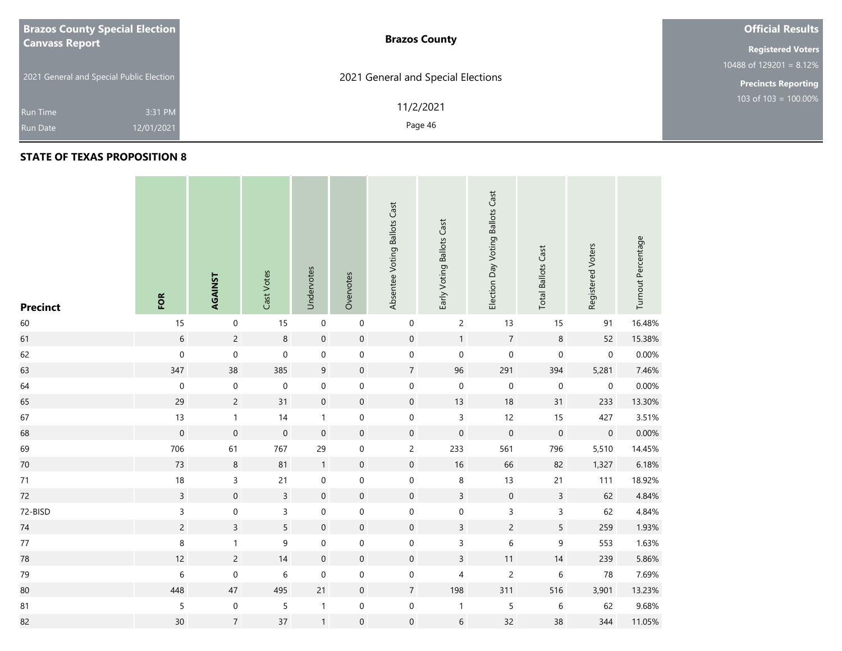| <b>Brazos County Special Election</b>    | <b>Brazos County</b>               | <b>Official Results</b>    |  |  |  |  |
|------------------------------------------|------------------------------------|----------------------------|--|--|--|--|
| <b>Canvass Report</b>                    |                                    |                            |  |  |  |  |
|                                          |                                    | 10488 of 129201 = $8.12\%$ |  |  |  |  |
| 2021 General and Special Public Election | 2021 General and Special Elections | <b>Precincts Reporting</b> |  |  |  |  |
|                                          | 11/2/2021                          | $103$ of 103 = 100.00%     |  |  |  |  |
| 3:31 PM<br><b>Run Time</b>               |                                    |                            |  |  |  |  |
| 12/01/2021<br><b>Run Date</b>            | Page 46                            |                            |  |  |  |  |

| <b>Precinct</b> | FOR            | AGAINST          | Cast Votes          | Undervotes          | Overvotes           | Absentee Voting Ballots Cast | Early Voting Ballots Cast | Election Day Voting Ballots Cast | <b>Total Ballots Cast</b> | Registered Voters | Turnout Percentage |
|-----------------|----------------|------------------|---------------------|---------------------|---------------------|------------------------------|---------------------------|----------------------------------|---------------------------|-------------------|--------------------|
| 60              | 15             | $\boldsymbol{0}$ | 15                  | $\mathbf 0$         | $\pmb{0}$           | $\mathbf 0$                  | $\overline{c}$            | 13                               | 15                        | 91                | 16.48%             |
| 61              | 6              | $\overline{c}$   | $\,8\,$             | $\mathbf 0$         | $\boldsymbol{0}$    | $\mathbf 0$                  | $\mathbf{1}$              | $\boldsymbol{7}$                 | $\,8\,$                   | 52                | 15.38%             |
| 62              | $\mathbf 0$    | $\mathbf 0$      | $\pmb{0}$           | $\boldsymbol{0}$    | $\mathbf 0$         | $\mathbf 0$                  | $\mathsf{O}\xspace$       | $\mathbf 0$                      | $\mathbf 0$               | $\pmb{0}$         | 0.00%              |
| 63              | 347            | 38               | 385                 | $\mathsf 9$         | $\boldsymbol{0}$    | $\overline{7}$               | 96                        | 291                              | 394                       | 5,281             | 7.46%              |
| 64              | $\mathbf 0$    | $\mathbf 0$      | $\mathbf 0$         | $\mathsf{O}\xspace$ | $\boldsymbol{0}$    | $\mathbf 0$                  | $\mathbf 0$               | $\mathbf 0$                      | $\mathbf 0$               | $\pmb{0}$         | 0.00%              |
| 65              | 29             | $\overline{c}$   | 31                  | $\mathbf 0$         | $\mathsf{O}\xspace$ | $\mathbf 0$                  | 13                        | $18\,$                           | 31                        | 233               | 13.30%             |
| 67              | 13             | $\mathbf{1}$     | 14                  | $\mathbf{1}$        | $\mathbf 0$         | $\mathbf 0$                  | $\overline{3}$            | 12                               | 15                        | 427               | 3.51%              |
| 68              | $\mathbf 0$    | $\mathbf 0$      | $\mathsf{O}\xspace$ | $\mathbf 0$         | $\boldsymbol{0}$    | $\mathbf 0$                  | $\mathsf{O}\xspace$       | $\mathbf 0$                      | $\mathbf 0$               | $\,0\,$           | 0.00%              |
| 69              | 706            | 61               | 767                 | 29                  | $\mathbf 0$         | $\overline{c}$               | 233                       | 561                              | 796                       | 5,510             | 14.45%             |
| 70              | 73             | $\,8\,$          | 81                  | $\mathbf{1}$        | $\boldsymbol{0}$    | $\mathbf 0$                  | 16                        | 66                               | 82                        | 1,327             | 6.18%              |
| $71$            | $18\,$         | $\mathsf 3$      | $21$                | $\pmb{0}$           | $\boldsymbol{0}$    | $\pmb{0}$                    | 8                         | 13                               | 21                        | 111               | 18.92%             |
| 72              | $\overline{3}$ | $\boldsymbol{0}$ | $\mathsf{3}$        | $\mathbf 0$         | $\boldsymbol{0}$    | $\mathbf 0$                  | $\mathsf{3}$              | $\mathbf 0$                      | $\mathsf{3}$              | 62                | 4.84%              |
| 72-BISD         | 3              | $\boldsymbol{0}$ | $\mathsf{3}$        | $\pmb{0}$           | $\mathbf 0$         | $\mathbf 0$                  | $\mathbf 0$               | 3                                | $\mathsf{3}$              | 62                | 4.84%              |
| 74              | $\overline{c}$ | $\mathsf{3}$     | $\sqrt{5}$          | $\mathbf 0$         | $\boldsymbol{0}$    | $\mathbf 0$                  | $\mathsf{3}$              | $\overline{c}$                   | $\sqrt{5}$                | 259               | 1.93%              |
| $77\,$          | $\,8\,$        | $\mathbf{1}$     | 9                   | $\pmb{0}$           | $\pmb{0}$           | $\mathbf 0$                  | 3                         | $\,$ 6 $\,$                      | 9                         | 553               | 1.63%              |
| 78              | $12$           | $\overline{c}$   | 14                  | $\boldsymbol{0}$    | $\boldsymbol{0}$    | $\mathbf 0$                  | $\mathsf{3}$              | 11                               | $14$                      | 239               | 5.86%              |
| 79              | 6              | $\mathbf 0$      | $\,$ 6 $\,$         | $\mathbf 0$         | $\boldsymbol{0}$    | $\mathbf 0$                  | $\overline{\mathcal{L}}$  | $\overline{c}$                   | $\,$ 6 $\,$               | 78                | 7.69%              |
| 80              | 448            | $47\,$           | 495                 | 21                  | $\mathbf 0$         | $\overline{7}$               | 198                       | 311                              | 516                       | 3,901             | 13.23%             |
| 81              | 5              | $\mathbf 0$      | 5                   | $\mathbf{1}$        | $\pmb{0}$           | $\mathbf 0$                  | $\mathbf{1}$              | 5                                | $\,$ 6 $\,$               | 62                | 9.68%              |
| 82              | 30             | $\overline{7}$   | 37                  | $\mathbf{1}$        | $\boldsymbol{0}$    | $\mathbf 0$                  | $\sqrt{6}$                | 32                               | 38                        | 344               | 11.05%             |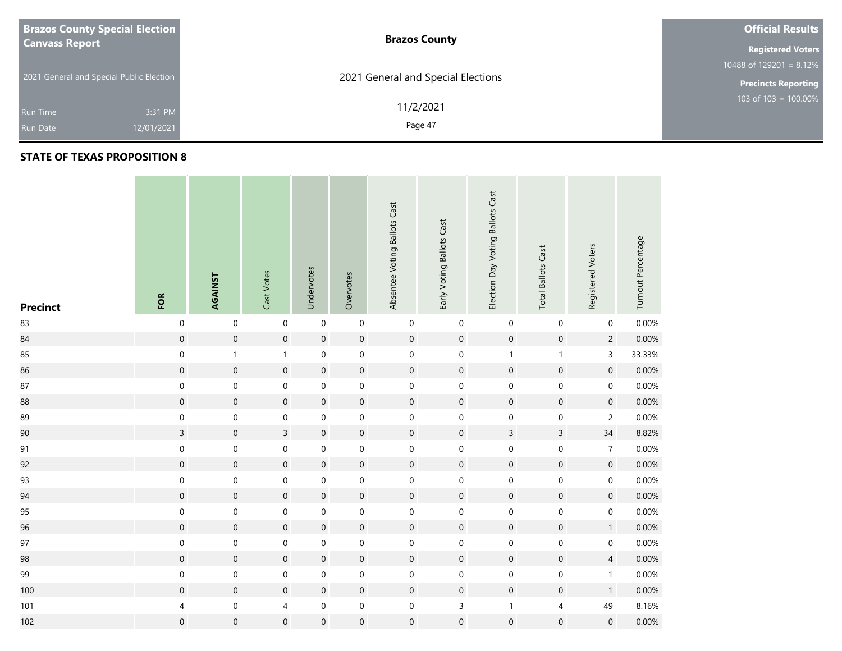| <b>Brazos County Special Election</b>    | <b>Brazos County</b>               | <b>Official Results</b>    |
|------------------------------------------|------------------------------------|----------------------------|
| <b>Canvass Report</b>                    |                                    | <b>Registered Voters</b>   |
|                                          |                                    | 10488 of 129201 = $8.12\%$ |
| 2021 General and Special Public Election | 2021 General and Special Elections | <b>Precincts Reporting</b> |
| 3:31 PM<br><b>Run Time</b>               | 11/2/2021                          | 103 of $103 = 100.00\%$    |
| 12/01/2021<br><b>Run Date</b>            | Page 47                            |                            |

| <b>Precinct</b> | FOR                     | AGAINST             | Cast Votes          | Undervotes          | Overvotes           | Absentee Voting Ballots Cast | Early Voting Ballots Cast | Election Day Voting Ballots Cast | <b>Total Ballots Cast</b> | Registered Voters   | Turnout Percentage |
|-----------------|-------------------------|---------------------|---------------------|---------------------|---------------------|------------------------------|---------------------------|----------------------------------|---------------------------|---------------------|--------------------|
| 83              | $\pmb{0}$               | 0                   | $\mathbf 0$         | $\pmb{0}$           | $\pmb{0}$           | $\pmb{0}$                    | $\pmb{0}$                 | $\boldsymbol{0}$                 | $\pmb{0}$                 | $\mathsf{O}\xspace$ | 0.00%              |
| 84              | $\boldsymbol{0}$        | $\boldsymbol{0}$    | $\mathbf 0$         | $\mathbf 0$         | $\boldsymbol{0}$    | $\boldsymbol{0}$             | $\mathbf 0$               | $\mathbf 0$                      | $\mathbf 0$               | $\overline{c}$      | 0.00%              |
| 85              | $\mathbf 0$             | $\mathbf{1}$        | $\mathbf{1}$        | $\mathbf 0$         | $\mathsf{O}\xspace$ | $\boldsymbol{0}$             | $\mathsf{O}\xspace$       | $\mathbf{1}$                     | $\mathbf{1}$              | $\mathsf{3}$        | 33.33%             |
| 86              | $\boldsymbol{0}$        | $\boldsymbol{0}$    | $\mathbf 0$         | $\mathbf 0$         | $\pmb{0}$           | $\pmb{0}$                    | $\mathbf 0$               | $\mathbf 0$                      | $\boldsymbol{0}$          | $\mathsf{O}\xspace$ | 0.00%              |
| $87\,$          | $\mathbf 0$             | $\mathbf 0$         | $\mathbf 0$         | $\mathbf 0$         | $\mathbf 0$         | $\mathsf{O}\xspace$          | $\mathsf{O}\xspace$       | $\mathbf 0$                      | $\mathbf 0$               | $\mathsf{O}\xspace$ | 0.00%              |
| 88              | $\boldsymbol{0}$        | $\boldsymbol{0}$    | $\mathbf 0$         | $\mathbf 0$         | $\mathsf{O}\xspace$ | $\pmb{0}$                    | $\boldsymbol{0}$          | $\mathbf 0$                      | $\mathbf 0$               | $\mathsf{O}\xspace$ | 0.00%              |
| 89              | $\mathbf 0$             | $\mathbf 0$         | $\mathbf 0$         | $\mathbf 0$         | $\mathbf 0$         | $\boldsymbol{0}$             | $\mathsf{O}\xspace$       | $\mathsf{O}\xspace$              | $\mathbf 0$               | $\overline{c}$      | 0.00%              |
| 90              | $\overline{3}$          | $\boldsymbol{0}$    | $\overline{3}$      | $\mathbf 0$         | $\mathsf{O}\xspace$ | $\mathbf 0$                  | $\mathbf 0$               | $\overline{3}$                   | $\overline{3}$            | 34                  | 8.82%              |
| 91              | $\mathbf 0$             | $\pmb{0}$           | $\mathbf 0$         | $\pmb{0}$           | $\mathbf 0$         | 0                            | $\mathbf 0$               | $\mathbf 0$                      | $\pmb{0}$                 | $\overline{7}$      | 0.00%              |
| 92              | $\mathbf 0$             | $\mathbf 0$         | $\mathsf{O}\xspace$ | $\mathbf 0$         | $\mathsf{O}\xspace$ | $\mathbf 0$                  | $\mathbf 0$               | $\mathbf 0$                      | $\mathbf 0$               | $\mathsf{O}\xspace$ | 0.00%              |
| 93              | $\boldsymbol{0}$        | $\boldsymbol{0}$    | $\mathbf 0$         | $\mathbf 0$         | $\mathbf 0$         | $\mathsf{O}\xspace$          | $\mathsf{O}\xspace$       | $\mathbf 0$                      | $\mathbf 0$               | $\mathsf{O}\xspace$ | 0.00%              |
| 94              | $\boldsymbol{0}$        | $\boldsymbol{0}$    | $\mathbf 0$         | $\mathbf 0$         | $\pmb{0}$           | $\mathbf 0$                  | $\boldsymbol{0}$          | $\mathbf 0$                      | $\boldsymbol{0}$          | $\mathsf{O}\xspace$ | 0.00%              |
| 95              | $\mathbf 0$             | $\mathbf 0$         | $\mathbf 0$         | $\mathbf 0$         | $\mathsf{O}\xspace$ | $\mathsf{O}\xspace$          | $\mathsf{O}\xspace$       | $\mathbf 0$                      | $\mathbf 0$               | $\mathsf{O}\xspace$ | 0.00%              |
| 96              | $\mathbf 0$             | $\boldsymbol{0}$    | $\mathbf 0$         | $\mathbf 0$         | $\pmb{0}$           | $\mathbf 0$                  | $\mathbf 0$               | $\mathbf 0$                      | $\boldsymbol{0}$          | $\mathbf{1}$        | 0.00%              |
| $97\,$          | $\mathbf 0$             | $\mathbf 0$         | $\mathbf 0$         | $\pmb{0}$           | $\mathsf{O}\xspace$ | $\boldsymbol{0}$             | $\mathbf 0$               | $\mathbf 0$                      | $\mathbf 0$               | $\mathsf{O}\xspace$ | 0.00%              |
| 98              | $\mathbf 0$             | $\boldsymbol{0}$    | $\mathbf 0$         | $\mathbf 0$         | $\pmb{0}$           | $\mathbf 0$                  | $\mathbf 0$               | $\mathbf 0$                      | $\boldsymbol{0}$          | $\overline{4}$      | 0.00%              |
| 99              | $\mathbf 0$             | $\mathsf{O}\xspace$ | $\mathbf 0$         | $\mathbf 0$         | $\mathbf 0$         | $\mathsf{O}\xspace$          | $\mathsf{O}\xspace$       | $\mathsf{O}\xspace$              | $\mathbf 0$               | $\mathbf{1}$        | 0.00%              |
| 100             | $\boldsymbol{0}$        | $\boldsymbol{0}$    | $\boldsymbol{0}$    | $\boldsymbol{0}$    | $\pmb{0}$           | $\mathbf 0$                  | $\boldsymbol{0}$          | $\mathbf 0$                      | $\mathbf 0$               | $\mathbf{1}$        | 0.00%              |
| 101             | $\overline{\mathbf{4}}$ | $\mathbf 0$         | 4                   | $\pmb{0}$           | $\mathbf 0$         | $\boldsymbol{0}$             | $\mathsf 3$               | $\mathbf{1}$                     | $\overline{4}$            | 49                  | 8.16%              |
| 102             | $\mathbf 0$             | $\boldsymbol{0}$    | $\mathsf{O}\xspace$ | $\mathsf{O}\xspace$ | $\mathsf{O}\xspace$ | $\boldsymbol{0}$             | $\mathbf 0$               | $\mathsf{O}\xspace$              | $\mathbf 0$               | $\mathbf 0$         | 0.00%              |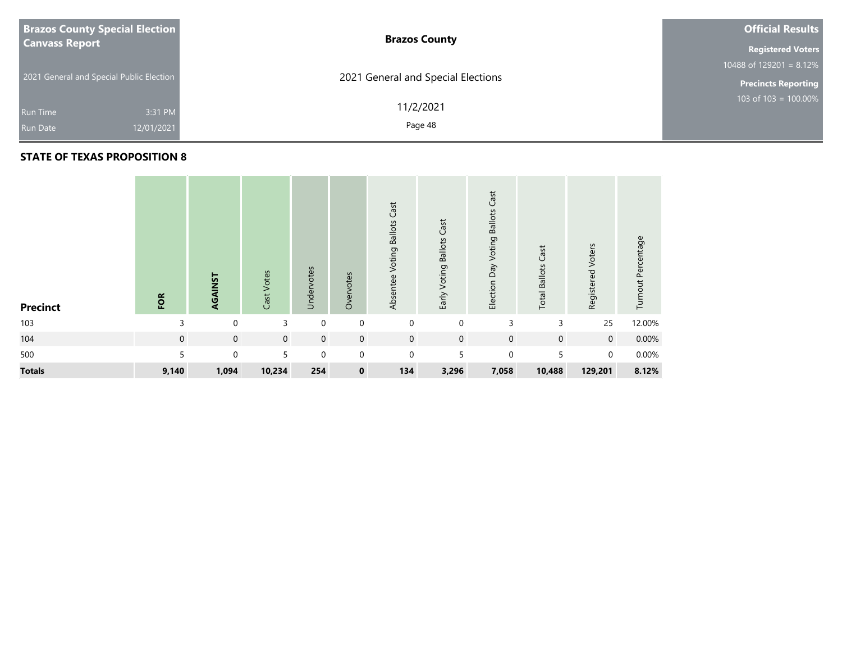| <b>Brazos County Special Election</b>    |            | <b>Brazos County</b>               | <b>Official Results</b>               |  |  |  |
|------------------------------------------|------------|------------------------------------|---------------------------------------|--|--|--|
| <b>Canvass Report</b>                    |            |                                    |                                       |  |  |  |
|                                          |            |                                    | 10488 of $129\overline{201} = 8.12\%$ |  |  |  |
| 2021 General and Special Public Election |            | 2021 General and Special Elections | <b>Precincts Reporting</b>            |  |  |  |
|                                          |            | 11/2/2021                          | 103 of 103 = 100.00%                  |  |  |  |
| Run Time                                 | 3:31 PM    |                                    |                                       |  |  |  |
| <b>Run Date</b>                          | 12/01/2021 | Page 48                            |                                       |  |  |  |
|                                          |            |                                    |                                       |  |  |  |

| <b>Precinct</b> | FOR         | AGAINST     | Cast Votes  | Undervotes  | Overvotes   | Cast<br><b>Voting Ballots</b><br>Absentee | Early Voting Ballots Cast | Cast<br>Election Day Voting Ballots | <b>Total Ballots Cast</b> | Registered Voters | Turnout Percentage |
|-----------------|-------------|-------------|-------------|-------------|-------------|-------------------------------------------|---------------------------|-------------------------------------|---------------------------|-------------------|--------------------|
| 103             | 3           | 0           | 3           | $\mathbf 0$ | $\mathbf 0$ | $\mathbf 0$                               | $\mathbf 0$               | 3                                   | 3                         | 25                | 12.00%             |
| 104             | $\mathbf 0$ | $\mathbf 0$ | $\mathbf 0$ | $\mathbf 0$ | $\mathbf 0$ | $\mathbf 0$                               | $\mathbf 0$               | $\mathbf 0$                         | $\mathbf 0$               | $\overline{0}$    | 0.00%              |
| 500             | 5           | $\mathbf 0$ | 5           | $\mathbf 0$ | $\Omega$    | $\mathbf 0$                               | 5                         | $\mathbf 0$                         | 5                         | $\Omega$          | 0.00%              |
| <b>Totals</b>   | 9,140       | 1,094       | 10,234      | 254         | $\mathbf 0$ | 134                                       | 3,296                     | 7,058                               | 10,488                    | 129,201           | 8.12%              |